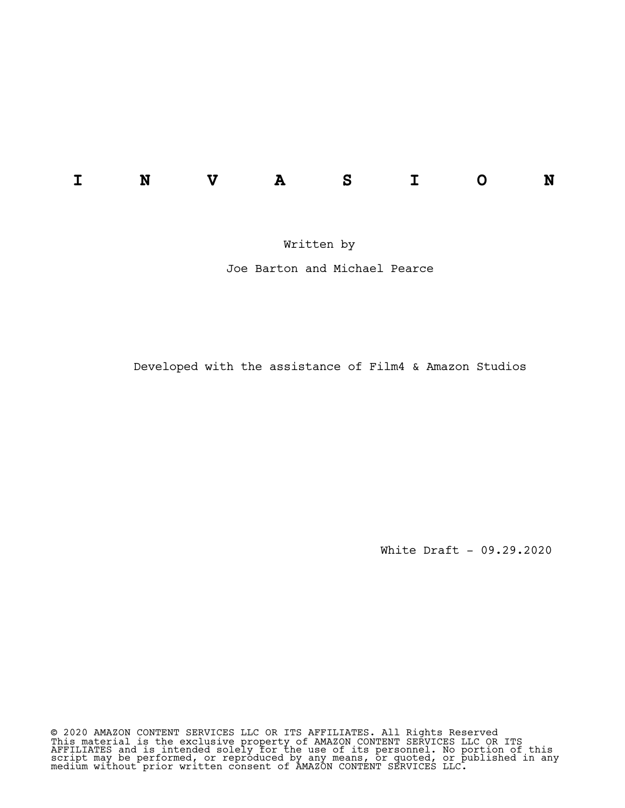Written by

Joe Barton and Michael Pearce

Developed with the assistance of Film4 & Amazon Studios

White Draft - 09.29.2020

© 2020 AMAZON CONTENT SERVICES LLC OR ITS AFFILIATES. All Rights Reserved This material is the exclusive property of AMAZON CONTENT SERVICES LLC OR ITS AFFILIATES and is intended solely for the use of its personnel. No portion of this script may be performed, or reproduced by any means, or quoted, or published in any medium without prior written consent of AMAZON CONTENT SERVICES LLC.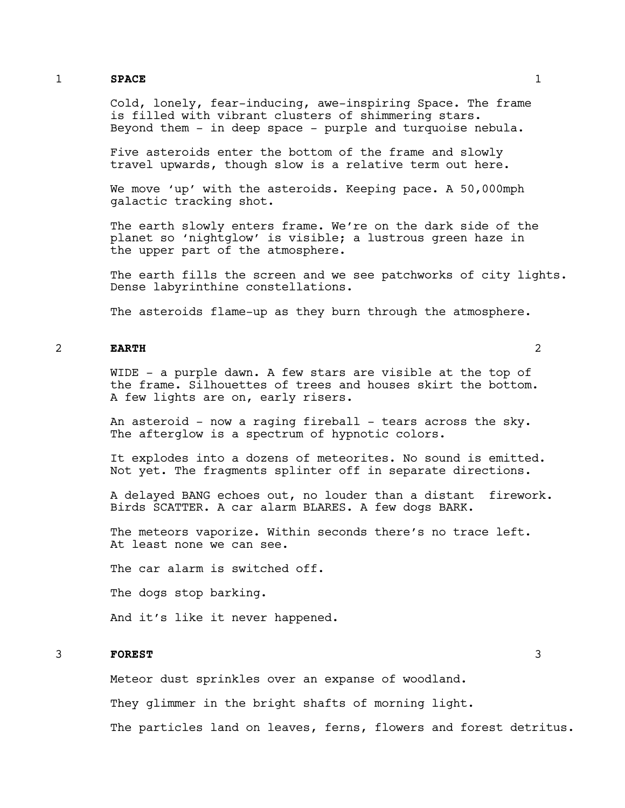# 1 **SPACE** 1

Cold, lonely, fear-inducing, awe-inspiring Space. The frame is filled with vibrant clusters of shimmering stars. Beyond them  $-$  in deep space  $-$  purple and turquoise nebula.

Five asteroids enter the bottom of the frame and slowly travel upwards, though slow is a relative term out here.

We move 'up' with the asteroids. Keeping pace. A 50,000mph galactic tracking shot.

The earth slowly enters frame. We're on the dark side of the planet so 'nightglow' is visible; a lustrous green haze in the upper part of the atmosphere.

The earth fills the screen and we see patchworks of city lights. Dense labyrinthine constellations.

The asteroids flame-up as they burn through the atmosphere.

# 2 **EARTH** 2

WIDE - a purple dawn. A few stars are visible at the top of the frame. Silhouettes of trees and houses skirt the bottom. A few lights are on, early risers.

An asteroid - now a raging fireball - tears across the sky. The afterglow is a spectrum of hypnotic colors.

It explodes into a dozens of meteorites. No sound is emitted. Not yet. The fragments splinter off in separate directions.

A delayed BANG echoes out, no louder than a distant firework. Birds SCATTER. A car alarm BLARES. A few dogs BARK.

The meteors vaporize. Within seconds there's no trace left. At least none we can see.

The car alarm is switched off.

The dogs stop barking.

And it's like it never happened.

# 3 **FOREST** 3

Meteor dust sprinkles over an expanse of woodland.

They glimmer in the bright shafts of morning light.

The particles land on leaves, ferns, flowers and forest detritus.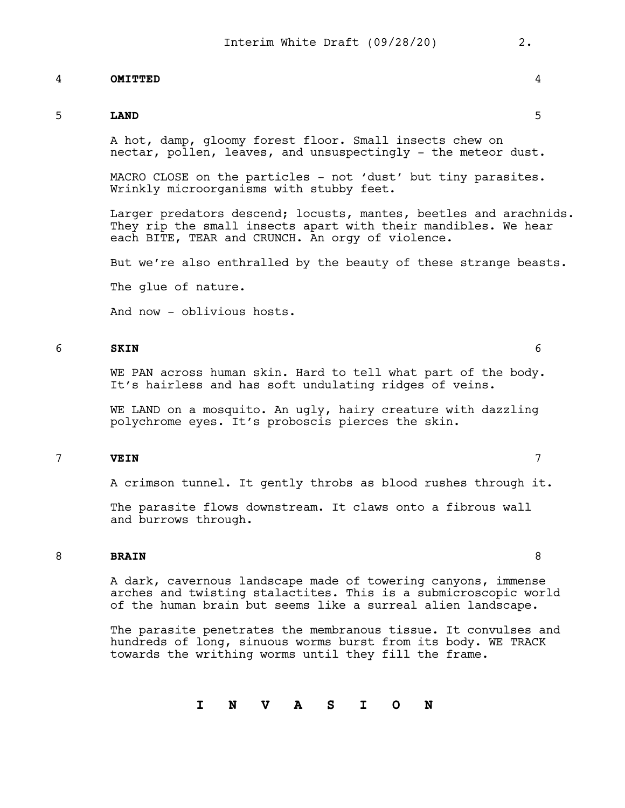# 4 **OMITTED** 4

# 5 **LAND** 5

A hot, damp, gloomy forest floor. Small insects chew on nectar, pollen, leaves, and unsuspectingly - the meteor dust.

MACRO CLOSE on the particles - not 'dust' but tiny parasites. Wrinkly microorganisms with stubby feet.

Larger predators descend; locusts, mantes, beetles and arachnids. They rip the small insects apart with their mandibles. We hear each BITE, TEAR and CRUNCH. An orgy of violence.

But we're also enthralled by the beauty of these strange beasts.

The glue of nature.

And now - oblivious hosts.

# 6 **SKIN** 6

WE PAN across human skin. Hard to tell what part of the body. It's hairless and has soft undulating ridges of veins.

WE LAND on a mosquito. An ugly, hairy creature with dazzling polychrome eyes. It's proboscis pierces the skin.

# 7 **VEIN** 7

A crimson tunnel. It gently throbs as blood rushes through it.

The parasite flows downstream. It claws onto a fibrous wall and burrows through.

# 8 **BRAIN** 8

A dark, cavernous landscape made of towering canyons, immense arches and twisting stalactites. This is a submicroscopic world of the human brain but seems like a surreal alien landscape.

The parasite penetrates the membranous tissue. It convulses and hundreds of long, sinuous worms burst from its body. WE TRACK towards the writhing worms until they fill the frame.

**I N V A S I O N**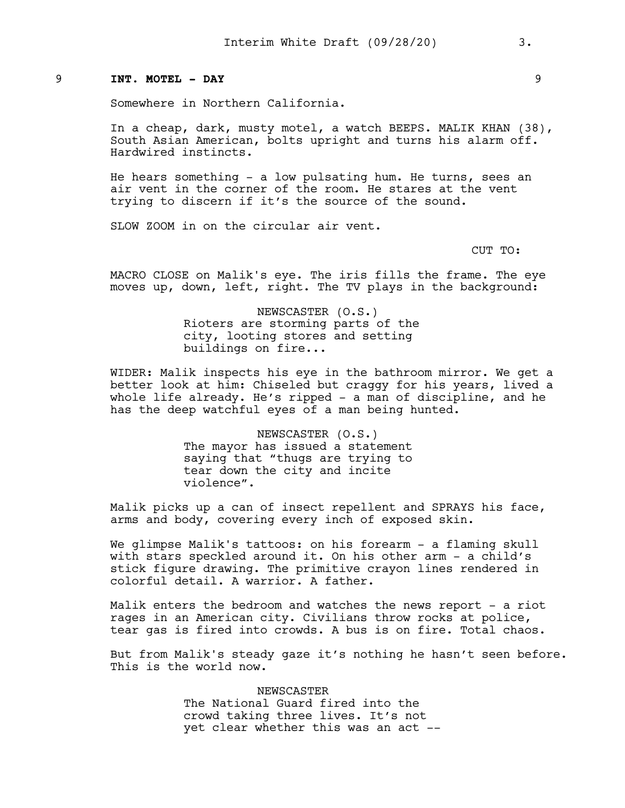#### 9 **INT. MOTEL - DAY** 9

Somewhere in Northern California.

In a cheap, dark, musty motel, a watch BEEPS. MALIK KHAN (38), South Asian American, bolts upright and turns his alarm off. Hardwired instincts.

He hears something - a low pulsating hum. He turns, sees an air vent in the corner of the room. He stares at the vent trying to discern if it's the source of the sound.

SLOW ZOOM in on the circular air vent.

CUT TO:

MACRO CLOSE on Malik's eye. The iris fills the frame. The eye moves up, down, left, right. The TV plays in the background:

> NEWSCASTER (O.S.) Rioters are storming parts of the city, looting stores and setting buildings on fire...

WIDER: Malik inspects his eye in the bathroom mirror. We get a better look at him: Chiseled but craggy for his years, lived a whole life already. He's ripped - a man of discipline, and he has the deep watchful eyes of a man being hunted.

> NEWSCASTER (O.S.) The mayor has issued a statement saying that "thugs are trying to tear down the city and incite violence".

Malik picks up a can of insect repellent and SPRAYS his face, arms and body, covering every inch of exposed skin.

We glimpse Malik's tattoos: on his forearm - a flaming skull with stars speckled around it. On his other arm - a child's stick figure drawing. The primitive crayon lines rendered in colorful detail. A warrior. A father.

Malik enters the bedroom and watches the news report - a riot rages in an American city. Civilians throw rocks at police, tear gas is fired into crowds. A bus is on fire. Total chaos.

But from Malik's steady gaze it's nothing he hasn't seen before. This is the world now.

> NEWSCASTER The National Guard fired into the crowd taking three lives. It's not yet clear whether this was an act --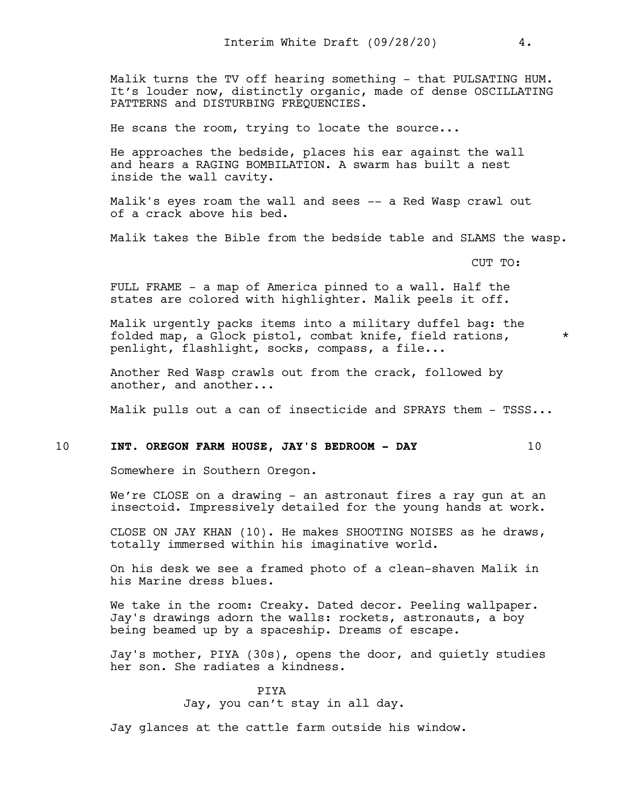Malik turns the TV off hearing something - that PULSATING HUM. It's louder now, distinctly organic, made of dense OSCILLATING PATTERNS and DISTURBING FREQUENCIES.

He scans the room, trying to locate the source...

He approaches the bedside, places his ear against the wall and hears a RAGING BOMBILATION. A swarm has built a nest inside the wall cavity.

Malik's eyes roam the wall and sees -- a Red Wasp crawl out of a crack above his bed.

Malik takes the Bible from the bedside table and SLAMS the wasp.

CUT TO:

FULL FRAME - a map of America pinned to a wall. Half the states are colored with highlighter. Malik peels it off.

Malik urgently packs items into a military duffel bag: the folded map, a Glock pistol, combat knife, field rations, \* penlight, flashlight, socks, compass, a file...

Another Red Wasp crawls out from the crack, followed by another, and another...

Malik pulls out a can of insecticide and SPRAYS them - TSSS...

#### 10 **INT. OREGON FARM HOUSE, JAY'S BEDROOM - DAY** 10

Somewhere in Southern Oregon.

We're CLOSE on a drawing - an astronaut fires a ray gun at an insectoid. Impressively detailed for the young hands at work.

CLOSE ON JAY KHAN (10). He makes SHOOTING NOISES as he draws, totally immersed within his imaginative world.

On his desk we see a framed photo of a clean-shaven Malik in his Marine dress blues.

We take in the room: Creaky. Dated decor. Peeling wallpaper. Jay's drawings adorn the walls: rockets, astronauts, a boy being beamed up by a spaceship. Dreams of escape.

Jay's mother, PIYA (30s), opens the door, and quietly studies her son. She radiates a kindness.

> PIYA Jay, you can't stay in all day.

Jay glances at the cattle farm outside his window.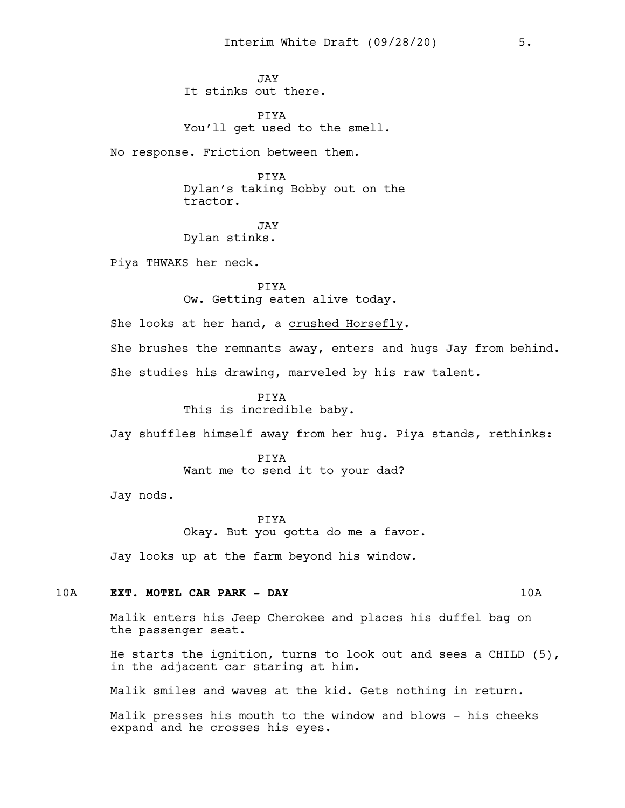JAY It stinks out there.

PIYA You'll get used to the smell.

No response. Friction between them.

PIYA

Dylan's taking Bobby out on the tractor.

JAY Dylan stinks.

Piya THWAKS her neck.

PIYA Ow. Getting eaten alive today.

She looks at her hand, a crushed Horsefly.

She brushes the remnants away, enters and hugs Jay from behind. She studies his drawing, marveled by his raw talent.

> PIYA This is incredible baby.

Jay shuffles himself away from her hug. Piya stands, rethinks:

PIYA Want me to send it to your dad?

Jay nods.

PIYA Okay. But you gotta do me a favor.

Jay looks up at the farm beyond his window.

## 10A **EXT. MOTEL CAR PARK - DAY** 10A

Malik enters his Jeep Cherokee and places his duffel bag on the passenger seat.

He starts the ignition, turns to look out and sees a CHILD (5), in the adjacent car staring at him.

Malik smiles and waves at the kid. Gets nothing in return.

Malik presses his mouth to the window and blows - his cheeks expand and he crosses his eyes.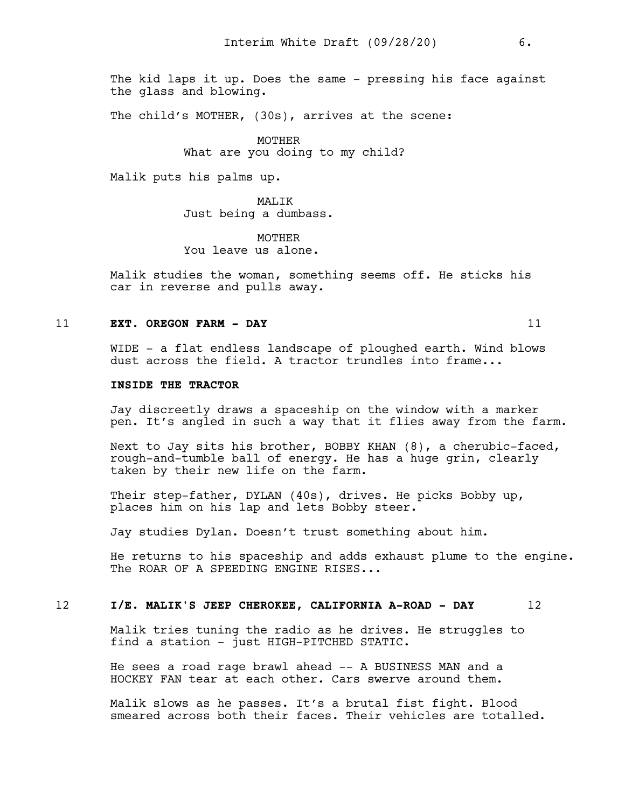The kid laps it up. Does the same - pressing his face against the glass and blowing.

The child's MOTHER, (30s), arrives at the scene:

MOTHER What are you doing to my child?

Malik puts his palms up.

MALIK Just being a dumbass.

**MOTHER** You leave us alone.

Malik studies the woman, something seems off. He sticks his car in reverse and pulls away.

#### 11 **EXT. OREGON FARM - DAY** 11

WIDE - a flat endless landscape of ploughed earth. Wind blows dust across the field. A tractor trundles into frame...

#### **INSIDE THE TRACTOR**

Jay discreetly draws a spaceship on the window with a marker pen. It's angled in such a way that it flies away from the farm.

Next to Jay sits his brother, BOBBY KHAN (8), a cherubic-faced, rough-and-tumble ball of energy. He has a huge grin, clearly taken by their new life on the farm.

Their step-father, DYLAN (40s), drives. He picks Bobby up, places him on his lap and lets Bobby steer.

Jay studies Dylan. Doesn't trust something about him.

He returns to his spaceship and adds exhaust plume to the engine. The ROAR OF A SPEEDING ENGINE RISES...

## 12 **I/E. MALIK'S JEEP CHEROKEE, CALIFORNIA A-ROAD - DAY** 12

Malik tries tuning the radio as he drives. He struggles to find a station - just HIGH-PITCHED STATIC.

He sees a road rage brawl ahead -- A BUSINESS MAN and a HOCKEY FAN tear at each other. Cars swerve around them.

Malik slows as he passes. It's a brutal fist fight. Blood smeared across both their faces. Their vehicles are totalled.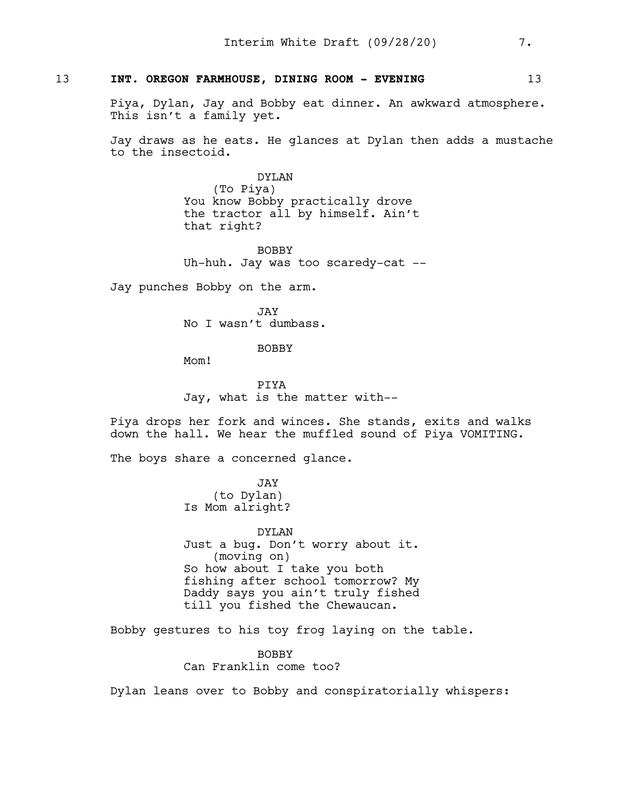# 13 **INT. OREGON FARMHOUSE, DINING ROOM - EVENING** 13

Piya, Dylan, Jay and Bobby eat dinner. An awkward atmosphere. This isn't a family yet.

Jay draws as he eats. He glances at Dylan then adds a mustache to the insectoid.

> DYLAN (To Piya) You know Bobby practically drove the tractor all by himself. Ain't that right?

BOBBY Uh-huh. Jay was too scaredy-cat --

Jay punches Bobby on the arm.

JAY No I wasn't dumbass.

BOBBY

Mom!

PIYA Jay, what is the matter with--

Piya drops her fork and winces. She stands, exits and walks down the hall. We hear the muffled sound of Piya VOMITING.

The boys share a concerned glance.

JAY (to Dylan) Is Mom alright?

DYLAN Just a bug. Don't worry about it. (moving on) So how about I take you both fishing after school tomorrow? My Daddy says you ain't truly fished till you fished the Chewaucan.

Bobby gestures to his toy frog laying on the table.

BOBBY Can Franklin come too?

Dylan leans over to Bobby and conspiratorially whispers: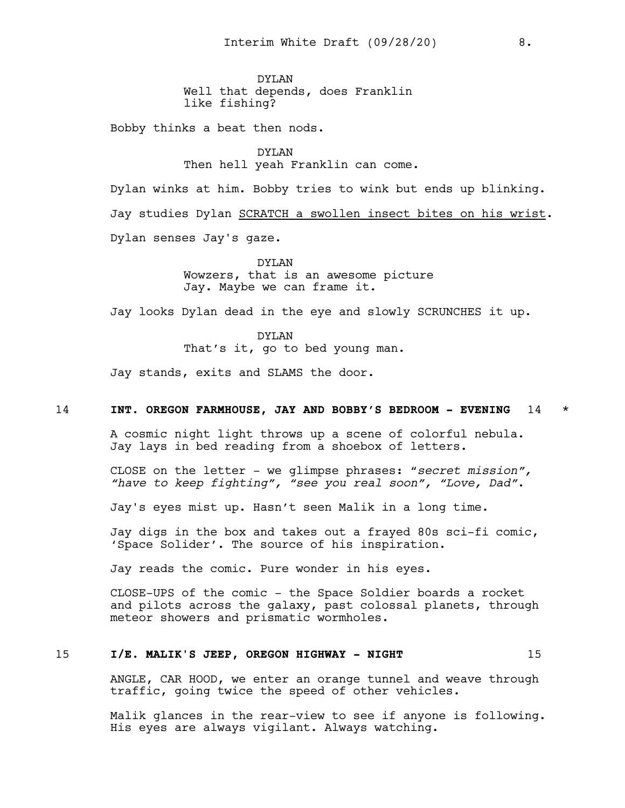DYLAN Well that depends, does Franklin like fishing?

Bobby thinks a beat then nods.

DYLAN Then hell yeah Franklin can come.

Dylan winks at him. Bobby tries to wink but ends up blinking. Jay studies Dylan SCRATCH a swollen insect bites on his wrist. Dylan senses Jay's gaze.

> DYLAN Wowzers, that is an awesome picture Jay. Maybe we can frame it.

Jay looks Dylan dead in the eye and slowly SCRUNCHES it up.

DYLAN That's it, go to bed young man.

Jay stands, exits and SLAMS the door.

# 14 **INT. OREGON FARMHOUSE, JAY AND BOBBY'S BEDROOM - EVENING** 14 \*

A cosmic night light throws up a scene of colorful nebula. Jay lays in bed reading from a shoebox of letters.

CLOSE on the letter - we glimpse phrases: "*secret mission", "have to keep fighting", "see you real soon", "Love, Dad"*.

Jay's eyes mist up. Hasn't seen Malik in a long time.

Jay digs in the box and takes out a frayed 80s sci-fi comic, 'Space Solider'. The source of his inspiration.

Jay reads the comic. Pure wonder in his eyes.

CLOSE-UPS of the comic - the Space Soldier boards a rocket and pilots across the galaxy, past colossal planets, through meteor showers and prismatic wormholes.

#### 15 **I/E. MALIK'S JEEP, OREGON HIGHWAY - NIGHT** 15

ANGLE, CAR HOOD, we enter an orange tunnel and weave through traffic, going twice the speed of other vehicles.

Malik glances in the rear-view to see if anyone is following. His eyes are always vigilant. Always watching.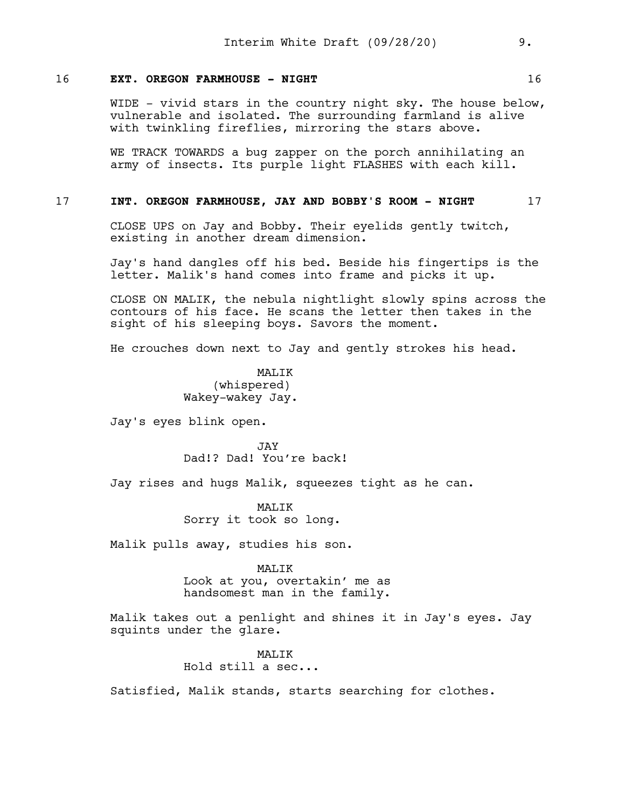### 16 **EXT. OREGON FARMHOUSE - NIGHT** 16

WIDE - vivid stars in the country night sky. The house below, vulnerable and isolated. The surrounding farmland is alive with twinkling fireflies, mirroring the stars above.

WE TRACK TOWARDS a bug zapper on the porch annihilating an army of insects. Its purple light FLASHES with each kill.

## 17 **INT. OREGON FARMHOUSE, JAY AND BOBBY'S ROOM - NIGHT** 17

CLOSE UPS on Jay and Bobby. Their eyelids gently twitch, existing in another dream dimension.

Jay's hand dangles off his bed. Beside his fingertips is the letter. Malik's hand comes into frame and picks it up.

CLOSE ON MALIK, the nebula nightlight slowly spins across the contours of his face. He scans the letter then takes in the sight of his sleeping boys. Savors the moment.

He crouches down next to Jay and gently strokes his head.

MAT.TK (whispered) Wakey-wakey Jay.

Jay's eyes blink open.

JAY Dad!? Dad! You're back!

Jay rises and hugs Malik, squeezes tight as he can.

MAT<sub>I</sub>TK Sorry it took so long.

Malik pulls away, studies his son.

#### MALIK

Look at you, overtakin' me as handsomest man in the family.

Malik takes out a penlight and shines it in Jay's eyes. Jay squints under the glare.

### MALIK

Hold still a sec...

Satisfied, Malik stands, starts searching for clothes.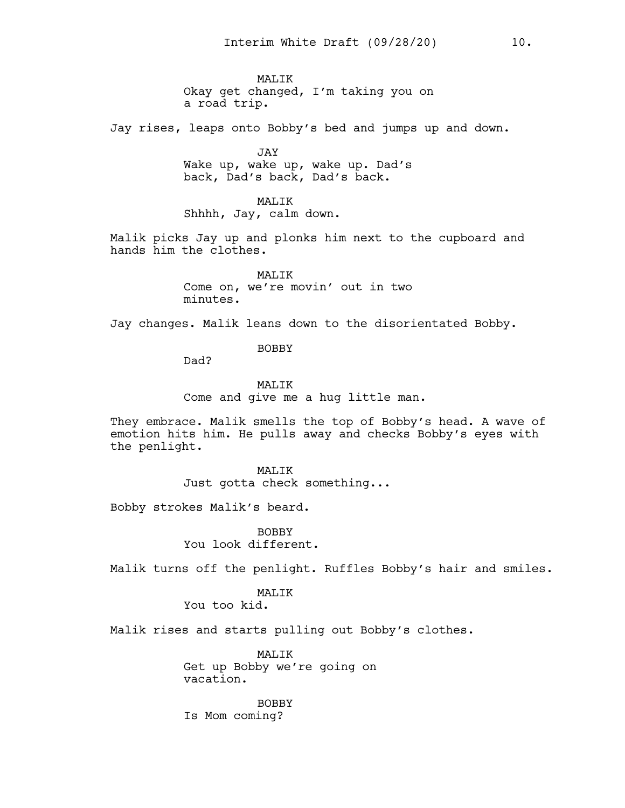MAT<sub>I</sub>TK Okay get changed, I'm taking you on a road trip.

Jay rises, leaps onto Bobby's bed and jumps up and down.

JAY Wake up, wake up, wake up. Dad's back, Dad's back, Dad's back.

MALIK Shhhh, Jay, calm down.

Malik picks Jay up and plonks him next to the cupboard and hands him the clothes.

> MALIK Come on, we're movin' out in two minutes.

Jay changes. Malik leans down to the disorientated Bobby.

BOBBY

Dad?

MALIK

Come and give me a hug little man.

They embrace. Malik smells the top of Bobby's head. A wave of emotion hits him. He pulls away and checks Bobby's eyes with the penlight.

> MALIK Just gotta check something...

Bobby strokes Malik's beard.

BOBBY You look different.

Malik turns off the penlight. Ruffles Bobby's hair and smiles.

MAT<sub>I</sub>TK

You too kid.

Malik rises and starts pulling out Bobby's clothes.

MALIK Get up Bobby we're going on vacation.

BOBBY Is Mom coming?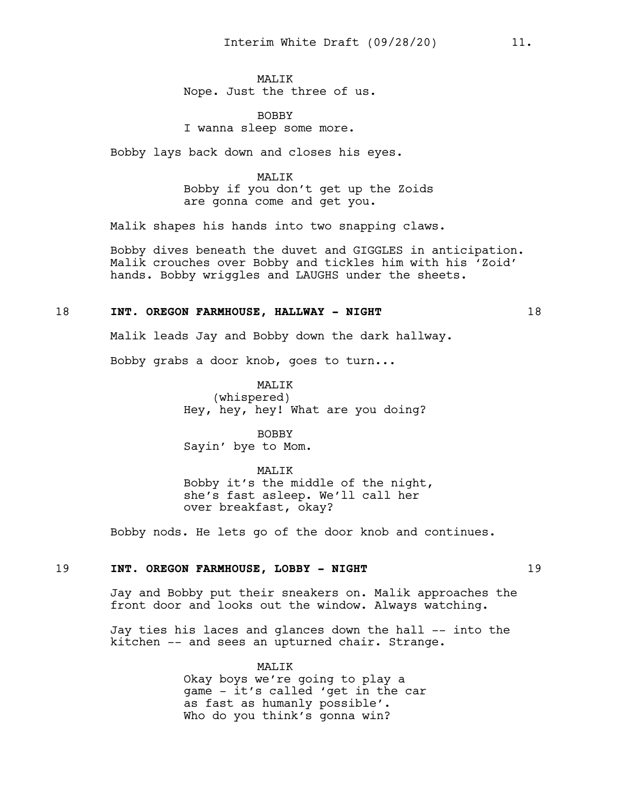MAT<sub>I</sub>TK Nope. Just the three of us.

BOBBY I wanna sleep some more.

Bobby lays back down and closes his eyes.

MALIK Bobby if you don't get up the Zoids are gonna come and get you.

Malik shapes his hands into two snapping claws.

Bobby dives beneath the duvet and GIGGLES in anticipation. Malik crouches over Bobby and tickles him with his 'Zoid' hands. Bobby wriggles and LAUGHS under the sheets.

# 18 **INT. OREGON FARMHOUSE, HALLWAY - NIGHT** 18

Malik leads Jay and Bobby down the dark hallway.

Bobby grabs a door knob, goes to turn...

MALIK (whispered) Hey, hey, hey! What are you doing?

BOBBY Sayin' bye to Mom.

MALIK

Bobby it's the middle of the night, she's fast asleep. We'll call her over breakfast, okay?

Bobby nods. He lets go of the door knob and continues.

## 19 **INT**. **OREGON FARMHOUSE, LOBBY - NIGHT** 19

Jay and Bobby put their sneakers on. Malik approaches the front door and looks out the window. Always watching.

Jay ties his laces and glances down the hall -- into the kitchen -- and sees an upturned chair. Strange.

> MALIK Okay boys we're going to play a game - it's called 'get in the car as fast as humanly possible'. Who do you think's gonna win?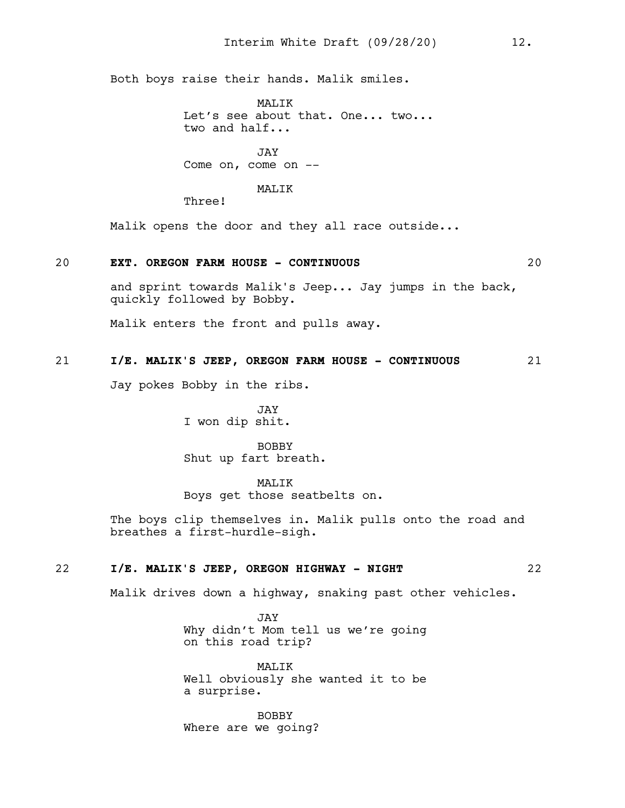Both boys raise their hands. Malik smiles.

MAT<sub>I</sub>TK Let's see about that. One... two... two and half...

JAY Come on, come on --

### MALIK

Three!

Malik opens the door and they all race outside...

### 20 **EXT**. **OREGON FARM HOUSE - CONTINUOUS** 20

and sprint towards Malik's Jeep... Jay jumps in the back, quickly followed by Bobby.

Malik enters the front and pulls away.

# 21 **I/E. MALIK'S JEEP, OREGON FARM HOUSE - CONTINUOUS** 21

Jay pokes Bobby in the ribs.

JAY I won dip shit.

BOBBY Shut up fart breath.

MALIK

Boys get those seatbelts on.

The boys clip themselves in. Malik pulls onto the road and breathes a first-hurdle-sigh.

## 22 **I/E. MALIK'S JEEP, OREGON HIGHWAY - NIGHT** 22

Malik drives down a highway, snaking past other vehicles.

JAY Why didn't Mom tell us we're going on this road trip?

MAT<sub>I</sub>TK Well obviously she wanted it to be a surprise.

BOBBY Where are we going?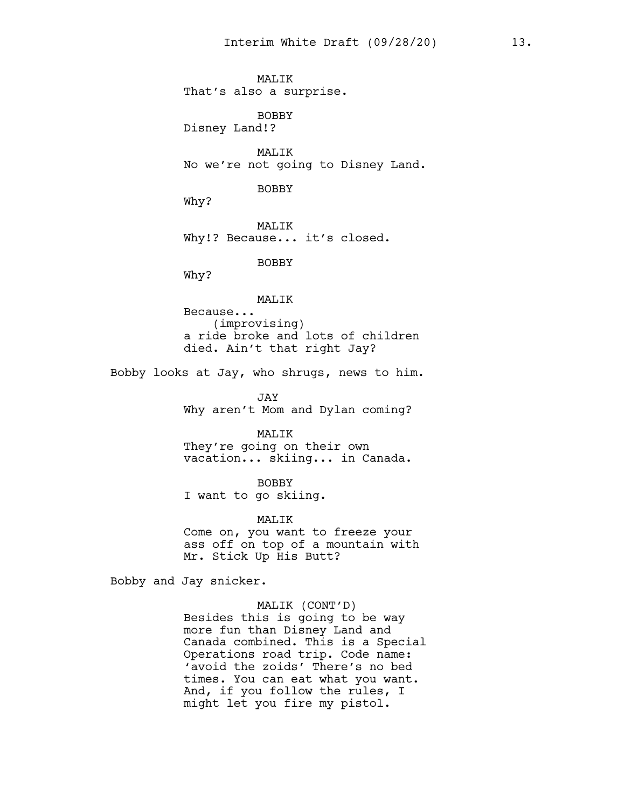**MALIK** That's also a surprise. BOBBY Disney Land!? MALIK No we're not going to Disney Land. BOBBY

Why?

MALIK Why!? Because... it's closed.

BOBBY

Why?

MALIK

Because... (improvising) a ride broke and lots of children died. Ain't that right Jay?

Bobby looks at Jay, who shrugs, news to him.

JAY Why aren't Mom and Dylan coming?

MALIK

They're going on their own vacation... skiing... in Canada.

BOBBY I want to go skiing.

MALIK

Come on, you want to freeze your ass off on top of a mountain with Mr. Stick Up His Butt?

Bobby and Jay snicker.

MALIK (CONT'D)

Besides this is going to be way more fun than Disney Land and Canada combined. This is a Special Operations road trip. Code name: 'avoid the zoids' There's no bed times. You can eat what you want. And, if you follow the rules, I might let you fire my pistol.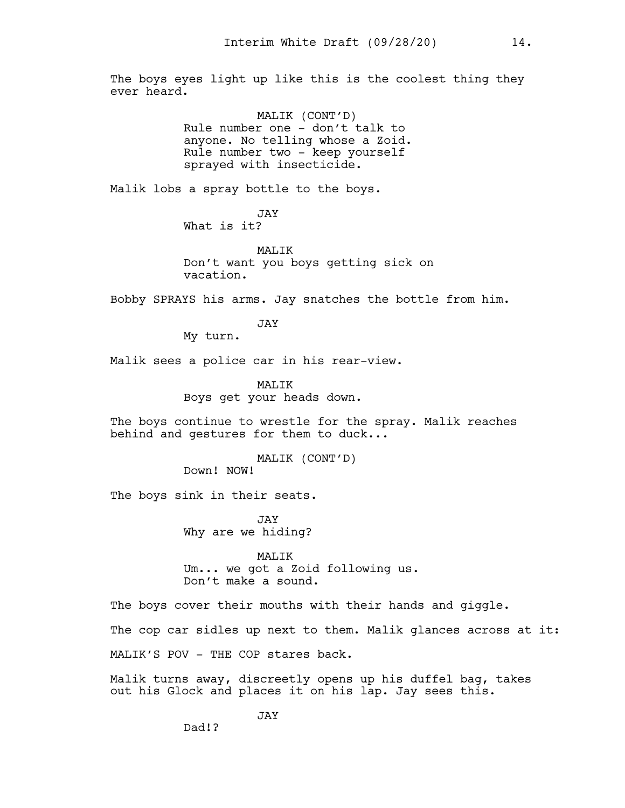The boys eyes light up like this is the coolest thing they ever heard.

> MALIK (CONT'D) Rule number one - don't talk to anyone. No telling whose a Zoid. Rule number two - keep yourself sprayed with insecticide.

Malik lobs a spray bottle to the boys.

JAY What is it?

MALIK Don't want you boys getting sick on vacation.

Bobby SPRAYS his arms. Jay snatches the bottle from him.

JAY

My turn.

Malik sees a police car in his rear-view.

MALIK Boys get your heads down.

The boys continue to wrestle for the spray. Malik reaches behind and gestures for them to duck...

> MALIK (CONT'D) Down! NOW!

The boys sink in their seats.

Dad!?

JAY Why are we hiding?

MALIK Um... we got a Zoid following us. Don't make a sound.

The boys cover their mouths with their hands and giggle. The cop car sidles up next to them. Malik glances across at it: MALIK'S POV - THE COP stares back.

Malik turns away, discreetly opens up his duffel bag, takes out his Glock and places it on his lap. Jay sees this.

JAY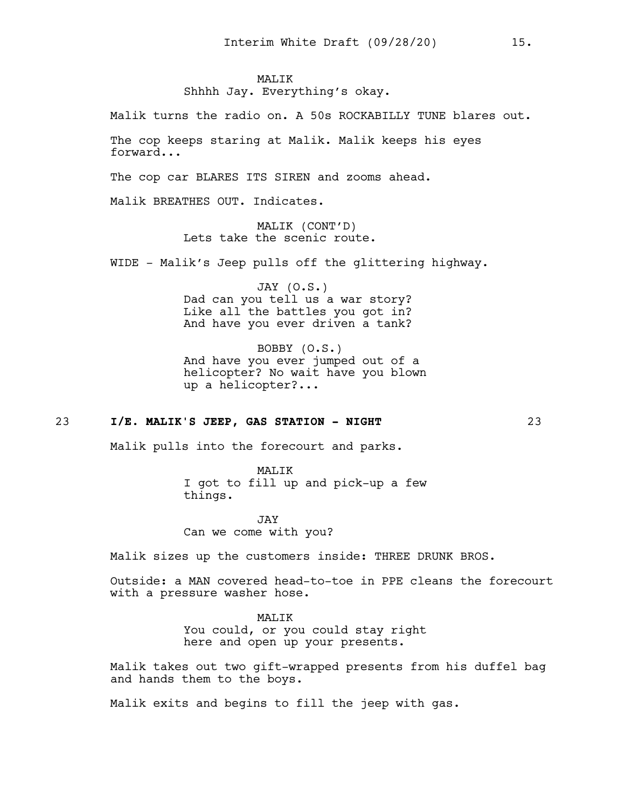# **MALIK**

Shhhh Jay. Everything's okay.

Malik turns the radio on. A 50s ROCKABILLY TUNE blares out.

The cop keeps staring at Malik. Malik keeps his eyes forward...

The cop car BLARES ITS SIREN and zooms ahead.

Malik BREATHES OUT. Indicates.

MALIK (CONT'D) Lets take the scenic route.

WIDE - Malik's Jeep pulls off the glittering highway.

JAY (O.S.) Dad can you tell us a war story? Like all the battles you got in? And have you ever driven a tank?

BOBBY (O.S.) And have you ever jumped out of a helicopter? No wait have you blown up a helicopter?...

# 23 **I/E. MALIK'S JEEP, GAS STATION - NIGHT** 23

Malik pulls into the forecourt and parks.

MALIK I got to fill up and pick-up a few things.

JAY Can we come with you?

Malik sizes up the customers inside: THREE DRUNK BROS.

Outside: a MAN covered head-to-toe in PPE cleans the forecourt with a pressure washer hose.

#### MALIK

You could, or you could stay right here and open up your presents.

Malik takes out two gift-wrapped presents from his duffel bag and hands them to the boys.

Malik exits and begins to fill the jeep with gas.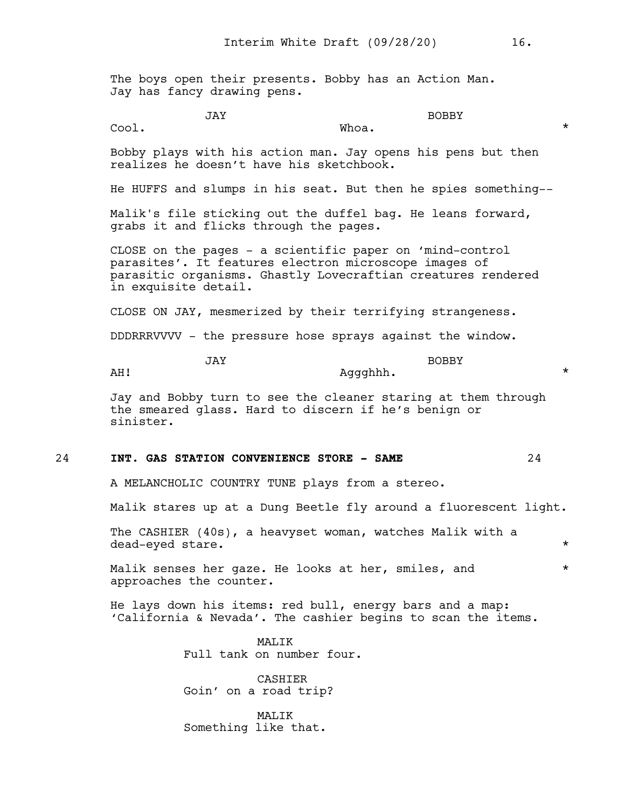The boys open their presents. Bobby has an Action Man. Jay has fancy drawing pens.

JAY

JAY

 $Whoa.$   $*$ 

BOBBY

Bobby plays with his action man. Jay opens his pens but then realizes he doesn't have his sketchbook.

He HUFFS and slumps in his seat. But then he spies something--

Malik's file sticking out the duffel bag. He leans forward, grabs it and flicks through the pages.

CLOSE on the pages - a scientific paper on 'mind-control parasites'. It features electron microscope images of parasitic organisms. Ghastly Lovecraftian creatures rendered in exquisite detail.

CLOSE ON JAY, mesmerized by their terrifying strangeness.

DDDRRRVVVV - the pressure hose sprays against the window.

BOBBY Aggghhh. \*

AH!

Cool.

Jay and Bobby turn to see the cleaner staring at them through the smeared glass. Hard to discern if he's benign or sinister.

#### 24 **INT. GAS STATION CONVENIENCE STORE - SAME** 24

A MELANCHOLIC COUNTRY TUNE plays from a stereo.

Malik stares up at a Dung Beetle fly around a fluorescent light.

The CASHIER (40s), a heavyset woman, watches Malik with a dead-eyed stare.  $\star$ 

Malik senses her gaze. He looks at her, smiles, and  $*$ approaches the counter.

He lays down his items: red bull, energy bars and a map: 'California & Nevada'. The cashier begins to scan the items.

> MAT.TK Full tank on number four.

CASHIER Goin' on a road trip?

MALIK Something like that.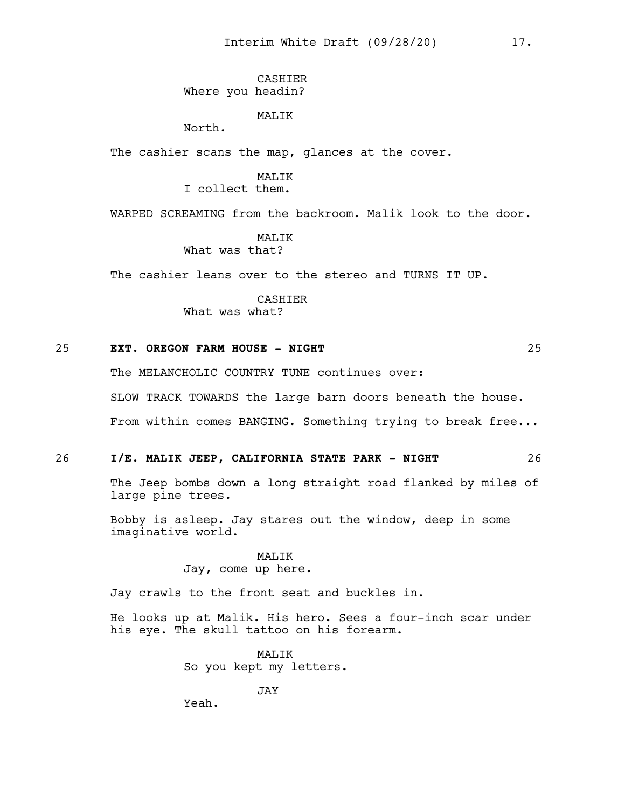CASHIER Where you headin?

MALIK

North.

The cashier scans the map, glances at the cover.

MALIK

I collect them.

WARPED SCREAMING from the backroom. Malik look to the door.

MAT.TK What was that?

The cashier leans over to the stereo and TURNS IT UP.

CASHIER What was what?

#### 25 **EXT. OREGON FARM HOUSE - NIGHT** 25

The MELANCHOLIC COUNTRY TUNE continues over:

SLOW TRACK TOWARDS the large barn doors beneath the house.

From within comes BANGING. Something trying to break free...

#### 26 **I/E. MALIK JEEP, CALIFORNIA STATE PARK - NIGHT** 26

The Jeep bombs down a long straight road flanked by miles of large pine trees.

Bobby is asleep. Jay stares out the window, deep in some imaginative world.

> MALIK Jay, come up here.

Jay crawls to the front seat and buckles in.

He looks up at Malik. His hero. Sees a four-inch scar under his eye. The skull tattoo on his forearm.

> MALIK So you kept my letters.

> > JAY

Yeah.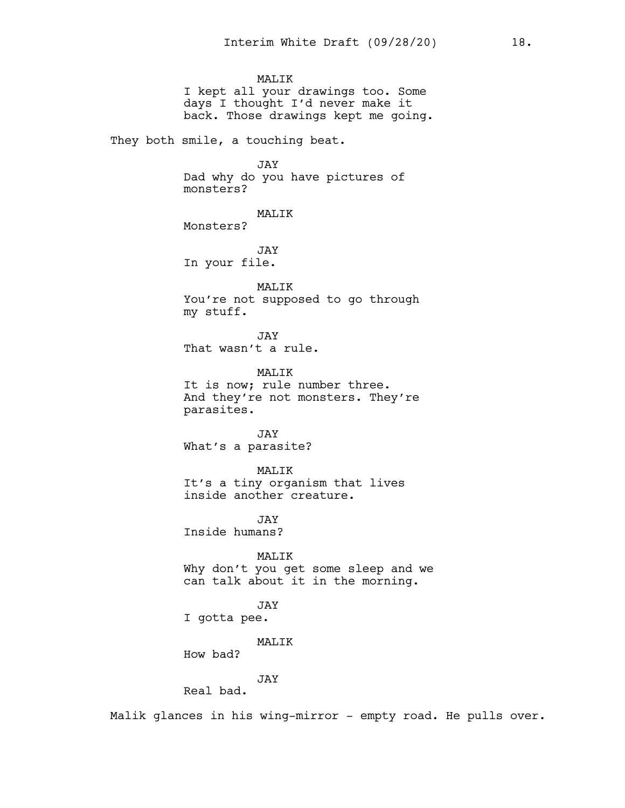MALIK I kept all your drawings too. Some days I thought I'd never make it back. Those drawings kept me going.

They both smile, a touching beat.

JAY

Dad why do you have pictures of monsters?

MALIK

Monsters?

JAY In your file.

MALIK You're not supposed to go through my stuff.

JAY That wasn't a rule.

MALIK It is now; rule number three. And they're not monsters. They're parasites.

JAY What's a parasite?

MALIK It's a tiny organism that lives inside another creature.

JAY Inside humans?

MALIK Why don't you get some sleep and we can talk about it in the morning.

JAY I gotta pee.

MALIK

How bad?

JAY

Real bad.

Malik glances in his wing-mirror - empty road. He pulls over.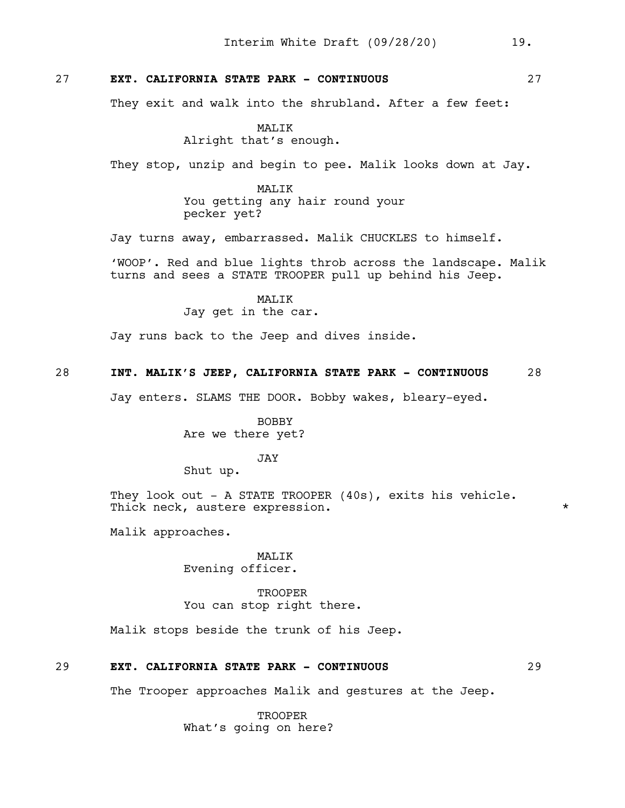## 27 **EXT. CALIFORNIA STATE PARK - CONTINUOUS** 27

They exit and walk into the shrubland. After a few feet:

MALIK Alright that's enough.

They stop, unzip and begin to pee. Malik looks down at Jay.

MALIK You getting any hair round your pecker yet?

Jay turns away, embarrassed. Malik CHUCKLES to himself.

'WOOP'. Red and blue lights throb across the landscape. Malik turns and sees a STATE TROOPER pull up behind his Jeep.

> MALIK Jay get in the car.

Jay runs back to the Jeep and dives inside.

## 28 **INT. MALIK'S JEEP, CALIFORNIA STATE PARK - CONTINUOUS** 28

Jay enters. SLAMS THE DOOR. Bobby wakes, bleary-eyed.

BOBBY Are we there yet?

JAY

Shut up.

They look out - A STATE TROOPER (40s), exits his vehicle. Thick neck, austere expression.  $*$ 

Malik approaches.

MALIK Evening officer.

**TROOPER** You can stop right there.

Malik stops beside the trunk of his Jeep.

## 29 **EXT. CALIFORNIA STATE PARK - CONTINUOUS** 29

The Trooper approaches Malik and gestures at the Jeep.

TROOPER What's going on here?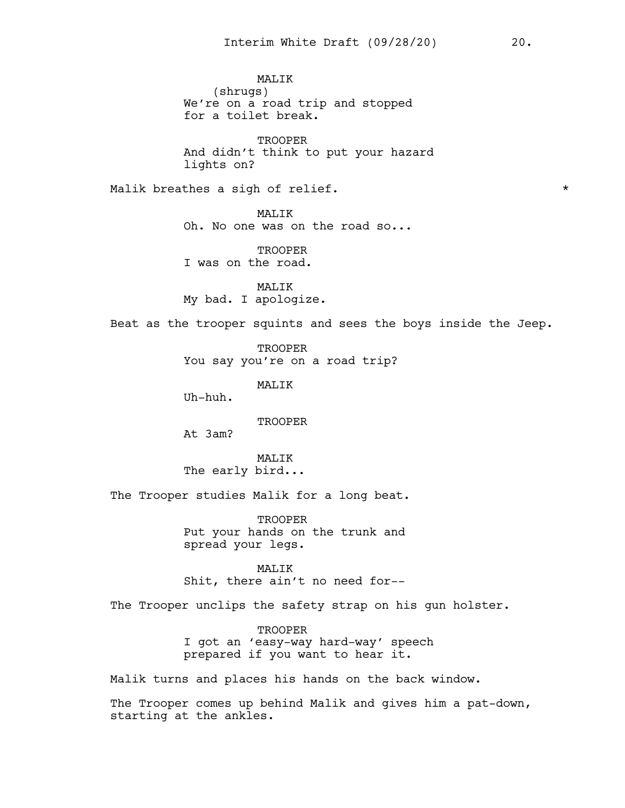MALIK (shrugs) We're on a road trip and stopped for a toilet break.

**TROOPER** And didn't think to put your hazard lights on?

Malik breathes a sigh of relief.  $\star$ 

MALIK Oh. No one was on the road so...

**TROOPER** I was on the road.

MALIK My bad. I apologize.

Beat as the trooper squints and sees the boys inside the Jeep.

**TROOPER** You say you're on a road trip?

MALIK

Uh-huh.

TROOPER

At 3am?

MAT.TK The early bird...

The Trooper studies Malik for a long beat.

**TROOPER** Put your hands on the trunk and spread your legs.

MALIK Shit, there ain't no need for--

The Trooper unclips the safety strap on his gun holster.

**TROOPER** I got an 'easy-way hard-way' speech prepared if you want to hear it.

Malik turns and places his hands on the back window.

The Trooper comes up behind Malik and gives him a pat-down, starting at the ankles.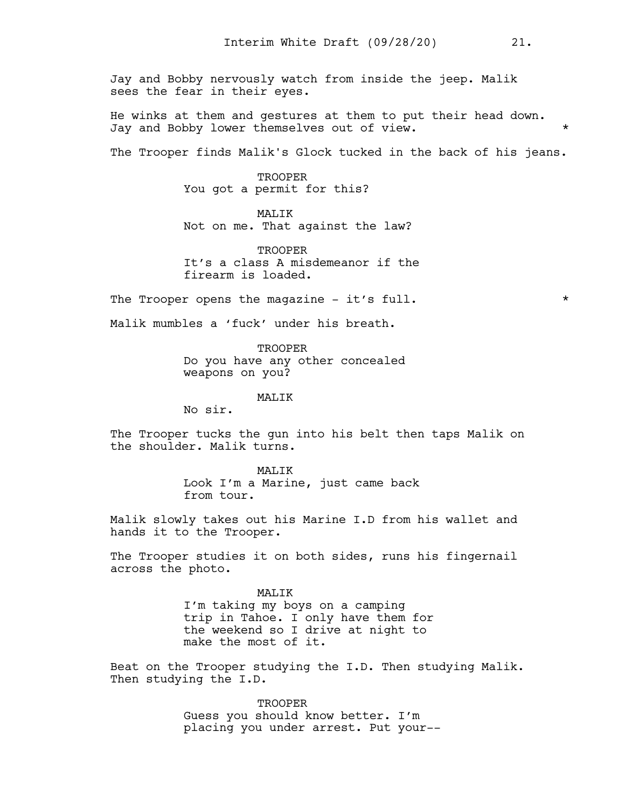Jay and Bobby nervously watch from inside the jeep. Malik sees the fear in their eyes.

He winks at them and gestures at them to put their head down. Jay and Bobby lower themselves out of view.

The Trooper finds Malik's Glock tucked in the back of his jeans.

TROOPER You got a permit for this?

MALIK Not on me. That against the law?

**TROOPER** It's a class A misdemeanor if the firearm is loaded.

The Trooper opens the magazine - it's full.  $*$ 

Malik mumbles a 'fuck' under his breath.

**TROOPER** Do you have any other concealed weapons on you?

#### MALIK

No sir.

The Trooper tucks the gun into his belt then taps Malik on the shoulder. Malik turns.

> MALIK Look I'm a Marine, just came back from tour.

Malik slowly takes out his Marine I.D from his wallet and hands it to the Trooper.

The Trooper studies it on both sides, runs his fingernail across the photo.

> MALIK I'm taking my boys on a camping trip in Tahoe. I only have them for the weekend so I drive at night to make the most of it.

Beat on the Trooper studying the I.D. Then studying Malik. Then studying the I.D.

> **TROOPER** Guess you should know better. I'm placing you under arrest. Put your--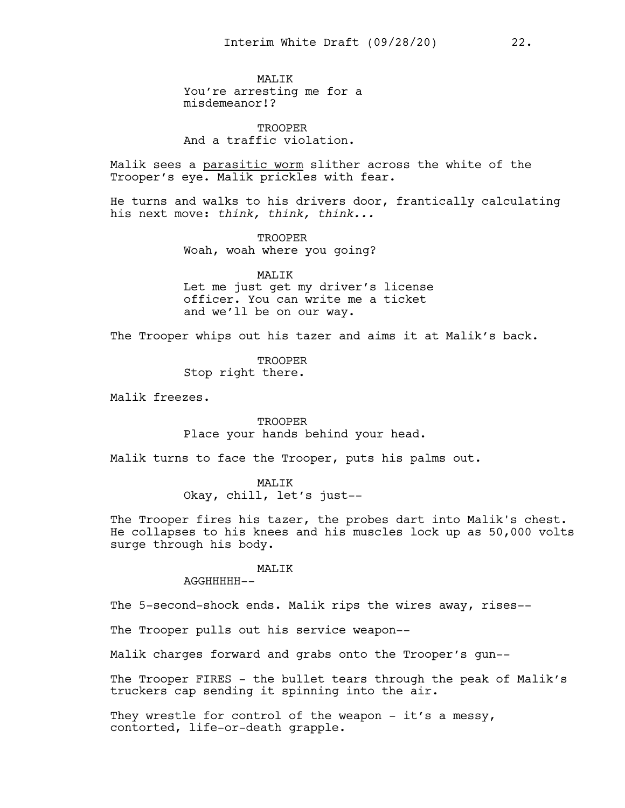MAT.TK You're arresting me for a misdemeanor!?

**TROOPER** And a traffic violation.

Malik sees a parasitic worm slither across the white of the Trooper's eye. Malik prickles with fear.

He turns and walks to his drivers door, frantically calculating his next move: *think, think, think...*

> **TROOPER** Woah, woah where you going?

MALIK Let me just get my driver's license officer. You can write me a ticket and we'll be on our way.

The Trooper whips out his tazer and aims it at Malik's back.

TROOPER Stop right there.

Malik freezes.

**TROOPER** Place your hands behind your head.

Malik turns to face the Trooper, puts his palms out.

MAT.TK

Okay, chill, let's just--

The Trooper fires his tazer, the probes dart into Malik's chest. He collapses to his knees and his muscles lock up as 50,000 volts surge through his body.

#### MALIK

AGGHHHHH--

The 5-second-shock ends. Malik rips the wires away, rises--

The Trooper pulls out his service weapon--

Malik charges forward and grabs onto the Trooper's gun--

The Trooper FIRES - the bullet tears through the peak of Malik's truckers cap sending it spinning into the air.

They wrestle for control of the weapon - it's a messy, contorted, life-or-death grapple.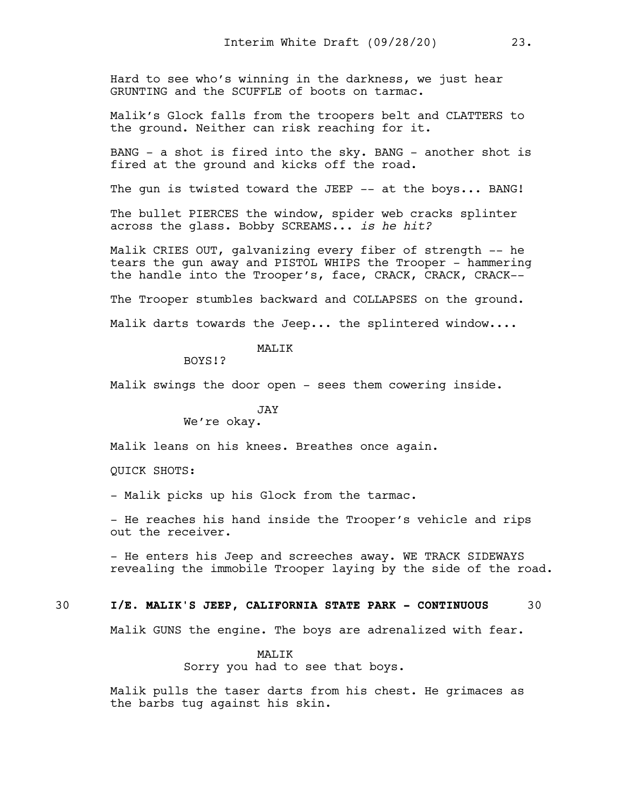Hard to see who's winning in the darkness, we just hear GRUNTING and the SCUFFLE of boots on tarmac.

Malik's Glock falls from the troopers belt and CLATTERS to the ground. Neither can risk reaching for it.

BANG - a shot is fired into the sky. BANG - another shot is fired at the ground and kicks off the road.

The gun is twisted toward the JEEP -- at the boys... BANG!

The bullet PIERCES the window, spider web cracks splinter across the glass. Bobby SCREAMS... *is he hit?*

Malik CRIES OUT, galvanizing every fiber of strength -- he tears the gun away and PISTOL WHIPS the Trooper - hammering the handle into the Trooper's, face, CRACK, CRACK, CRACK--

The Trooper stumbles backward and COLLAPSES on the ground.

Malik darts towards the Jeep... the splintered window....

# MALIK

BOYS!?

Malik swings the door open - sees them cowering inside.

# JAY

We're okay.

Malik leans on his knees. Breathes once again.

QUICK SHOTS:

- Malik picks up his Glock from the tarmac.

- He reaches his hand inside the Trooper's vehicle and rips out the receiver.

- He enters his Jeep and screeches away. WE TRACK SIDEWAYS revealing the immobile Trooper laying by the side of the road.

## 30 **I/E. MALIK'S JEEP, CALIFORNIA STATE PARK - CONTINUOUS** 30

Malik GUNS the engine. The boys are adrenalized with fear.

#### MALIK

Sorry you had to see that boys.

Malik pulls the taser darts from his chest. He grimaces as the barbs tug against his skin.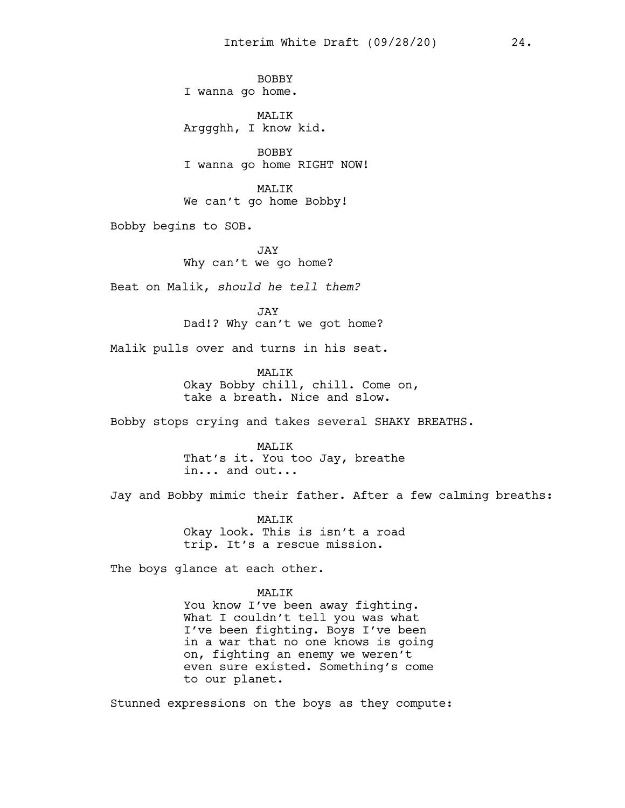BOBBY I wanna go home.

MALIK Arggghh, I know kid.

BOBBY I wanna go home RIGHT NOW!

MALIK We can't go home Bobby!

Bobby begins to SOB.

JAY Why can't we go home?

Beat on Malik, *should he tell them?*

JAY Dad!? Why can't we got home?

Malik pulls over and turns in his seat.

MAT.TK Okay Bobby chill, chill. Come on, take a breath. Nice and slow.

Bobby stops crying and takes several SHAKY BREATHS.

MALIK That's it. You too Jay, breathe in... and out...

Jay and Bobby mimic their father. After a few calming breaths:

MALIK Okay look. This is isn't a road trip. It's a rescue mission.

The boys glance at each other.

MALIK

You know I've been away fighting. What I couldn't tell you was what I've been fighting. Boys I've been in a war that no one knows is going on, fighting an enemy we weren't even sure existed. Something's come to our planet.

Stunned expressions on the boys as they compute: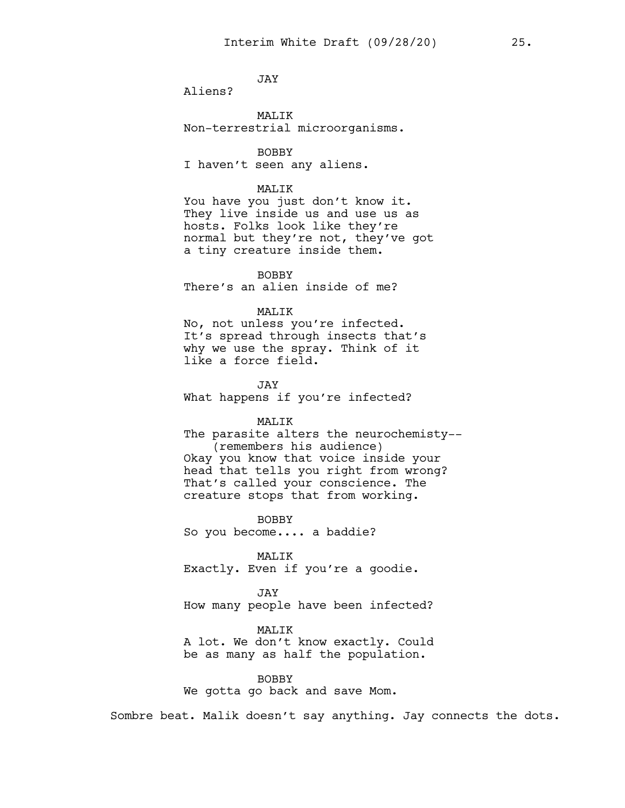JAY

Aliens?

MALIK Non-terrestrial microorganisms.

BOBBY I haven't seen any aliens.

# MALIK

You have you just don't know it. They live inside us and use us as hosts. Folks look like they're normal but they're not, they've got a tiny creature inside them.

BOBBY

There's an alien inside of me?

### MALIK

No, not unless you're infected. It's spread through insects that's why we use the spray. Think of it like a force field.

JAY What happens if you're infected?

#### MALIK

The parasite alters the neurochemisty-- (remembers his audience) Okay you know that voice inside your head that tells you right from wrong? That's called your conscience. The creature stops that from working.

BOBBY So you become.... a baddie?

MALIK Exactly. Even if you're a goodie.

JAY How many people have been infected?

MALIK

A lot. We don't know exactly. Could be as many as half the population.

#### BOBBY

We gotta go back and save Mom.

Sombre beat. Malik doesn't say anything. Jay connects the dots.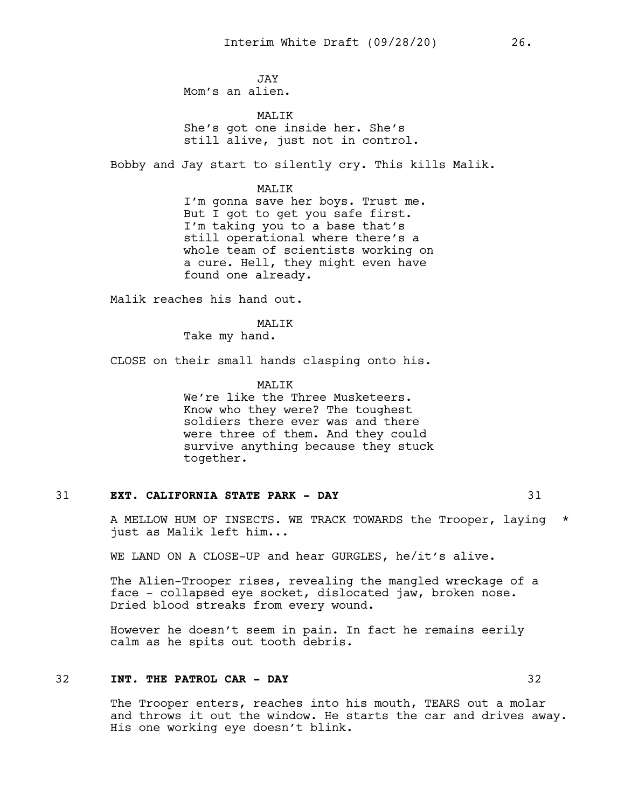JAY Mom's an alien.

MAT<sub>I</sub>TK She's got one inside her. She's still alive, just not in control.

Bobby and Jay start to silently cry. This kills Malik.

MALIK

I'm gonna save her boys. Trust me. But I got to get you safe first. I'm taking you to a base that's still operational where there's a whole team of scientists working on a cure. Hell, they might even have found one already.

Malik reaches his hand out.

MAT<sub>I</sub>TK

Take my hand.

CLOSE on their small hands clasping onto his.

MAT<sub>I</sub>TK We're like the Three Musketeers. Know who they were? The toughest soldiers there ever was and there were three of them. And they could survive anything because they stuck together.

### 31 **EXT. CALIFORNIA STATE PARK - DAY** 31

A MELLOW HUM OF INSECTS. WE TRACK TOWARDS the Trooper, laying \* just as Malik left him...

WE LAND ON A CLOSE-UP and hear GURGLES, he/it's alive.

The Alien-Trooper rises, revealing the mangled wreckage of a face - collapsed eye socket, dislocated jaw, broken nose. Dried blood streaks from every wound.

However he doesn't seem in pain. In fact he remains eerily calm as he spits out tooth debris.

# 32 **INT. THE PATROL CAR - DAY** 32

The Trooper enters, reaches into his mouth, TEARS out a molar and throws it out the window. He starts the car and drives away. His one working eye doesn't blink.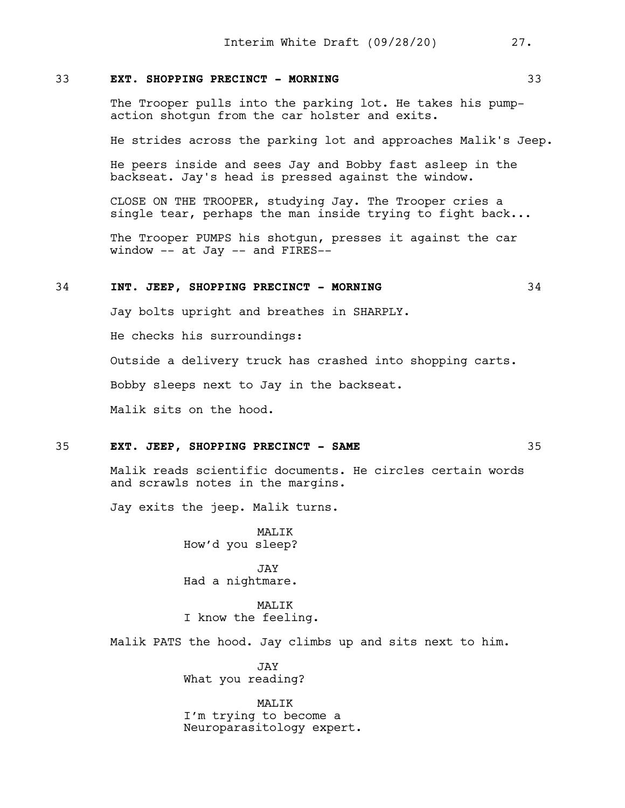### 33 **EXT. SHOPPING PRECINCT - MORNING** 33

The Trooper pulls into the parking lot. He takes his pumpaction shotgun from the car holster and exits.

He strides across the parking lot and approaches Malik's Jeep.

He peers inside and sees Jay and Bobby fast asleep in the backseat. Jay's head is pressed against the window.

CLOSE ON THE TROOPER, studying Jay. The Trooper cries a single tear, perhaps the man inside trying to fight back...

The Trooper PUMPS his shotgun, presses it against the car window -- at Jay -- and FIRES--

# 34 **INT. JEEP, SHOPPING PRECINCT - MORNING** 34

Jay bolts upright and breathes in SHARPLY.

He checks his surroundings:

Outside a delivery truck has crashed into shopping carts.

Bobby sleeps next to Jay in the backseat.

Malik sits on the hood.

## 35 **EXT. JEEP, SHOPPING PRECINCT - SAME** 35

Malik reads scientific documents. He circles certain words and scrawls notes in the margins.

Jay exits the jeep. Malik turns.

MALIK How'd you sleep?

JAY Had a nightmare.

MALIK I know the feeling.

Malik PATS the hood. Jay climbs up and sits next to him.

JAY What you reading?

MALIK I'm trying to become a Neuroparasitology expert.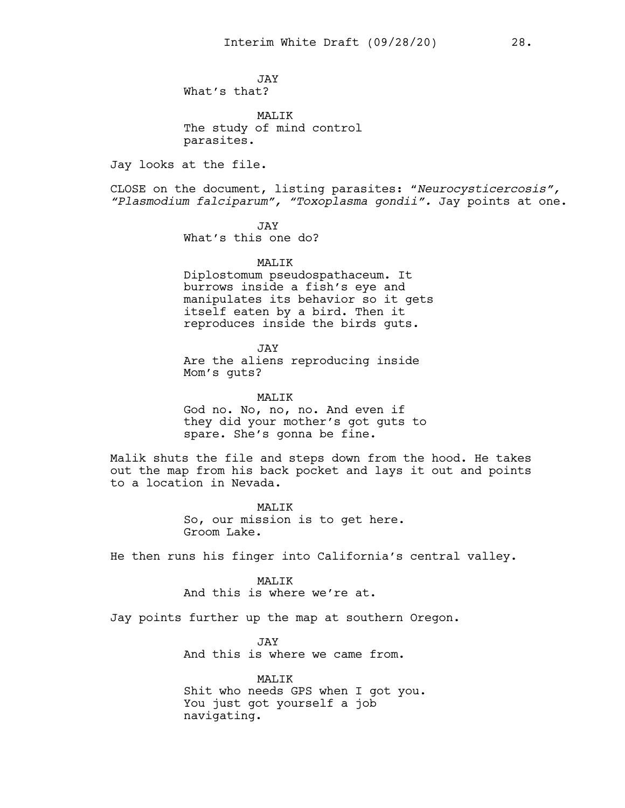JAY What's that?

MALIK The study of mind control parasites.

Jay looks at the file.

CLOSE on the document, listing parasites: "*Neurocysticercosis", "Plasmodium falciparum", "Toxoplasma gondii".* Jay points at one.

> JAY What's this one do?

> > MALIK

Diplostomum pseudospathaceum. It burrows inside a fish's eye and manipulates its behavior so it gets itself eaten by a bird. Then it reproduces inside the birds guts.

JAY Are the aliens reproducing inside Mom's guts?

MALIK God no. No, no, no. And even if they did your mother's got guts to spare. She's gonna be fine.

Malik shuts the file and steps down from the hood. He takes out the map from his back pocket and lays it out and points to a location in Nevada.

> MAT.TK So, our mission is to get here. Groom Lake.

He then runs his finger into California's central valley.

#### MAT<sub>I</sub>TK

And this is where we're at.

Jay points further up the map at southern Oregon.

JAY And this is where we came from.

MALIK Shit who needs GPS when I got you. You just got yourself a job navigating.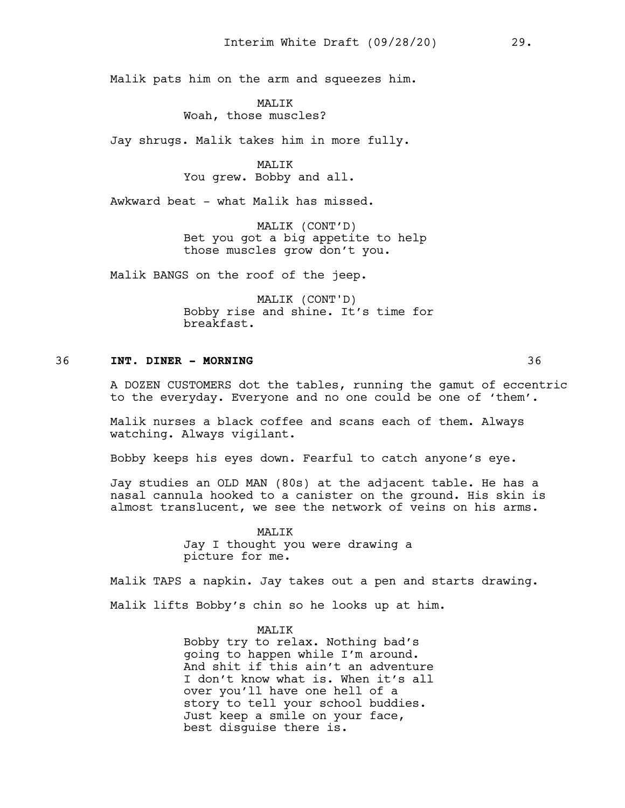Malik pats him on the arm and squeezes him.

**MALIK** Woah, those muscles?

Jay shrugs. Malik takes him in more fully.

MALIK You grew. Bobby and all.

Awkward beat - what Malik has missed.

MALIK (CONT'D) Bet you got a big appetite to help those muscles grow don't you.

Malik BANGS on the roof of the jeep.

MALIK (CONT'D) Bobby rise and shine. It's time for breakfast.

#### 36 **INT. DINER - MORNING** 36

A DOZEN CUSTOMERS dot the tables, running the gamut of eccentric to the everyday. Everyone and no one could be one of 'them'.

Malik nurses a black coffee and scans each of them. Always watching. Always vigilant.

Bobby keeps his eyes down. Fearful to catch anyone's eye.

Jay studies an OLD MAN (80s) at the adjacent table. He has a nasal cannula hooked to a canister on the ground. His skin is almost translucent, we see the network of veins on his arms.

> MALIK Jay I thought you were drawing a picture for me.

Malik TAPS a napkin. Jay takes out a pen and starts drawing.

Malik lifts Bobby's chin so he looks up at him.

MALIK Bobby try to relax. Nothing bad's going to happen while I'm around. And shit if this ain't an adventure I don't know what is. When it's all over you'll have one hell of a story to tell your school buddies. Just keep a smile on your face, best disguise there is.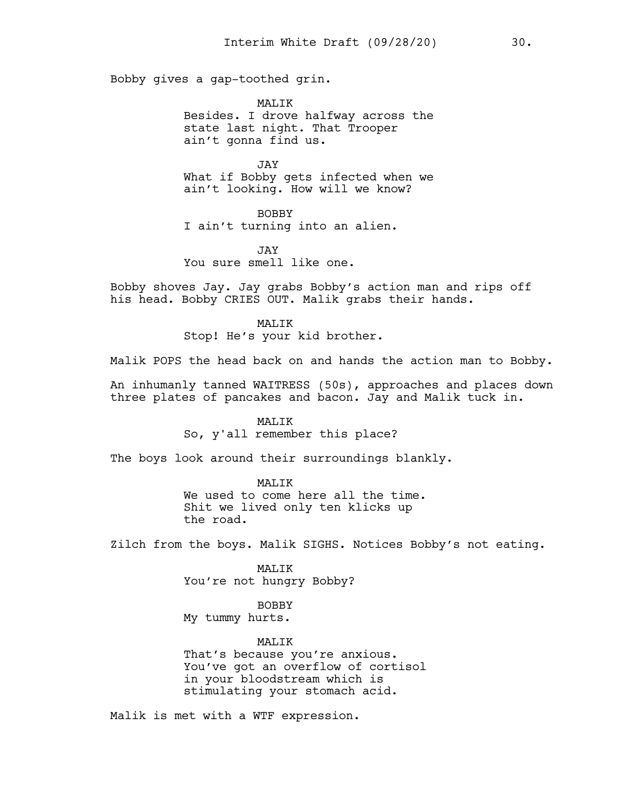Bobby gives a gap-toothed grin.

MAT.TK Besides. I drove halfway across the state last night. That Trooper ain't gonna find us.

JAY What if Bobby gets infected when we ain't looking. How will we know?

BOBBY I ain't turning into an alien.

JAY You sure smell like one.

Bobby shoves Jay. Jay grabs Bobby's action man and rips off his head. Bobby CRIES OUT. Malik grabs their hands.

> MALIK Stop! He's your kid brother.

Malik POPS the head back on and hands the action man to Bobby.

An inhumanly tanned WAITRESS (50s), approaches and places down three plates of pancakes and bacon. Jay and Malik tuck in.

> MALIK So, y'all remember this place?

The boys look around their surroundings blankly.

MAT.TK We used to come here all the time. Shit we lived only ten klicks up the road.

Zilch from the boys. Malik SIGHS. Notices Bobby's not eating.

MALIK You're not hungry Bobby?

BOBBY My tummy hurts.

MAT.TK That's because you're anxious. You've got an overflow of cortisol in your bloodstream which is stimulating your stomach acid.

Malik is met with a WTF expression.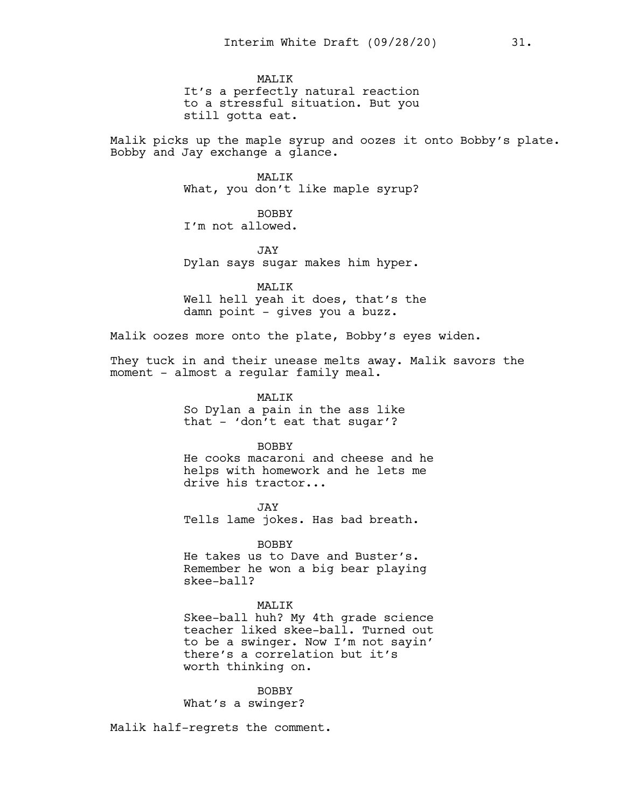MAT<sub>I</sub>TK It's a perfectly natural reaction to a stressful situation. But you still gotta eat.

Malik picks up the maple syrup and oozes it onto Bobby's plate. Bobby and Jay exchange a glance.

> MAT<sub>I</sub>TK What, you don't like maple syrup?

BOBBY I'm not allowed.

JAY Dylan says sugar makes him hyper.

MALIK Well hell yeah it does, that's the damn point - gives you a buzz.

Malik oozes more onto the plate, Bobby's eyes widen.

They tuck in and their unease melts away. Malik savors the moment - almost a regular family meal.

> MALIK So Dylan a pain in the ass like that - 'don't eat that sugar'?

BOBBY He cooks macaroni and cheese and he helps with homework and he lets me drive his tractor...

JAY Tells lame jokes. Has bad breath.

BOBBY He takes us to Dave and Buster's. Remember he won a big bear playing

MALIK

Skee-ball huh? My 4th grade science teacher liked skee-ball. Turned out to be a swinger. Now I'm not sayin' there's a correlation but it's worth thinking on.

BOBBY What's a swinger?

Malik half-regrets the comment.

skee-ball?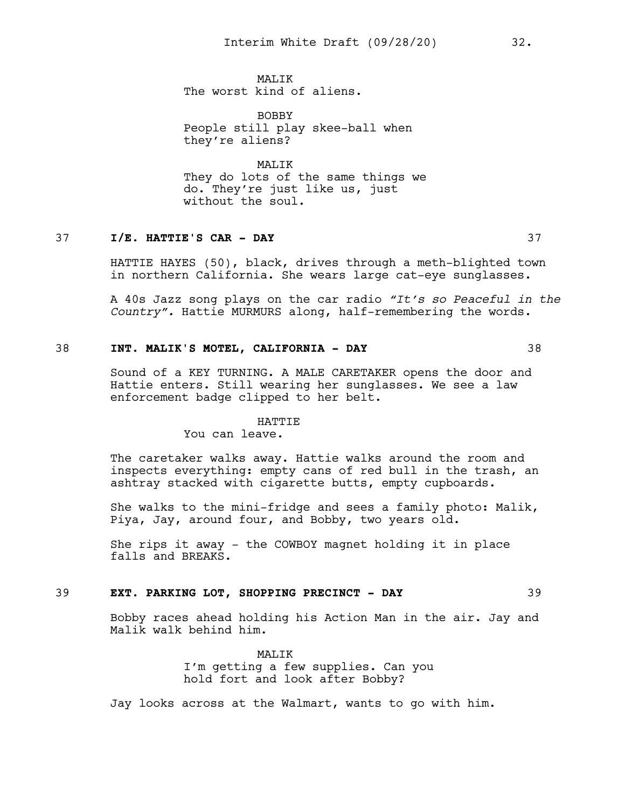MAT.TK The worst kind of aliens.

BOBBY People still play skee-ball when they're aliens?

MALIK They do lots of the same things we do. They're just like us, just without the soul.

# 37 **I/E. HATTIE'S CAR - DAY** 37

HATTIE HAYES (50), black, drives through a meth-blighted town in northern California. She wears large cat-eye sunglasses.

A 40s Jazz song plays on the car radio *"It's so Peaceful in the Country".* Hattie MURMURS along, half-remembering the words.

## 38 **INT. MALIK'S MOTEL, CALIFORNIA - DAY** 38

Sound of a KEY TURNING. A MALE CARETAKER opens the door and Hattie enters. Still wearing her sunglasses. We see a law enforcement badge clipped to her belt.

#### HATTIE

You can leave.

The caretaker walks away. Hattie walks around the room and inspects everything: empty cans of red bull in the trash, an ashtray stacked with cigarette butts, empty cupboards.

She walks to the mini-fridge and sees a family photo: Malik, Piya, Jay, around four, and Bobby, two years old.

She rips it away - the COWBOY magnet holding it in place falls and BREAKS.

#### 39 **EXT. PARKING LOT, SHOPPING PRECINCT - DAY** 39

Bobby races ahead holding his Action Man in the air. Jay and Malik walk behind him.

> MAT<sub>I</sub>TK I'm getting a few supplies. Can you hold fort and look after Bobby?

Jay looks across at the Walmart, wants to go with him.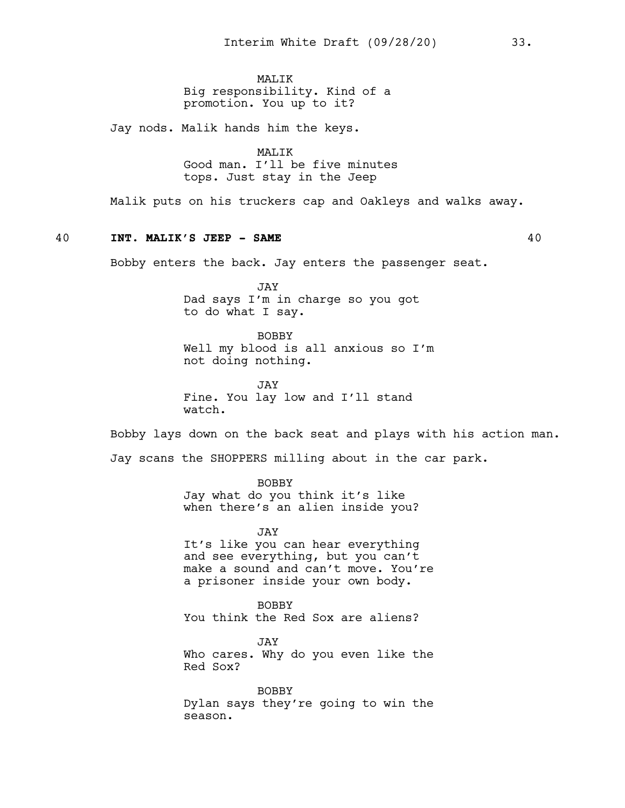MAT<sub>I</sub>TK Big responsibility. Kind of a promotion. You up to it?

Jay nods. Malik hands him the keys.

MALIK Good man. I'll be five minutes tops. Just stay in the Jeep

Malik puts on his truckers cap and Oakleys and walks away.

# 40 **INT. MALIK'S JEEP - SAME** 40

Bobby enters the back. Jay enters the passenger seat.

JAY Dad says I'm in charge so you got to do what I say.

BOBBY Well my blood is all anxious so I'm not doing nothing.

JAY Fine. You lay low and I'll stand watch.

Bobby lays down on the back seat and plays with his action man.

Jay scans the SHOPPERS milling about in the car park.

BOBBY

Jay what do you think it's like when there's an alien inside you?

JAY It's like you can hear everything and see everything, but you can't make a sound and can't move. You're a prisoner inside your own body.

BOBBY You think the Red Sox are aliens?

JAY Who cares. Why do you even like the Red Sox?

BOBBY Dylan says they're going to win the season.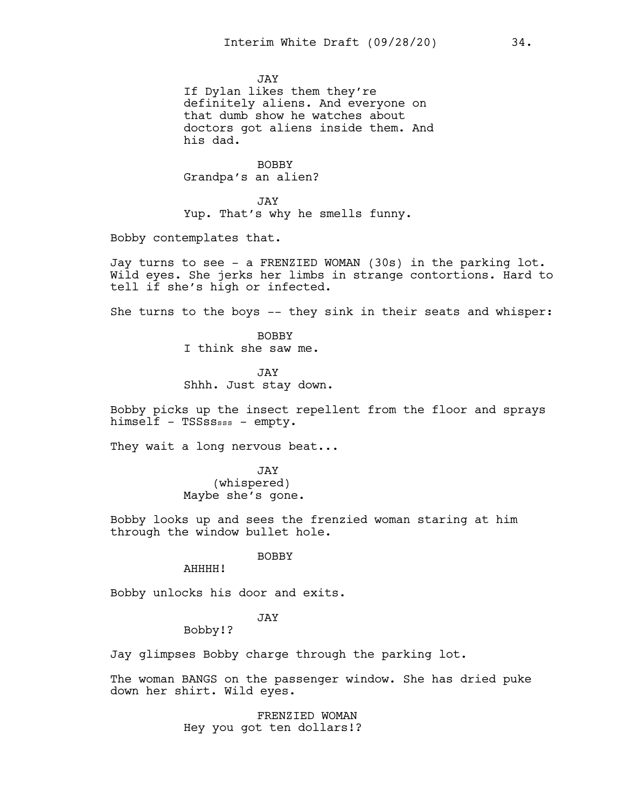JAY

If Dylan likes them they're definitely aliens. And everyone on that dumb show he watches about doctors got aliens inside them. And his dad.

BOBBY Grandpa's an alien?

JAY Yup. That's why he smells funny.

Bobby contemplates that.

Jay turns to see - a FRENZIED WOMAN (30s) in the parking lot. Wild eyes. She jerks her limbs in strange contortions. Hard to tell if she's high or infected.

She turns to the boys -- they sink in their seats and whisper:

BOBBY I think she saw me.

JAY Shhh. Just stay down.

Bobby picks up the insect repellent from the floor and sprays himself - TSSsssss - empty.

They wait a long nervous beat...

JAY (whispered) Maybe she's gone.

Bobby looks up and sees the frenzied woman staring at him through the window bullet hole.

BOBBY

AHHHH!

Bobby unlocks his door and exits.

# JAY

Bobby!?

Jay glimpses Bobby charge through the parking lot.

The woman BANGS on the passenger window. She has dried puke down her shirt. Wild eyes.

> FRENZIED WOMAN Hey you got ten dollars!?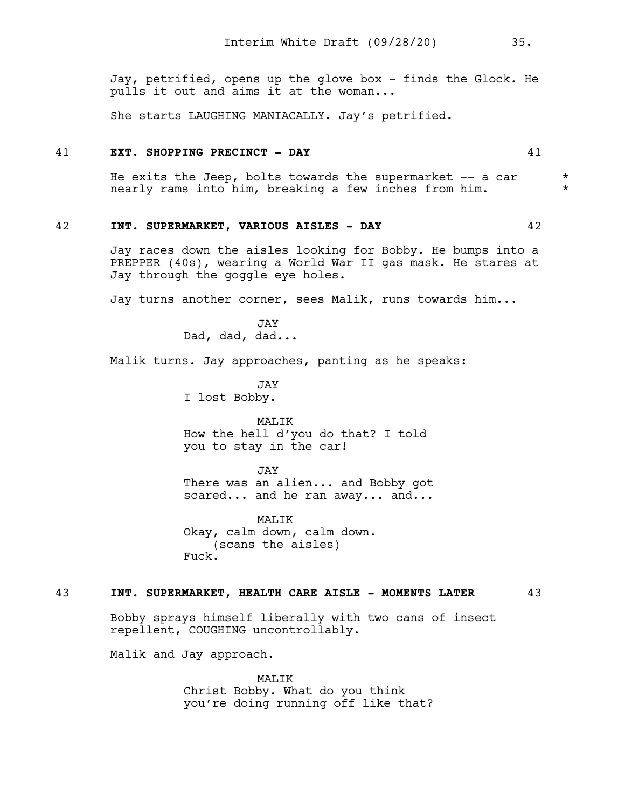Jay, petrified, opens up the glove box - finds the Glock. He pulls it out and aims it at the woman...

She starts LAUGHING MANIACALLY. Jay's petrified.

### 41 **EXT. SHOPPING PRECINCT - DAY** 41

He exits the Jeep, bolts towards the supermarket  $--$  a car  $*$ nearly rams into him, breaking a few inches from him.

### 42 **INT. SUPERMARKET, VARIOUS AISLES - DAY** 42

Jay races down the aisles looking for Bobby. He bumps into a PREPPER (40s), wearing a World War II gas mask. He stares at Jay through the goggle eye holes.

Jay turns another corner, sees Malik, runs towards him...

JAY Dad, dad, dad...

Malik turns. Jay approaches, panting as he speaks:

JAY I lost Bobby.

MALIK How the hell d'you do that? I told you to stay in the car!

JAY

There was an alien... and Bobby got scared... and he ran away... and...

MALIK Okay, calm down, calm down. (scans the aisles) Fuck.

#### 43 **INT. SUPERMARKET, HEALTH CARE AISLE - MOMENTS LATER** 43

Bobby sprays himself liberally with two cans of insect repellent, COUGHING uncontrollably.

Malik and Jay approach.

MALIK Christ Bobby. What do you think you're doing running off like that?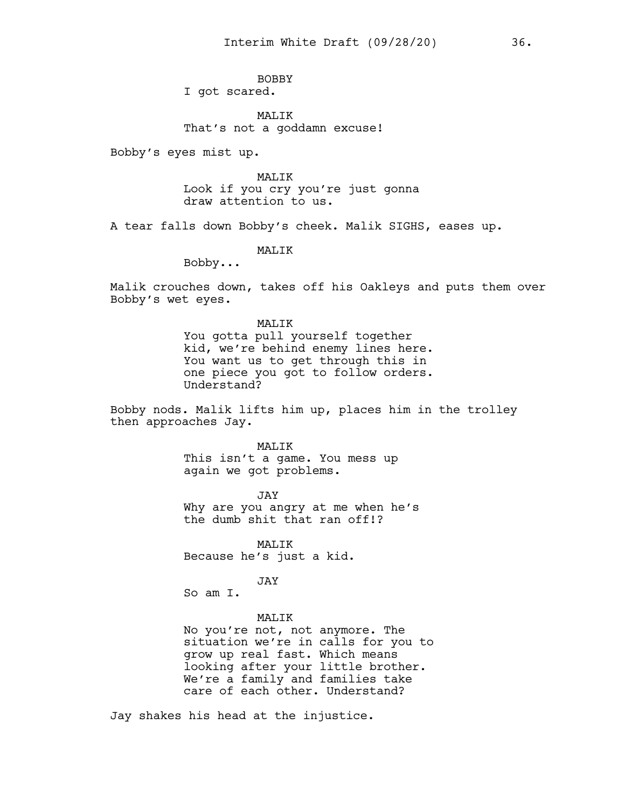BOBBY I got scared.

MALIK That's not a goddamn excuse!

Bobby's eyes mist up.

MALIK Look if you cry you're just gonna draw attention to us.

A tear falls down Bobby's cheek. Malik SIGHS, eases up.

MALIK

Bobby...

Malik crouches down, takes off his Oakleys and puts them over Bobby's wet eyes.

> MALIK You gotta pull yourself together kid, we're behind enemy lines here. You want us to get through this in one piece you got to follow orders. Understand?

Bobby nods. Malik lifts him up, places him in the trolley then approaches Jay.

> MALIK This isn't a game. You mess up again we got problems.

JAY Why are you angry at me when he's the dumb shit that ran off!?

MALIK Because he's just a kid.

JAY

So am I.

# MALIK

No you're not, not anymore. The situation we're in calls for you to grow up real fast. Which means looking after your little brother. We're a family and families take care of each other. Understand?

Jay shakes his head at the injustice.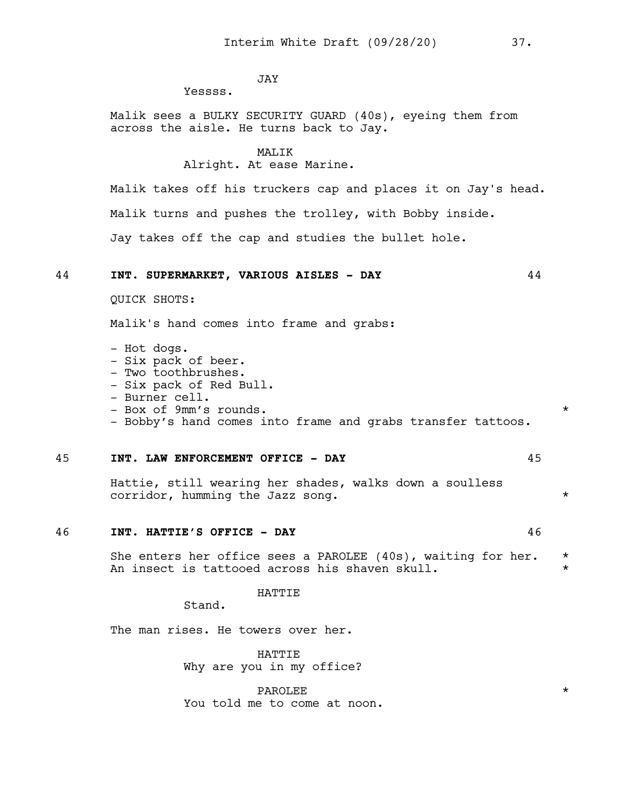# **JAY**

Yessss.

Malik sees a BULKY SECURITY GUARD (40s), eyeing them from across the aisle. He turns back to Jay.

#### MALIK

# Alright. At ease Marine.

Malik takes off his truckers cap and places it on Jay's head. Malik turns and pushes the trolley, with Bobby inside. Jay takes off the cap and studies the bullet hole.

# 44 **INT. SUPERMARKET, VARIOUS AISLES - DAY** 44

QUICK SHOTS:

Malik's hand comes into frame and grabs:

- Hot dogs. - Six pack of beer. - Two toothbrushes. - Six pack of Red Bull. - Burner cell. - Box of 9mm's rounds. - Bobby's hand comes into frame and grabs transfer tattoos.

## 45 **INT. LAW ENFORCEMENT OFFICE - DAY** 45

Hattie, still wearing her shades, walks down a soulless corridor, humming the Jazz song.

#### 46 **INT. HATTIE'S OFFICE - DAY** 46

She enters her office sees a PAROLEE (40s), waiting for her. \* An insect is tattooed across his shaven skull.

## **HATTIE**

Stand.

The man rises. He towers over her.

HATTIE Why are you in my office?

PAROLEE  $\qquad \qquad \star$ You told me to come at noon.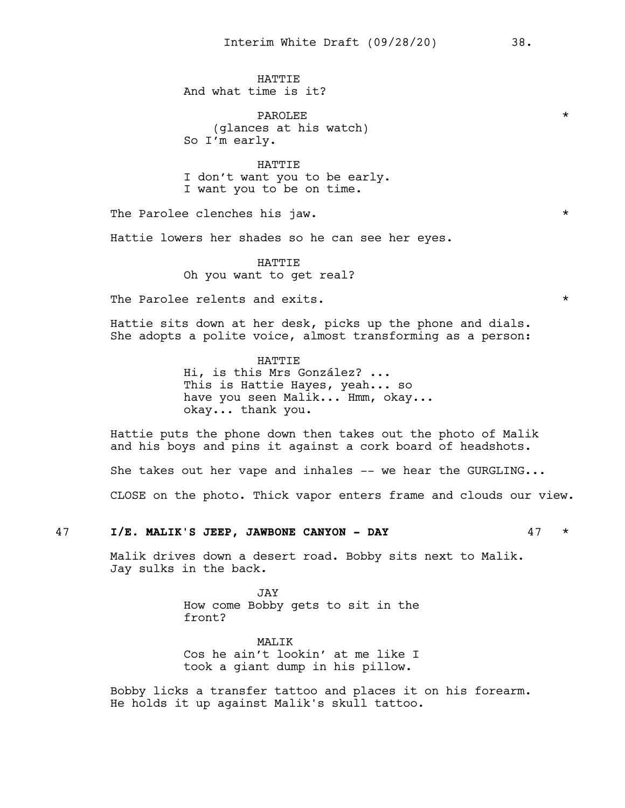**HATTIE** And what time is it?

PAROLEE \* (glances at his watch) So I'm early.

HATTIE I don't want you to be early. I want you to be on time.

The Parolee clenches his jaw.

Hattie lowers her shades so he can see her eyes.

HATTIE Oh you want to get real?

The Parolee relents and exits. The exists  $\star$ 

Hattie sits down at her desk, picks up the phone and dials. She adopts a polite voice, almost transforming as a person:

> HATTIE Hi, is this Mrs González? ... This is Hattie Hayes, yeah... so have you seen Malik... Hmm, okay... okay... thank you.

Hattie puts the phone down then takes out the photo of Malik and his boys and pins it against a cork board of headshots.

She takes out her vape and inhales -- we hear the GURGLING...

CLOSE on the photo. Thick vapor enters frame and clouds our view.

## 47 **I/E. MALIK'S JEEP, JAWBONE CANYON - DAY** 47 \*

Malik drives down a desert road. Bobby sits next to Malik. Jay sulks in the back.

> JAY How come Bobby gets to sit in the front?

> MAT<sub>I</sub>TK Cos he ain't lookin' at me like I took a giant dump in his pillow.

Bobby licks a transfer tattoo and places it on his forearm. He holds it up against Malik's skull tattoo.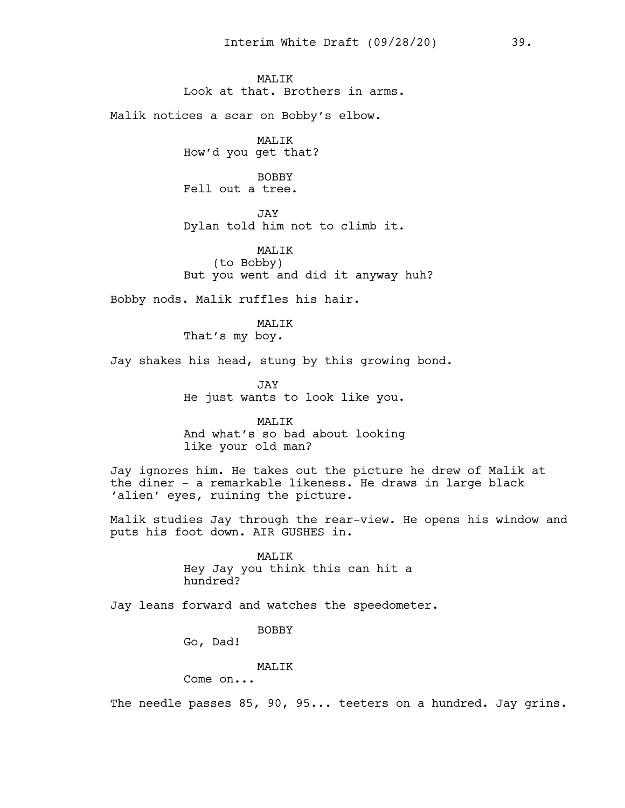MAT.TK Look at that. Brothers in arms.

Malik notices a scar on Bobby's elbow.

MALIK How'd you get that?

BOBBY Fell out a tree.

JAY Dylan told him not to climb it.

MALIK (to Bobby) But you went and did it anyway huh?

Bobby nods. Malik ruffles his hair.

MALIK That's my boy.

Jay shakes his head, stung by this growing bond.

JAY He just wants to look like you.

MALIK And what's so bad about looking like your old man?

Jay ignores him. He takes out the picture he drew of Malik at the diner - a remarkable likeness. He draws in large black 'alien' eyes, ruining the picture.

Malik studies Jay through the rear-view. He opens his window and puts his foot down. AIR GUSHES in.

> MALIK Hey Jay you think this can hit a hundred?

Jay leans forward and watches the speedometer.

BOBBY

Go, Dad!

MALIK

Come on...

The needle passes 85, 90, 95... teeters on a hundred. Jay grins.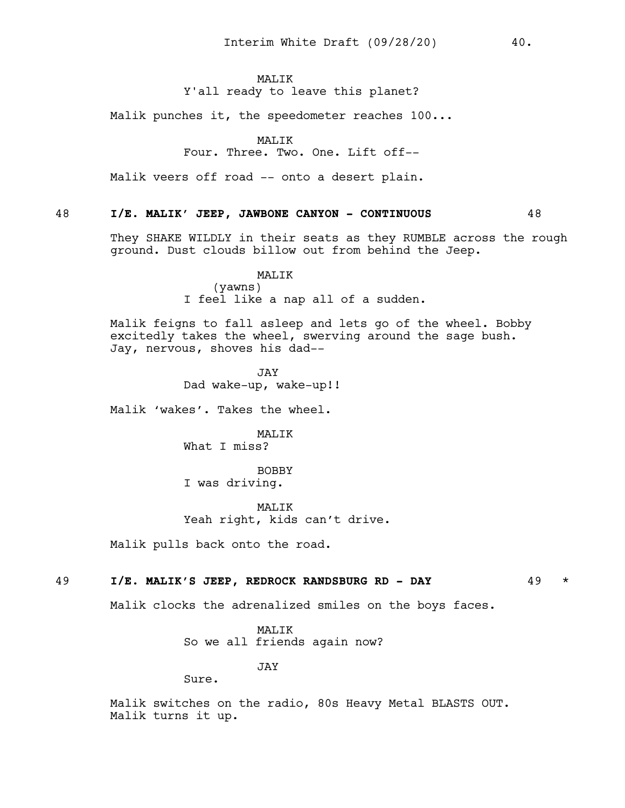# MAT<sub>I</sub>TK

# Y'all ready to leave this planet?

Malik punches it, the speedometer reaches 100...

## MALIK

# Four. Three. Two. One. Lift off--

Malik veers off road -- onto a desert plain.

# 48 **I/E. MALIK' JEEP, JAWBONE CANYON - CONTINUOUS** 48

They SHAKE WILDLY in their seats as they RUMBLE across the rough ground. Dust clouds billow out from behind the Jeep.

# MALIK (yawns) I feel like a nap all of a sudden.

Malik feigns to fall asleep and lets go of the wheel. Bobby excitedly takes the wheel, swerving around the sage bush. Jay, nervous, shoves his dad--

> **JAY** Dad wake-up, wake-up!!

Malik 'wakes'. Takes the wheel.

MALIK What I miss?

BOBBY I was driving.

MAT.TK Yeah right, kids can't drive.

Malik pulls back onto the road.

# 49 **I/E. MALIK'S JEEP, REDROCK RANDSBURG RD - DAY** 49 \*

Malik clocks the adrenalized smiles on the boys faces.

MALIK So we all friends again now?

JAY

Sure.

Malik switches on the radio, 80s Heavy Metal BLASTS OUT. Malik turns it up.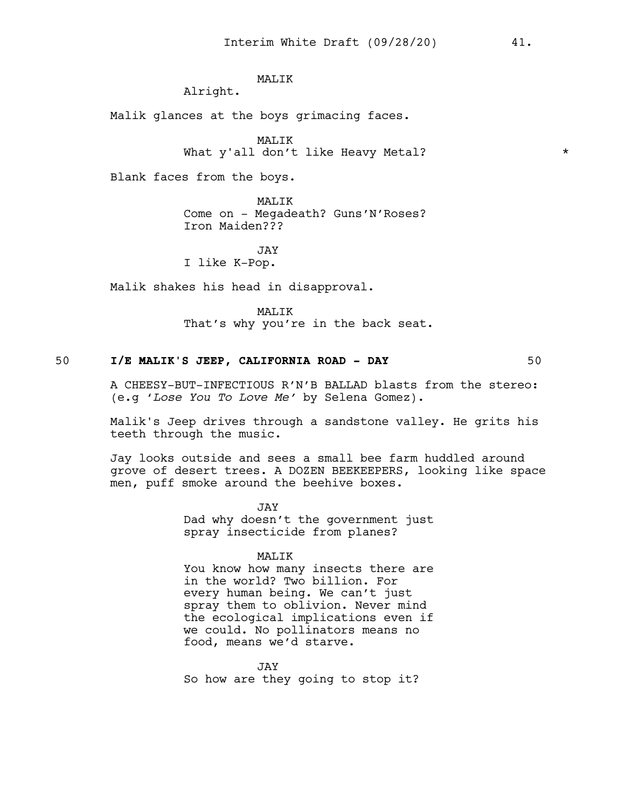# MALIK

Alright.

Malik glances at the boys grimacing faces.

MALIK What y'all don't like Heavy Metal?

Blank faces from the boys.

MALIK Come on - Megadeath? Guns'N'Roses? Iron Maiden???

JAY I like K-Pop.

Malik shakes his head in disapproval.

MALIK That's why you're in the back seat.

# 50 **I/E MALIK'S JEEP, CALIFORNIA ROAD - DAY** 50

A CHEESY-BUT-INFECTIOUS R'N'B BALLAD blasts from the stereo: (e.g '*Lose You To Love Me'* by Selena Gomez).

Malik's Jeep drives through a sandstone valley. He grits his teeth through the music.

Jay looks outside and sees a small bee farm huddled around grove of desert trees. A DOZEN BEEKEEPERS, looking like space men, puff smoke around the beehive boxes.

> JAY Dad why doesn't the government just spray insecticide from planes?

#### MALIK

You know how many insects there are in the world? Two billion. For every human being. We can't just spray them to oblivion. Never mind the ecological implications even if we could. No pollinators means no food, means we'd starve.

JAY So how are they going to stop it?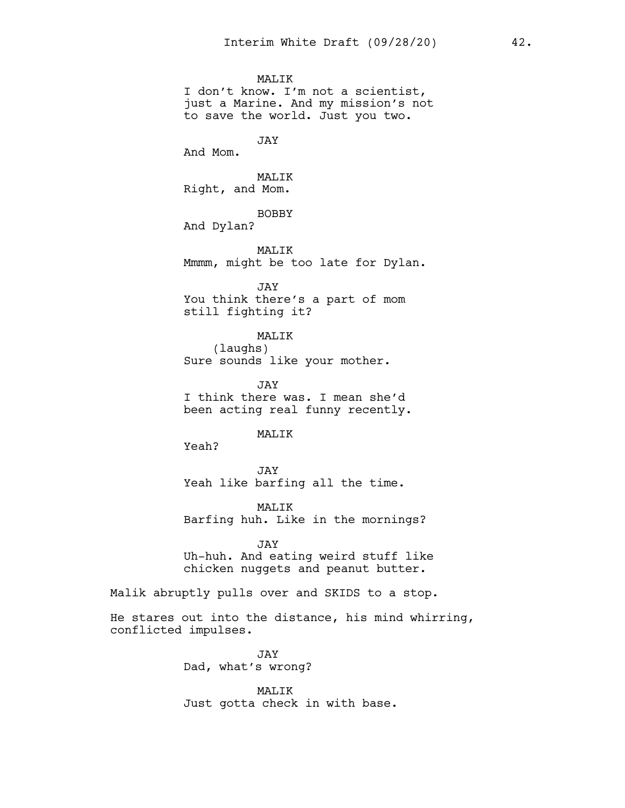MALIK I don't know. I'm not a scientist, just a Marine. And my mission's not to save the world. Just you two. JAY And Mom. MALIK Right, and Mom. BOBBY And Dylan? MALIK Mmmm, might be too late for Dylan. JAY You think there's a part of mom still fighting it? MALIK (laughs) Sure sounds like your mother. JAY I think there was. I mean she'd been acting real funny recently. MAT.TK Yeah?

JAY Yeah like barfing all the time.

MALIK Barfing huh. Like in the mornings?

JAY Uh-huh. And eating weird stuff like chicken nuggets and peanut butter.

Malik abruptly pulls over and SKIDS to a stop.

He stares out into the distance, his mind whirring, conflicted impulses.

> JAY Dad, what's wrong?

MALIK Just gotta check in with base.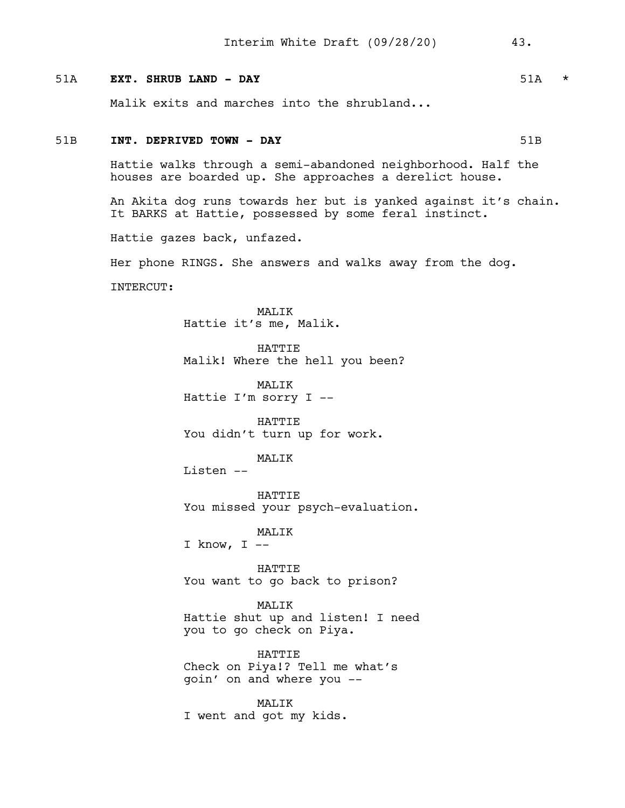# 51A **EXT. SHRUB LAND - DAY** 51A \*

Malik exits and marches into the shrubland...

# 51B **INT. DEPRIVED TOWN - DAY** 61B

Hattie walks through a semi-abandoned neighborhood. Half the houses are boarded up. She approaches a derelict house.

An Akita dog runs towards her but is yanked against it's chain. It BARKS at Hattie, possessed by some feral instinct.

Hattie gazes back, unfazed.

Her phone RINGS*.* She answers and walks away from the dog.

INTERCUT:

MALIK Hattie it's me, Malik.

**HATTIE** Malik! Where the hell you been?

MALIK Hattie I'm sorry I --

HATTIE You didn't turn up for work.

MALIK

Listen --

HATTIE You missed your psych-evaluation.

MALIK

I know,  $I$  --

HATTIE You want to go back to prison?

MALIK Hattie shut up and listen! I need you to go check on Piya.

HATTIE Check on Piya!? Tell me what's goin' on and where you --

MALIK I went and got my kids.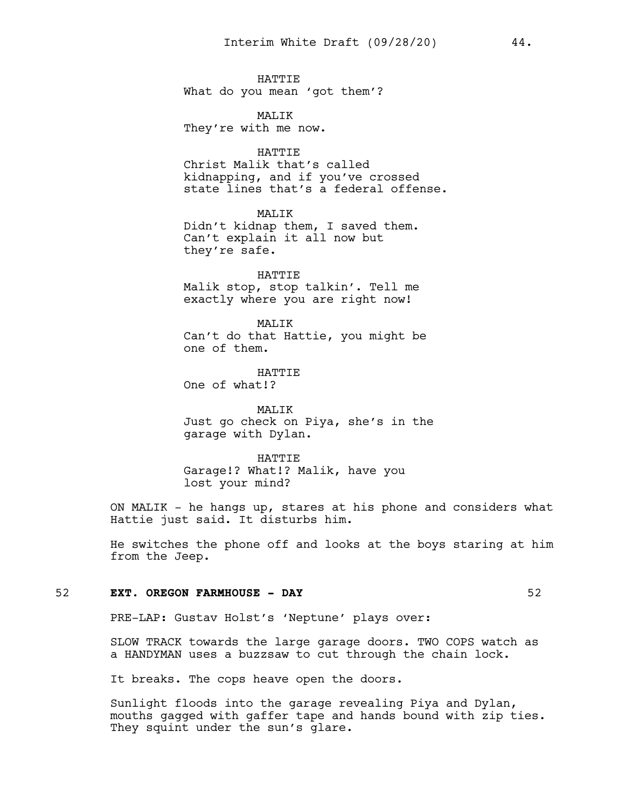**HATTIE** What do you mean 'got them'?

MALIK They're with me now.

HATTIE Christ Malik that's called kidnapping, and if you've crossed state lines that's a federal offense.

MAT<sub>I</sub>TK Didn't kidnap them, I saved them. Can't explain it all now but they're safe.

HATTIE Malik stop, stop talkin'. Tell me exactly where you are right now!

MAT<sub>I</sub>TK Can't do that Hattie, you might be one of them.

**HATTIE** One of what!?

MALIK Just go check on Piya, she's in the garage with Dylan.

HATTIE Garage!? What!? Malik, have you lost your mind?

ON MALIK - he hangs up, stares at his phone and considers what Hattie just said. It disturbs him.

He switches the phone off and looks at the boys staring at him from the Jeep.

## 52 **EXT. OREGON FARMHOUSE - DAY** 52

PRE-LAP: Gustav Holst's 'Neptune' plays over:

SLOW TRACK towards the large garage doors. TWO COPS watch as a HANDYMAN uses a buzzsaw to cut through the chain lock.

It breaks. The cops heave open the doors.

Sunlight floods into the garage revealing Piya and Dylan, mouths gagged with gaffer tape and hands bound with zip ties. They squint under the sun's glare.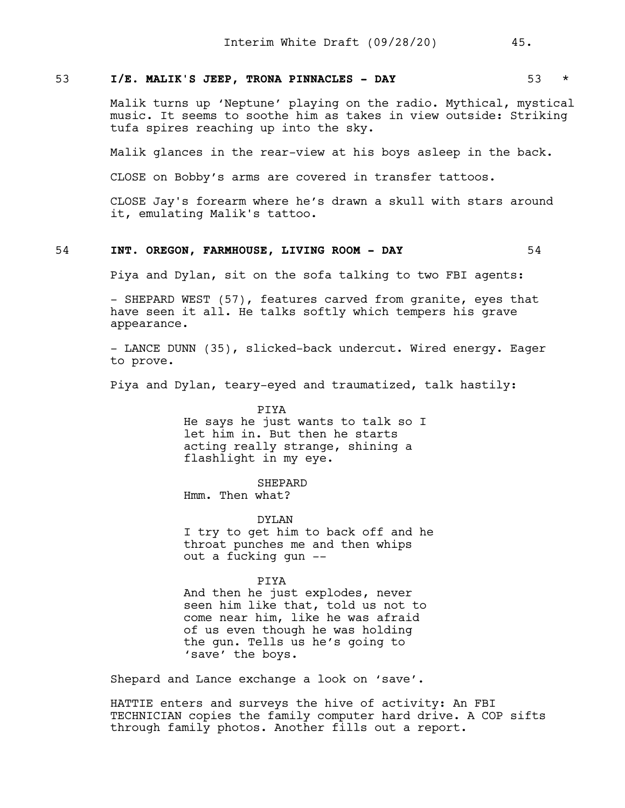# 53 **I/E. MALIK'S JEEP, TRONA PINNACLES - DAY** 53 \*

Malik turns up 'Neptune' playing on the radio. Mythical, mystical music. It seems to soothe him as takes in view outside: Striking tufa spires reaching up into the sky.

Malik glances in the rear-view at his boys asleep in the back.

CLOSE on Bobby's arms are covered in transfer tattoos.

CLOSE Jay's forearm where he's drawn a skull with stars around it, emulating Malik's tattoo.

# 54 **INT. OREGON, FARMHOUSE, LIVING ROOM - DAY** 54

Piya and Dylan, sit on the sofa talking to two FBI agents:

- SHEPARD WEST (57), features carved from granite, eyes that have seen it all. He talks softly which tempers his grave appearance.

- LANCE DUNN (35), slicked-back undercut. Wired energy. Eager to prove.

Piya and Dylan, teary-eyed and traumatized, talk hastily:

PIYA He says he just wants to talk so I let him in. But then he starts acting really strange, shining a flashlight in my eye.

SHEPARD Hmm. Then what?

DYLAN

I try to get him to back off and he throat punches me and then whips out a fucking gun --

#### PIYA

And then he just explodes, never seen him like that, told us not to come near him, like he was afraid of us even though he was holding the gun. Tells us he's going to 'save' the boys.

Shepard and Lance exchange a look on 'save'.

HATTIE enters and surveys the hive of activity: An FBI TECHNICIAN copies the family computer hard drive. A COP sifts through family photos. Another fills out a report.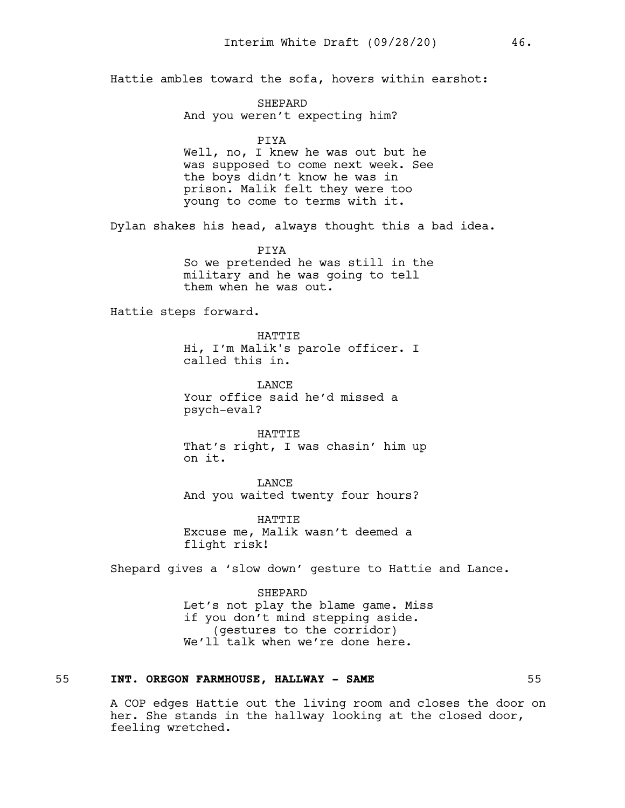Hattie ambles toward the sofa, hovers within earshot:

SHEPARD And you weren't expecting him?

## PIYA

Well, no, I knew he was out but he was supposed to come next week. See the boys didn't know he was in prison. Malik felt they were too young to come to terms with it.

Dylan shakes his head, always thought this a bad idea.

PIYA

So we pretended he was still in the military and he was going to tell them when he was out.

Hattie steps forward.

HATTIE Hi, I'm Malik's parole officer. I called this in.

**LANCE** Your office said he'd missed a psych-eval?

HATTIE That's right, I was chasin' him up on it.

LANCE And you waited twenty four hours?

HATTIE Excuse me, Malik wasn't deemed a flight risk!

Shepard gives a 'slow down' gesture to Hattie and Lance.

SHEPARD Let's not play the blame game. Miss if you don't mind stepping aside. (gestures to the corridor) We'll talk when we're done here.

# 55 **INT. OREGON FARMHOUSE, HALLWAY - SAME** 55

A COP edges Hattie out the living room and closes the door on her. She stands in the hallway looking at the closed door, feeling wretched.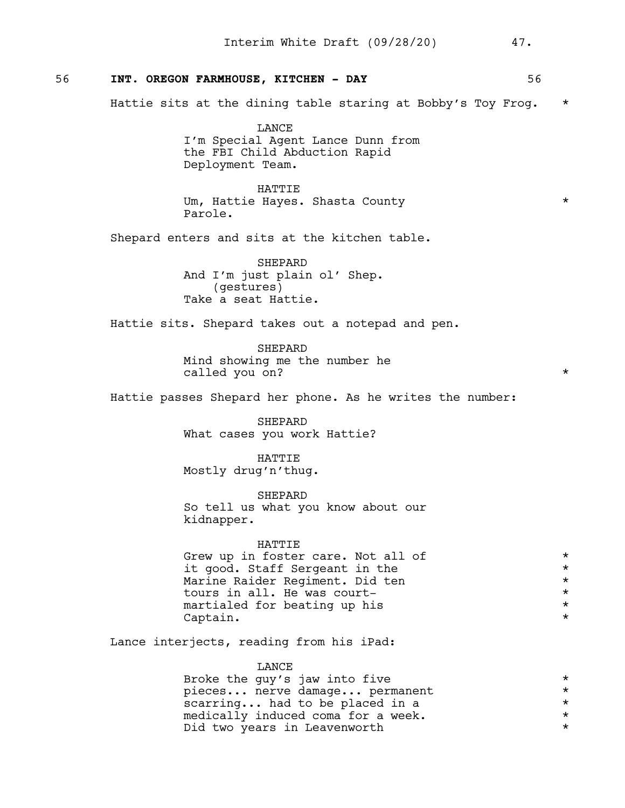# 56 **INT. OREGON FARMHOUSE, KITCHEN - DAY** 56

Hattie sits at the dining table staring at Bobby's Toy Frog. \*

LANCE I'm Special Agent Lance Dunn from the FBI Child Abduction Rapid Deployment Team.

HATTIE Um, Hattie Hayes. Shasta County \* Parole.

Shepard enters and sits at the kitchen table.

SHEPARD And I'm just plain ol' Shep. (gestures) Take a seat Hattie.

Hattie sits. Shepard takes out a notepad and pen.

SHEPARD Mind showing me the number he called you on?  $*$ 

Hattie passes Shepard her phone. As he writes the number:

SHEPARD What cases you work Hattie?

HATTIE Mostly drug'n'thug.

SHEPARD So tell us what you know about our kidnapper.

#### HATTIE

Grew up in foster care. Not all of  $*$ it good. Staff Sergeant in the  $\star$ <br>Marine Raider Regiment. Did ten  $\star$ Marine Raider Regiment. Did ten \* tours in all. He was court-<br>martialed for beating up his martialed for beating up his  $\star$ <br>Captain. Captain.

Lance interjects, reading from his iPad:

LANCE

Broke the guy's jaw into five  $\star$ <br>pieces... nerve damage... permanent  $\star$ pieces... nerve damage... permanent<br>scarring... had to be placed in a scarring... had to be placed in a  $*$  medically induced coma for a week. medically induced coma for a week. Did two years in Leavenworth  $*$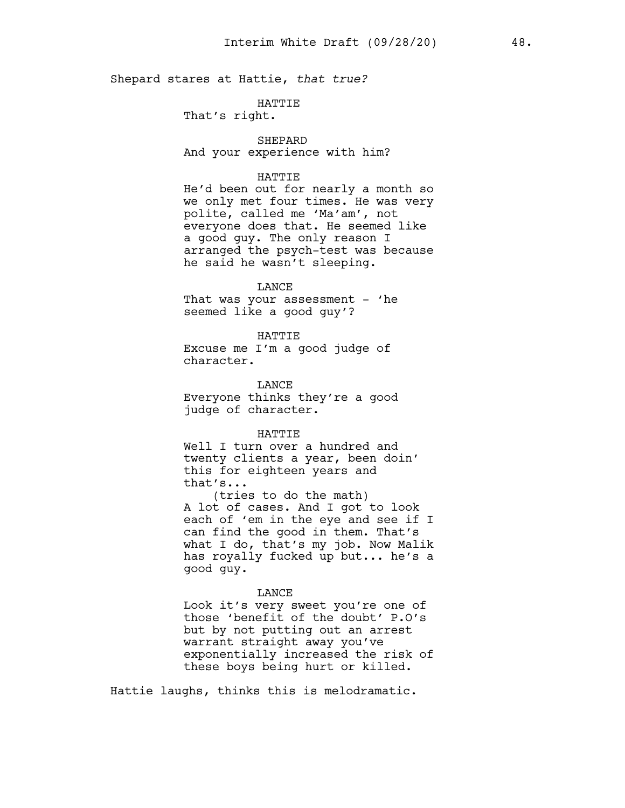Shepard stares at Hattie, *that true?*

# HATTIE

That's right.

# SHEPARD

And your experience with him?

## HATTIE

He'd been out for nearly a month so we only met four times. He was very polite, called me 'Ma'am', not everyone does that. He seemed like a good guy. The only reason I arranged the psych-test was because he said he wasn't sleeping.

## LANCE

That was your assessment - 'he seemed like a good guy'?

#### HATTIE

Excuse me I'm a good judge of character.

LANCE Everyone thinks they're a good judge of character.

#### HATTIE

Well I turn over a hundred and twenty clients a year, been doin' this for eighteen years and that's...

(tries to do the math) A lot of cases. And I got to look each of 'em in the eye and see if I can find the good in them. That's what I do, that's my job. Now Malik has royally fucked up but... he's a good guy.

# LANCE

Look it's very sweet you're one of those 'benefit of the doubt' P.O's but by not putting out an arrest warrant straight away you've exponentially increased the risk of these boys being hurt or killed.

Hattie laughs, thinks this is melodramatic.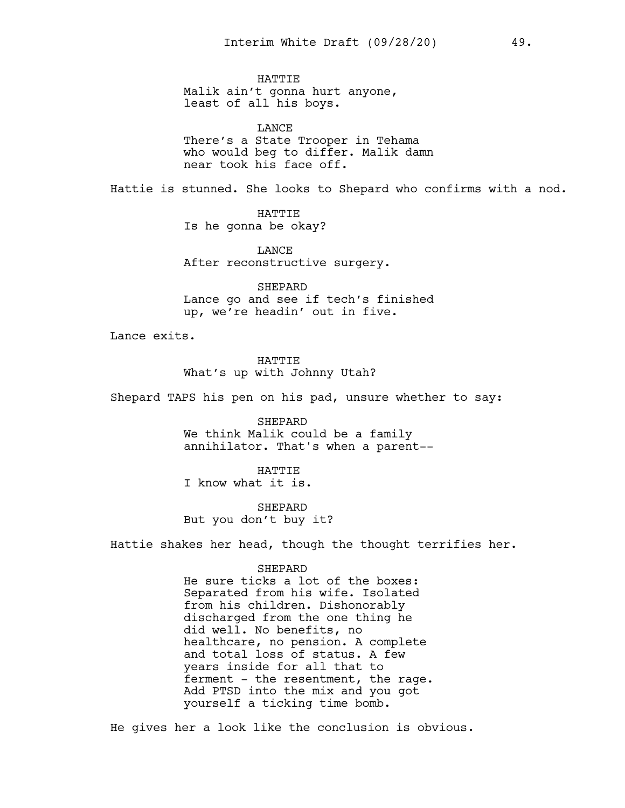**HATTIE** Malik ain't gonna hurt anyone, least of all his boys.

LANCE There's a State Trooper in Tehama who would beg to differ. Malik damn near took his face off.

Hattie is stunned. She looks to Shepard who confirms with a nod.

HATTIE Is he gonna be okay?

LANCE After reconstructive surgery.

SHEPARD Lance go and see if tech's finished up, we're headin' out in five.

Lance exits.

HATTIE What's up with Johnny Utah?

Shepard TAPS his pen on his pad, unsure whether to say:

SHEPARD We think Malik could be a family annihilator. That's when a parent--

HATTIE I know what it is.

**SHEPARD** But you don't buy it?

Hattie shakes her head, though the thought terrifies her.

#### SHEPARD

He sure ticks a lot of the boxes: Separated from his wife. Isolated from his children. Dishonorably discharged from the one thing he did well. No benefits, no healthcare, no pension. A complete and total loss of status. A few years inside for all that to ferment - the resentment, the rage. Add PTSD into the mix and you got yourself a ticking time bomb.

He gives her a look like the conclusion is obvious.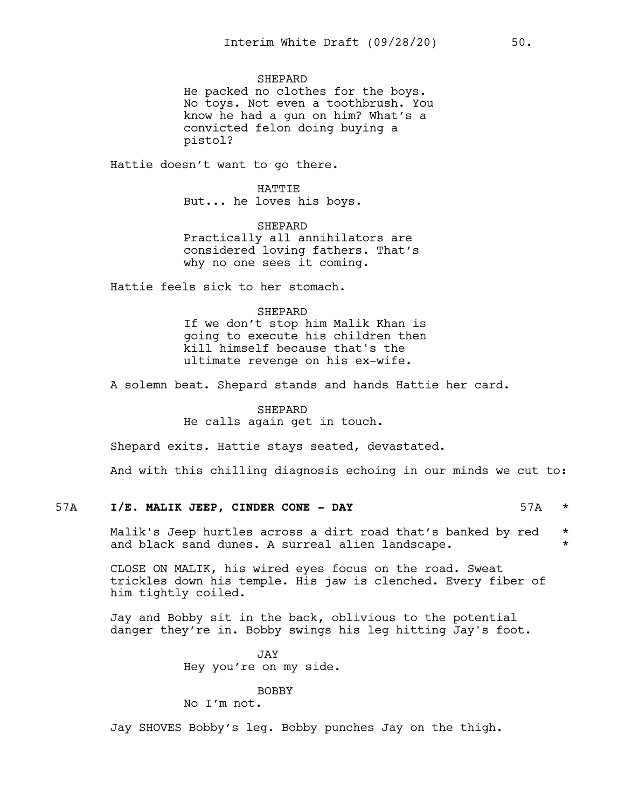**SHEPARD** 

He packed no clothes for the boys. No toys. Not even a toothbrush. You know he had a gun on him? What's a convicted felon doing buying a pistol?

Hattie doesn't want to go there.

HATTIE But... he loves his boys.

SHEPARD Practically all annihilators are considered loving fathers. That's why no one sees it coming.

Hattie feels sick to her stomach.

### **SHEPARD**

If we don't stop him Malik Khan is going to execute his children then kill himself because that's the ultimate revenge on his ex-wife.

A solemn beat. Shepard stands and hands Hattie her card.

# SHEPARD

He calls again get in touch.

Shepard exits. Hattie stays seated, devastated.

And with this chilling diagnosis echoing in our minds we cut to:

# 57A **I/E. MALIK JEEP, CINDER CONE - DAY** 57A \*

Malik's Jeep hurtles across a dirt road that's banked by red  $*$ and black sand dunes. A surreal alien landscape.  $*$ 

CLOSE ON MALIK, his wired eyes focus on the road. Sweat trickles down his temple. His jaw is clenched. Every fiber of him tightly coiled.

Jay and Bobby sit in the back, oblivious to the potential danger they're in. Bobby swings his leg hitting Jay's foot.

> JAY Hey you're on my side.

> > BOBBY

No I'm not.

Jay SHOVES Bobby's leg. Bobby punches Jay on the thigh.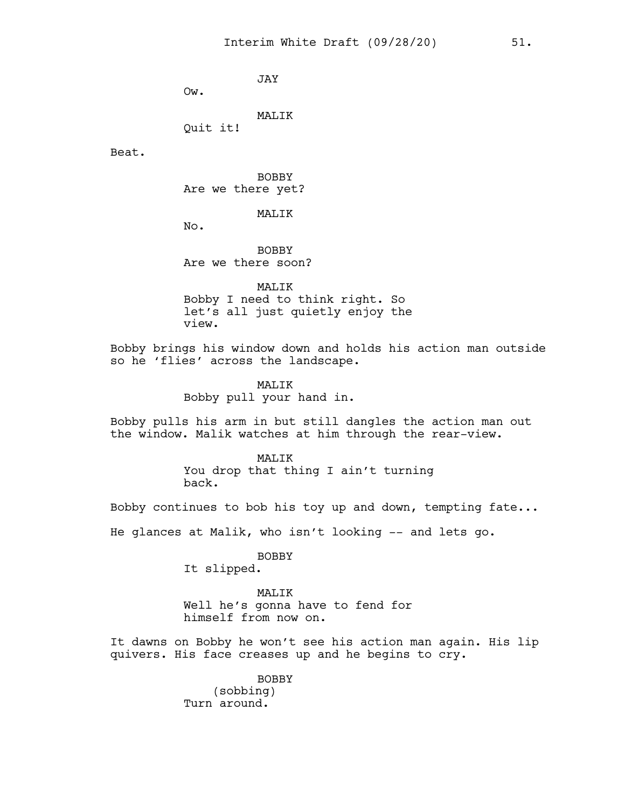JAY

Ow.

MALIK

Quit it!

Beat.

BOBBY Are we there yet?

MALIK

No.

BOBBY Are we there soon?

MALIK Bobby I need to think right. So let's all just quietly enjoy the view.

Bobby brings his window down and holds his action man outside so he 'flies' across the landscape.

> MALIK Bobby pull your hand in.

Bobby pulls his arm in but still dangles the action man out the window. Malik watches at him through the rear-view.

> **MALIK** You drop that thing I ain't turning back.

Bobby continues to bob his toy up and down, tempting fate...

He glances at Malik, who isn't looking -- and lets go.

BOBBY

It slipped.

MALIK Well he's gonna have to fend for himself from now on.

It dawns on Bobby he won't see his action man again. His lip quivers. His face creases up and he begins to cry.

> BOBBY (sobbing) Turn around.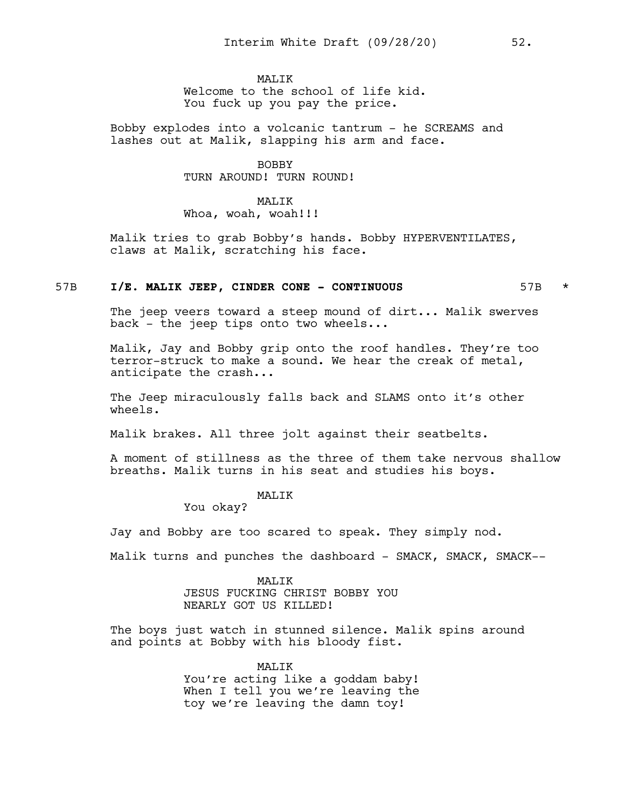# MAT<sub>I</sub>TK

Welcome to the school of life kid. You fuck up you pay the price.

Bobby explodes into a volcanic tantrum - he SCREAMS and lashes out at Malik, slapping his arm and face.

## BOBBY TURN AROUND! TURN ROUND!

# MALIK Whoa, woah, woah!!!

Malik tries to grab Bobby's hands. Bobby HYPERVENTILATES, claws at Malik, scratching his face.

# 57B **I/E. MALIK JEEP, CINDER CONE - CONTINUOUS** 57B \*

The jeep veers toward a steep mound of dirt... Malik swerves back - the jeep tips onto two wheels...

Malik, Jay and Bobby grip onto the roof handles. They're too terror-struck to make a sound. We hear the creak of metal, anticipate the crash...

The Jeep miraculously falls back and SLAMS onto it's other wheels.

Malik brakes. All three jolt against their seatbelts.

A moment of stillness as the three of them take nervous shallow breaths. Malik turns in his seat and studies his boys.

#### MALIK

You okay?

Jay and Bobby are too scared to speak. They simply nod.

Malik turns and punches the dashboard - SMACK, SMACK, SMACK--

MALIK JESUS FUCKING CHRIST BOBBY YOU NEARLY GOT US KILLED!

The boys just watch in stunned silence. Malik spins around and points at Bobby with his bloody fist.

> MALIK You're acting like a goddam baby! When I tell you we're leaving the toy we're leaving the damn toy!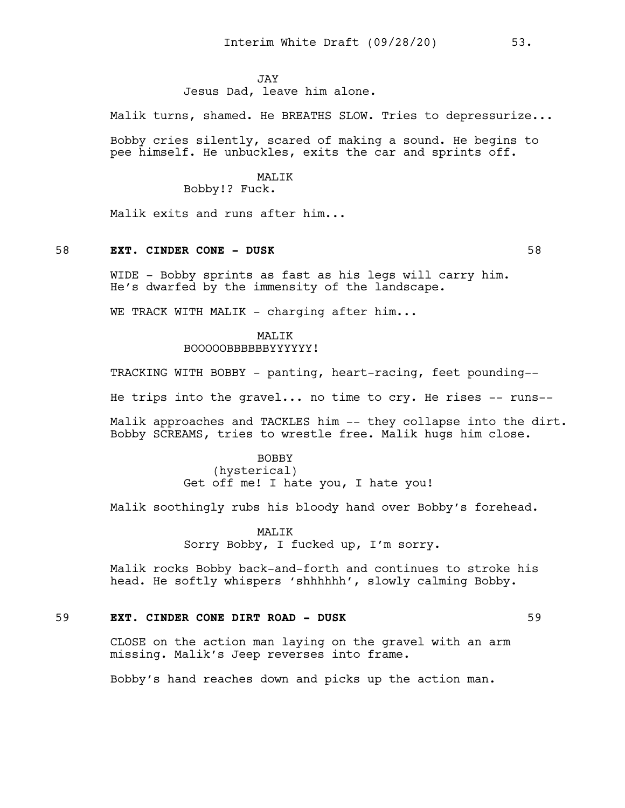## **JAY**

Jesus Dad, leave him alone.

Malik turns, shamed. He BREATHS SLOW. Tries to depressurize...

Bobby cries silently, scared of making a sound. He begins to pee himself. He unbuckles, exits the car and sprints off.

## **MALIK**

Bobby!? Fuck.

Malik exits and runs after him...

# 58 **EXT. CINDER CONE - DUSK** 58

WIDE - Bobby sprints as fast as his legs will carry him. He's dwarfed by the immensity of the landscape.

WE TRACK WITH MALIK - charging after him...

# MALIK

BOOOOOBBBBBBYYYYYY!

TRACKING WITH BOBBY - panting, heart-racing, feet pounding--

He trips into the gravel... no time to  $\text{cry.}$  He rises  $-$ - runs--

Malik approaches and TACKLES him -- they collapse into the dirt. Bobby SCREAMS, tries to wrestle free. Malik hugs him close.

# BOBBY (hysterical) Get off me! I hate you, I hate you!

Malik soothingly rubs his bloody hand over Bobby's forehead.

**MALIK** Sorry Bobby, I fucked up, I'm sorry.

Malik rocks Bobby back-and-forth and continues to stroke his head. He softly whispers 'shhhhhh', slowly calming Bobby.

# 59 **EXT. CINDER CONE DIRT ROAD - DUSK** 59

CLOSE on the action man laying on the gravel with an arm missing. Malik's Jeep reverses into frame.

Bobby's hand reaches down and picks up the action man.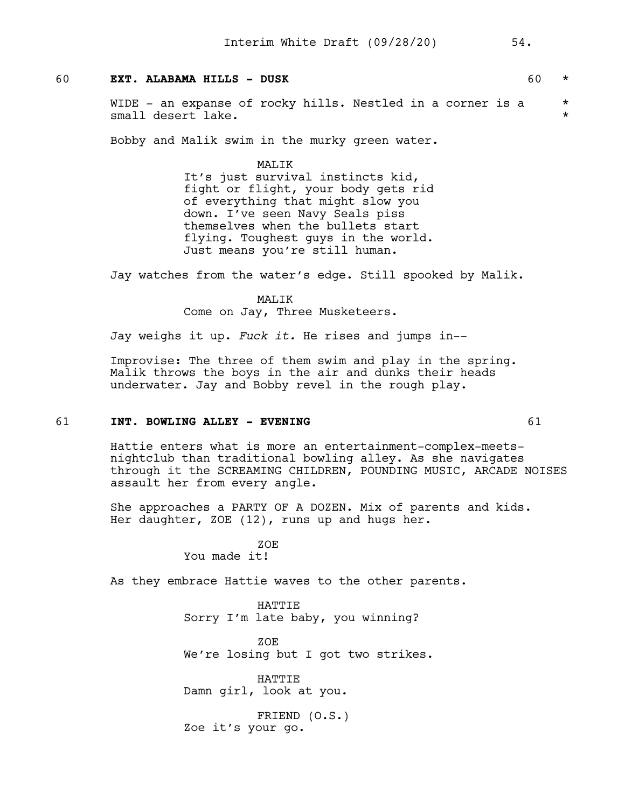# 60 **EXT. ALABAMA HILLS - DUSK** 60 \*

WIDE - an expanse of rocky hills. Nestled in a corner is a  $*$ small desert lake.  $\star$ 

Bobby and Malik swim in the murky green water.

MALIK

It's just survival instincts kid, fight or flight, your body gets rid of everything that might slow you down. I've seen Navy Seals piss themselves when the bullets start flying. Toughest guys in the world. Just means you're still human.

Jay watches from the water's edge. Still spooked by Malik.

MALIK Come on Jay, Three Musketeers.

Jay weighs it up. *Fuck it.* He rises and jumps in--

Improvise: The three of them swim and play in the spring. Malik throws the boys in the air and dunks their heads underwater. Jay and Bobby revel in the rough play.

# 61 **INT. BOWLING ALLEY - EVENING** 61

Hattie enters what is more an entertainment-complex-meetsnightclub than traditional bowling alley. As she navigates through it the SCREAMING CHILDREN, POUNDING MUSIC, ARCADE NOISES assault her from every angle.

She approaches a PARTY OF A DOZEN. Mix of parents and kids. Her daughter, ZOE (12), runs up and hugs her.

> ZOE You made it!

As they embrace Hattie waves to the other parents.

HATTIE Sorry I'm late baby, you winning?

ZOE We're losing but I got two strikes.

HATTIE Damn girl, look at you.

FRIEND (O.S.) Zoe it's your go.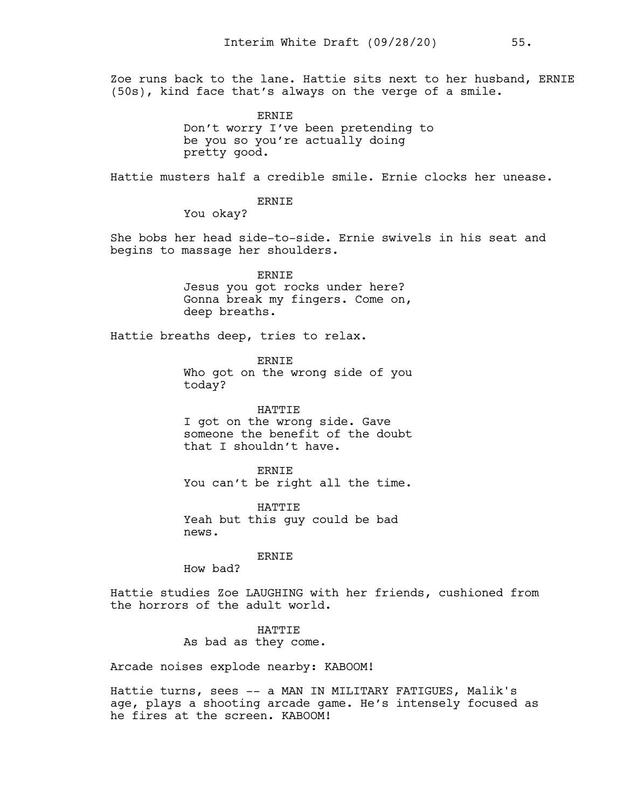Zoe runs back to the lane. Hattie sits next to her husband, ERNIE (50s), kind face that's always on the verge of a smile.

> ERNIE Don't worry I've been pretending to be you so you're actually doing pretty good.

Hattie musters half a credible smile. Ernie clocks her unease.

ERNIE

You okay?

She bobs her head side-to-side. Ernie swivels in his seat and begins to massage her shoulders.

> ERNIE Jesus you got rocks under here? Gonna break my fingers. Come on, deep breaths.

Hattie breaths deep, tries to relax.

ERNIE Who got on the wrong side of you today?

HATTIE I got on the wrong side. Gave someone the benefit of the doubt that I shouldn't have.

ERNIE You can't be right all the time.

**HATTIE** Yeah but this guy could be bad news.

ERNIE

How bad?

Hattie studies Zoe LAUGHING with her friends, cushioned from the horrors of the adult world.

> HATTIE As bad as they come.

Arcade noises explode nearby: KABOOM!

Hattie turns, sees -- a MAN IN MILITARY FATIGUES, Malik's age, plays a shooting arcade game. He's intensely focused as he fires at the screen. KABOOM!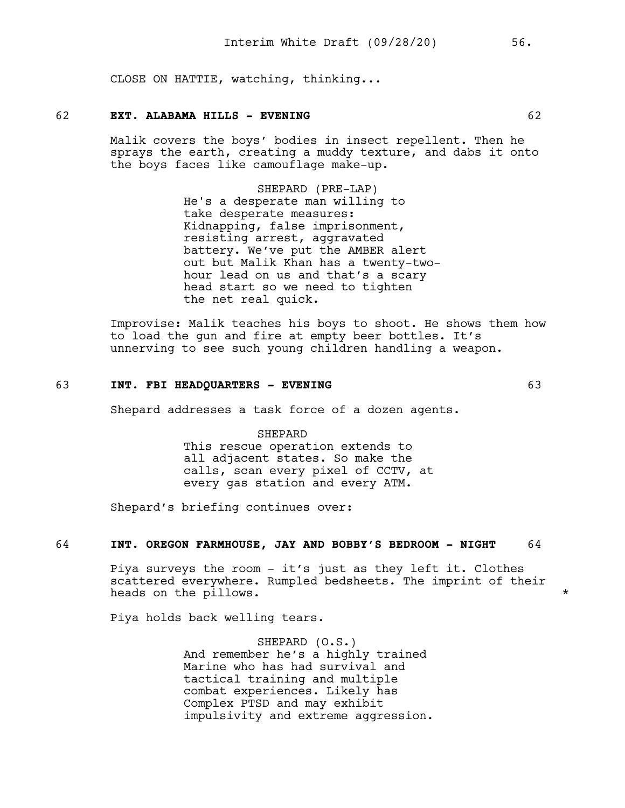CLOSE ON HATTIE, watching, thinking...

## 62 **EXT. ALABAMA HILLS - EVENING** 62

Malik covers the boys' bodies in insect repellent. Then he sprays the earth, creating a muddy texture, and dabs it onto the boys faces like camouflage make-up.

> SHEPARD (PRE-LAP) He's a desperate man willing to take desperate measures: Kidnapping, false imprisonment, resisting arrest, aggravated battery. We've put the AMBER alert out but Malik Khan has a twenty-twohour lead on us and that's a scary head start so we need to tighten the net real quick.

Improvise: Malik teaches his boys to shoot. He shows them how to load the gun and fire at empty beer bottles. It's unnerving to see such young children handling a weapon.

# 63 **INT. FBI HEADQUARTERS - EVENING** 63

Shepard addresses a task force of a dozen agents.

## **SHEPARD**

This rescue operation extends to all adjacent states. So make the calls, scan every pixel of CCTV, at every gas station and every ATM.

Shepard's briefing continues over:

# 64 **INT. OREGON FARMHOUSE, JAY AND BOBBY'S BEDROOM - NIGHT** 64

Piya surveys the room - it's just as they left it. Clothes scattered everywhere. Rumpled bedsheets. The imprint of their heads on the pillows.  $\star$ 

Piya holds back welling tears.

SHEPARD (O.S.) And remember he's a highly trained Marine who has had survival and tactical training and multiple combat experiences. Likely has Complex PTSD and may exhibit impulsivity and extreme aggression.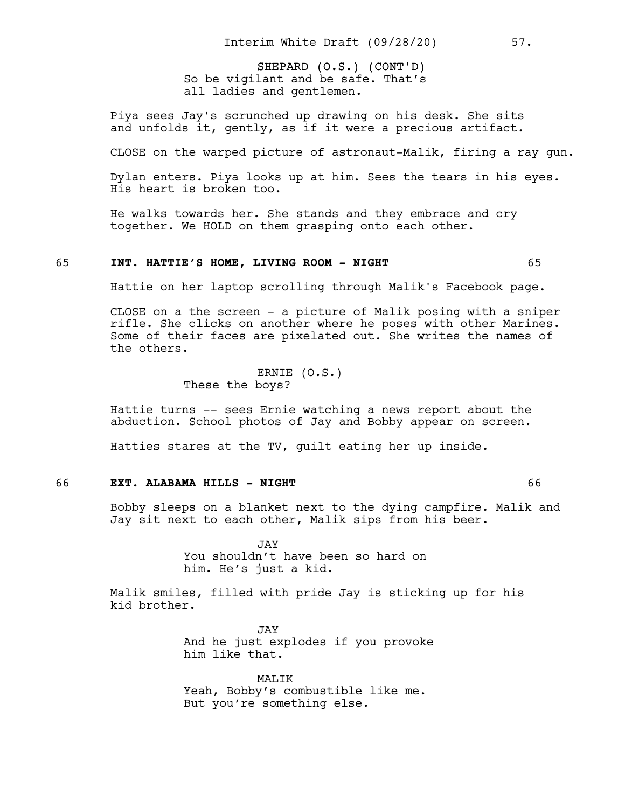SHEPARD (O.S.) (CONT'D) So be vigilant and be safe. That's all ladies and gentlemen.

Piya sees Jay's scrunched up drawing on his desk. She sits and unfolds it, gently, as if it were a precious artifact.

CLOSE on the warped picture of astronaut-Malik, firing a ray gun.

Dylan enters. Piya looks up at him. Sees the tears in his eyes. His heart is broken too.

He walks towards her. She stands and they embrace and cry together. We HOLD on them grasping onto each other.

# 65 **INT. HATTIE'S HOME, LIVING ROOM - NIGHT** 65

Hattie on her laptop scrolling through Malik's Facebook page.

CLOSE on a the screen - a picture of Malik posing with a sniper rifle. She clicks on another where he poses with other Marines. Some of their faces are pixelated out. She writes the names of the others.

> ERNIE (O.S.) These the boys?

Hattie turns -- sees Ernie watching a news report about the abduction. School photos of Jay and Bobby appear on screen.

Hatties stares at the TV, guilt eating her up inside.

# 66 **EXT. ALABAMA HILLS - NIGHT** 66

Bobby sleeps on a blanket next to the dying campfire. Malik and Jay sit next to each other, Malik sips from his beer.

> JAY You shouldn't have been so hard on him. He's just a kid.

Malik smiles, filled with pride Jay is sticking up for his kid brother.

> JAY And he just explodes if you provoke him like that.

MALIK Yeah, Bobby's combustible like me. But you're something else.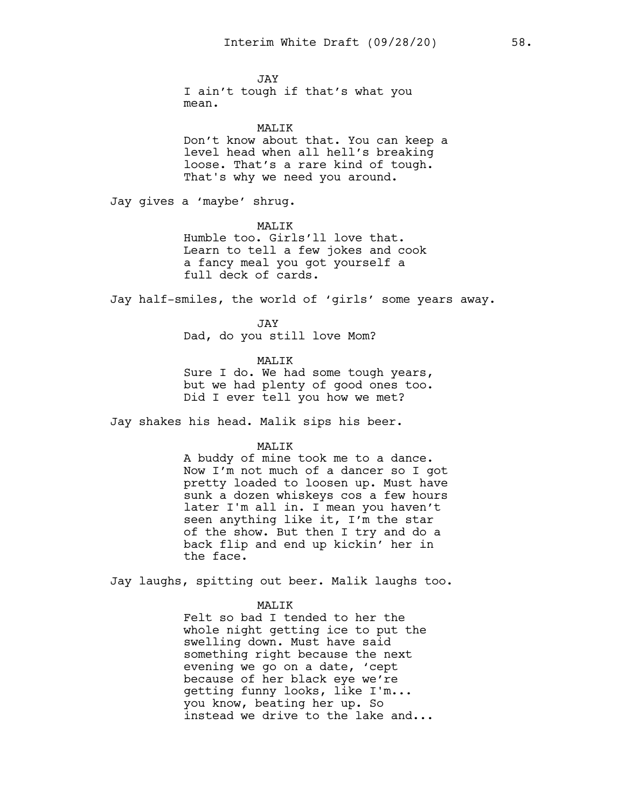JAY I ain't tough if that's what you mean.

# MALIK

Don't know about that. You can keep a level head when all hell's breaking loose. That's a rare kind of tough. That's why we need you around.

Jay gives a 'maybe' shrug.

## MALIK

Humble too. Girls'll love that. Learn to tell a few jokes and cook a fancy meal you got yourself a full deck of cards.

Jay half-smiles, the world of 'girls' some years away.

JAY Dad, do you still love Mom?

#### MALIK

Sure I do. We had some tough years, but we had plenty of good ones too. Did I ever tell you how we met?

Jay shakes his head. Malik sips his beer.

#### MALIK

A buddy of mine took me to a dance. Now I'm not much of a dancer so I got pretty loaded to loosen up. Must have sunk a dozen whiskeys cos a few hours later I'm all in. I mean you haven't seen anything like it, I'm the star of the show. But then I try and do a back flip and end up kickin' her in the face.

Jay laughs, spitting out beer. Malik laughs too.

#### MALIK

Felt so bad I tended to her the whole night getting ice to put the swelling down. Must have said something right because the next evening we go on a date, 'cept because of her black eye we're getting funny looks, like I'm... you know, beating her up. So instead we drive to the lake and...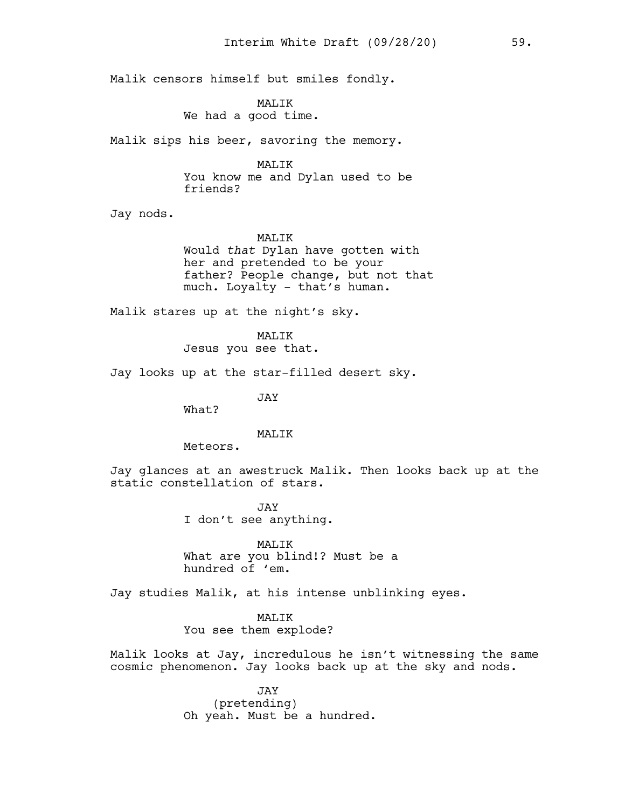Malik censors himself but smiles fondly.

MALIK We had a good time.

Malik sips his beer, savoring the memory.

MALIK

You know me and Dylan used to be friends?

Jay nods.

# MALIK

Would *that* Dylan have gotten with her and pretended to be your father? People change, but not that much. Loyalty - that's human.

Malik stares up at the night's sky.

MALIK Jesus you see that.

Jay looks up at the star-filled desert sky.

JAY

What?

#### MAT<sub>I</sub>TK

Meteors.

Jay glances at an awestruck Malik. Then looks back up at the static constellation of stars.

> JAY I don't see anything.

MALIK What are you blind!? Must be a hundred of 'em.

Jay studies Malik, at his intense unblinking eyes.

MALIK You see them explode?

Malik looks at Jay, incredulous he isn't witnessing the same cosmic phenomenon. Jay looks back up at the sky and nods.

> JAY (pretending) Oh yeah. Must be a hundred.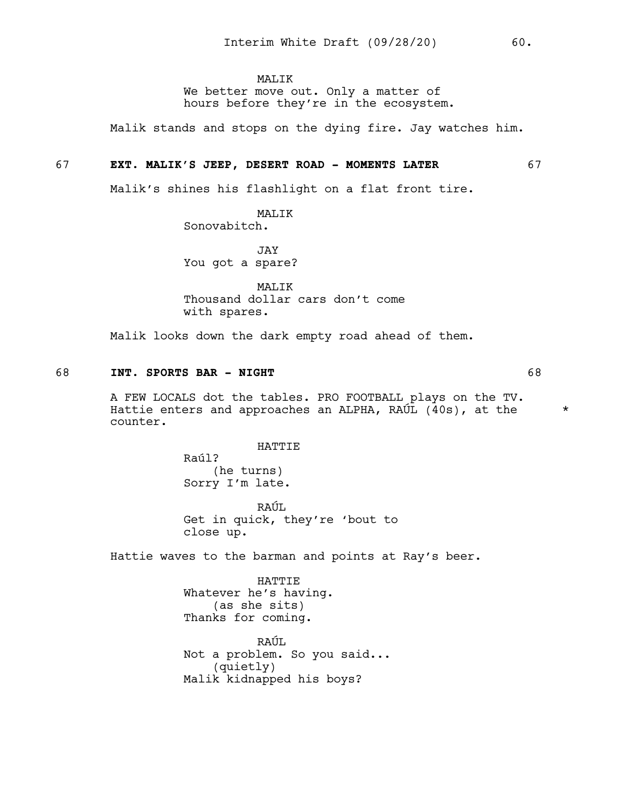MALIK

We better move out. Only a matter of hours before they're in the ecosystem.

Malik stands and stops on the dying fire. Jay watches him.

## 67 **EXT. MALIK'S JEEP, DESERT ROAD - MOMENTS LATER** 67

Malik's shines his flashlight on a flat front tire.

MALIK Sonovabitch.

JAY You got a spare?

MALIK Thousand dollar cars don't come with spares.

Malik looks down the dark empty road ahead of them.

# 68 **INT. SPORTS BAR - NIGHT** 68

A FEW LOCALS dot the tables. PRO FOOTBALL plays on the TV. Hattie enters and approaches an ALPHA, RAÚL  $(40s)$ , at the  $*$ counter.

HATTIE

Raúl? (he turns) Sorry I'm late.

RAÚL Get in quick, they're 'bout to close up.

Hattie waves to the barman and points at Ray's beer.

HATTIE Whatever he's having. (as she sits) Thanks for coming.

RAÚL Not a problem. So you said... (quietly) Malik kidnapped his boys?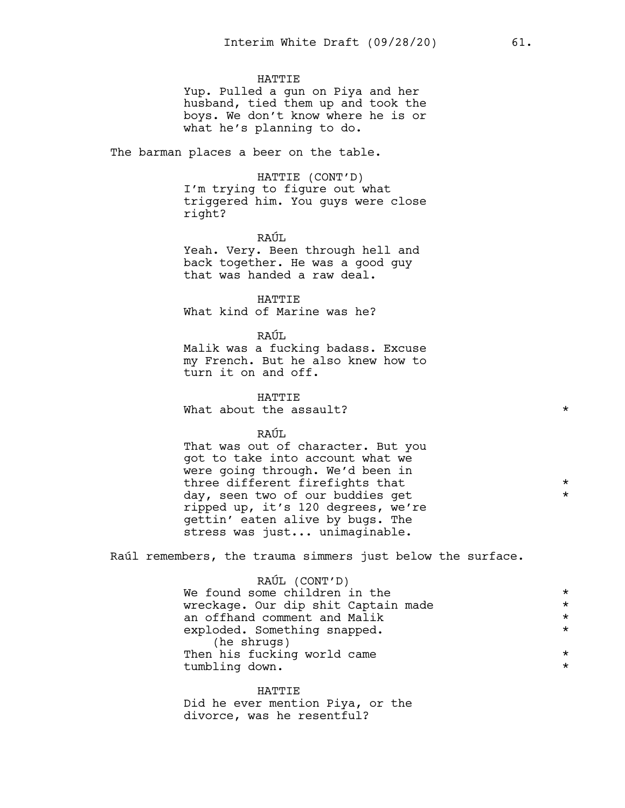# **HATTIE**

Yup. Pulled a gun on Piya and her husband, tied them up and took the boys. We don't know where he is or what he's planning to do.

The barman places a beer on the table.

HATTIE (CONT'D)

I'm trying to figure out what triggered him. You guys were close right?

RAÚL.

Yeah. Very. Been through hell and back together. He was a good guy that was handed a raw deal.

HATTIE What kind of Marine was he?

#### RAÚL

Malik was a fucking badass. Excuse my French. But he also knew how to turn it on and off.

HATTIE What about the assault?  $*$ 

RAÚL

That was out of character. But you got to take into account what we were going through. We'd been in three different firefights that \* day, seen two of our buddies get ripped up, it's 120 degrees, we're gettin' eaten alive by bugs. The stress was just... unimaginable.

Raúl remembers, the trauma simmers just below the surface.

| RAÚL (CONT'D)                       |         |
|-------------------------------------|---------|
| We found some children in the       | $\star$ |
| wreckage. Our dip shit Captain made | $\star$ |
| an offhand comment and Malik        | $\star$ |
| exploded. Something snapped.        | $\star$ |
| (he shrugs)                         |         |
| Then his fucking world came         | $\star$ |
| tumbling down.                      | $\star$ |
|                                     |         |

HATTIE Did he ever mention Piya, or the divorce, was he resentful?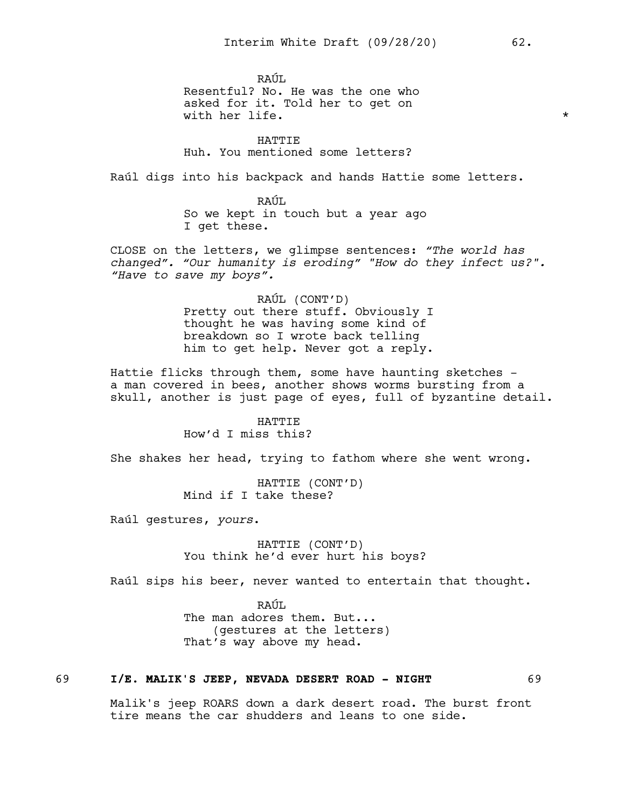RAÚL Resentful? No. He was the one who asked for it. Told her to get on with her life.  $\star$ 

HATTIE Huh. You mentioned some letters?

Raúl digs into his backpack and hands Hattie some letters.

RAÚL So we kept in touch but a year ago I get these.

CLOSE on the letters, we glimpse sentences: *"The world has changed". "Our humanity is eroding" "How do they infect us?". "Have to save my boys".*

> RAÚL (CONT'D) Pretty out there stuff. Obviously I thought he was having some kind of breakdown so I wrote back telling him to get help. Never got a reply.

Hattie flicks through them, some have haunting sketches a man covered in bees, another shows worms bursting from a skull, another is just page of eyes, full of byzantine detail.

> HATTIE How'd I miss this?

She shakes her head, trying to fathom where she went wrong.

HATTIE (CONT'D) Mind if I take these?

Raúl gestures, *yours*.

HATTIE (CONT'D) You think he'd ever hurt his boys?

Raúl sips his beer, never wanted to entertain that thought.

RAÚL. The man adores them. But... (gestures at the letters) That's way above my head.

# 69 **I/E. MALIK'S JEEP, NEVADA DESERT ROAD - NIGHT** 69

Malik's jeep ROARS down a dark desert road. The burst front tire means the car shudders and leans to one side.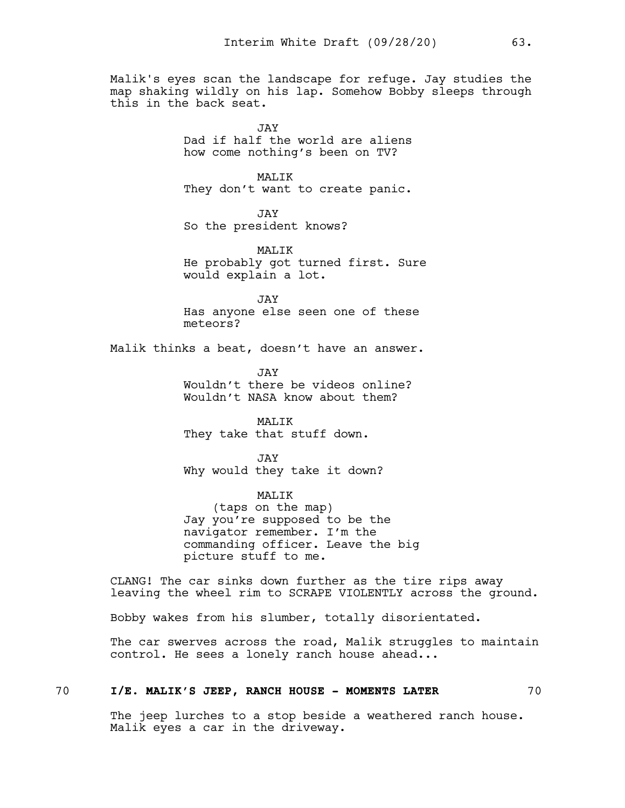Malik's eyes scan the landscape for refuge. Jay studies the map shaking wildly on his lap. Somehow Bobby sleeps through this in the back seat.

> $J\Delta V$ Dad if half the world are aliens how come nothing's been on TV?

# MALIK

They don't want to create panic.

JAY So the president knows?

MALIK He probably got turned first. Sure would explain a lot.

JAY Has anyone else seen one of these meteors?

Malik thinks a beat, doesn't have an answer.

JAY Wouldn't there be videos online? Wouldn't NASA know about them?

MALIK They take that stuff down.

JAY Why would they take it down?

MALIK (taps on the map) Jay you're supposed to be the navigator remember. I'm the commanding officer. Leave the big picture stuff to me.

CLANG! The car sinks down further as the tire rips away leaving the wheel rim to SCRAPE VIOLENTLY across the ground.

Bobby wakes from his slumber, totally disorientated.

The car swerves across the road, Malik struggles to maintain control. He sees a lonely ranch house ahead...

# 70 **I/E. MALIK'S JEEP, RANCH HOUSE - MOMENTS LATER** 70

The jeep lurches to a stop beside a weathered ranch house. Malik eyes a car in the driveway.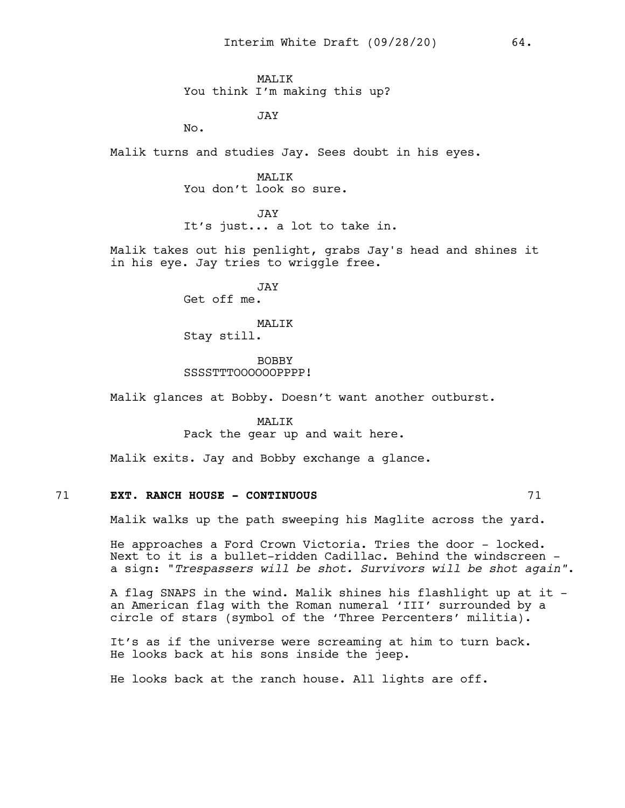MALIK You think I'm making this up?

JAY

No.

Malik turns and studies Jay. Sees doubt in his eyes.

MALIK You don't look so sure.

JAY It's just... a lot to take in.

Malik takes out his penlight, grabs Jay's head and shines it in his eye. Jay tries to wriggle free.

> JAY Get off me.

MALIK Stay still.

BOBBY SSSSTTTOOOOOOPPPP!

Malik glances at Bobby. Doesn't want another outburst.

MALIK Pack the gear up and wait here.

Malik exits. Jay and Bobby exchange a glance.

# 71 **EXT. RANCH HOUSE - CONTINUOUS** 71

Malik walks up the path sweeping his Maglite across the yard.

He approaches a Ford Crown Victoria. Tries the door - locked. Next to it is a bullet-ridden Cadillac. Behind the windscreen a sign: "*Trespassers will be shot. Survivors will be shot again"*.

A flag SNAPS in the wind. Malik shines his flashlight up at it an American flag with the Roman numeral 'III' surrounded by a circle of stars (symbol of the 'Three Percenters' militia).

It's as if the universe were screaming at him to turn back. He looks back at his sons inside the jeep.

He looks back at the ranch house. All lights are off.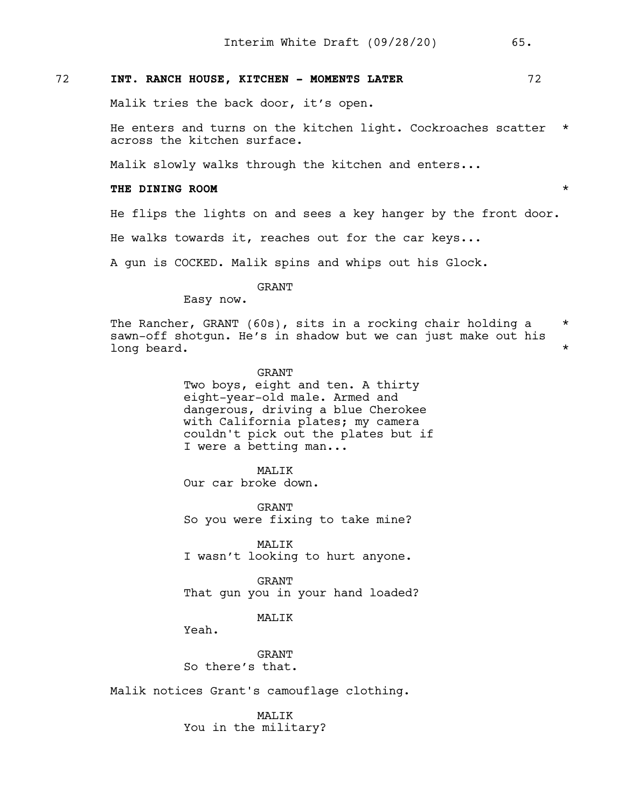# 72 **INT. RANCH HOUSE, KITCHEN - MOMENTS LATER** 72

Malik tries the back door, it's open.

He enters and turns on the kitchen light. Cockroaches scatter \* across the kitchen surface.

Malik slowly walks through the kitchen and enters...

## **THE DINING ROOM** \*

He flips the lights on and sees a key hanger by the front door.

He walks towards it, reaches out for the car keys...

A gun is COCKED. Malik spins and whips out his Glock.

GRANT

Easy now.

The Rancher, GRANT (60s), sits in a rocking chair holding a  $*$ sawn-off shotgun. He's in shadow but we can just make out his long beard.  $\star$ 

> GRANT Two boys, eight and ten. A thirty eight-year-old male. Armed and dangerous, driving a blue Cherokee with California plates; my camera couldn't pick out the plates but if I were a betting man...

> > MALIK

Our car broke down.

GRANT So you were fixing to take mine?

MALIK I wasn't looking to hurt anyone.

GRANT That gun you in your hand loaded?

MALIK

Yeah.

GRANT So there's that.

Malik notices Grant's camouflage clothing.

MALIK You in the military?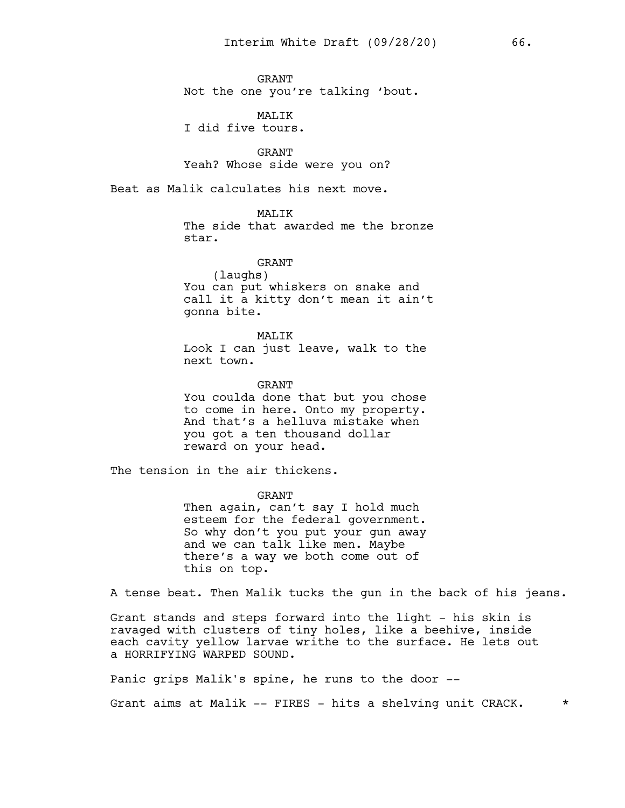GRANT Not the one you're talking 'bout.

MALIK I did five tours.

GRANT Yeah? Whose side were you on?

Beat as Malik calculates his next move.

# MAT.TK

The side that awarded me the bronze star.

GRANT (laughs) You can put whiskers on snake and call it a kitty don't mean it ain't gonna bite.

MALIK Look I can just leave, walk to the next town.

GRANT

You coulda done that but you chose to come in here. Onto my property. And that's a helluva mistake when you got a ten thousand dollar reward on your head.

The tension in the air thickens.

GRANT Then again, can't say I hold much esteem for the federal government. So why don't you put your gun away and we can talk like men. Maybe there's a way we both come out of this on top.

A tense beat. Then Malik tucks the gun in the back of his jeans.

Grant stands and steps forward into the light - his skin is ravaged with clusters of tiny holes, like a beehive, inside each cavity yellow larvae writhe to the surface. He lets out a HORRIFYING WARPED SOUND.

Panic grips Malik's spine, he runs to the door --

Grant aims at Malik  $--$  FIRES - hits a shelving unit CRACK.  $*$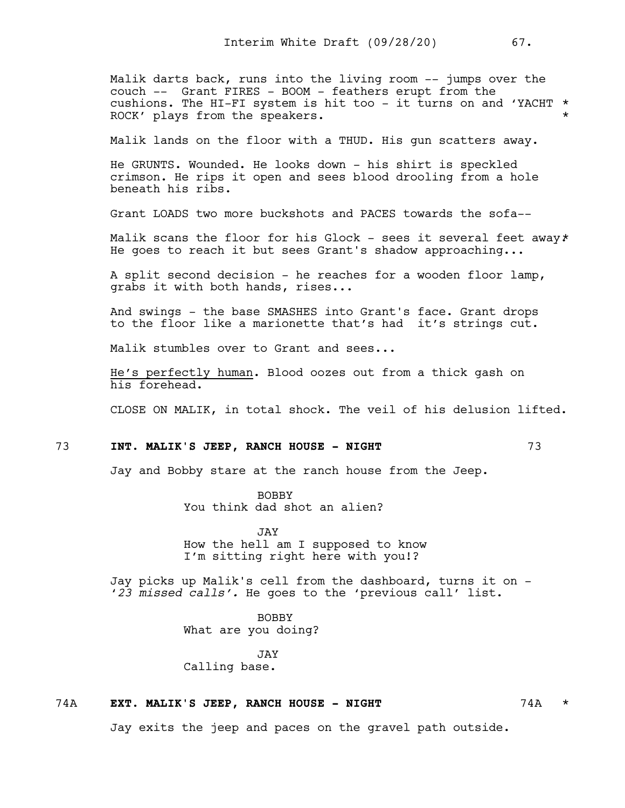Malik darts back, runs into the living room -- jumps over the couch -- Grant FIRES - BOOM - feathers erupt from the cushions. The HI-FI system is hit too - it turns on and 'YACHT \* ROCK' plays from the speakers.  $\star$ 

Malik lands on the floor with a THUD. His gun scatters away.

He GRUNTS. Wounded. He looks down - his shirt is speckled crimson. He rips it open and sees blood drooling from a hole beneath his ribs.

Grant LOADS two more buckshots and PACES towards the sofa--

Malik scans the floor for his Glock - sees it several feet away\* He goes to reach it but sees Grant's shadow approaching...

A split second decision - he reaches for a wooden floor lamp, grabs it with both hands, rises...

And swings - the base SMASHES into Grant's face. Grant drops to the floor like a marionette that's had it's strings cut.

Malik stumbles over to Grant and sees...

He's perfectly human. Blood oozes out from a thick gash on his forehead.

CLOSE ON MALIK, in total shock. The veil of his delusion lifted.

# 73 **INT. MALIK'S JEEP, RANCH HOUSE - NIGHT** 73

Jay and Bobby stare at the ranch house from the Jeep.

BOBBY You think dad shot an alien?

.TAV How the hell am I supposed to know I'm sitting right here with you!?

Jay picks up Malik's cell from the dashboard, turns it on - '*23 missed calls'.* He goes to the 'previous call' list.

> BOBBY What are you doing?

JAY Calling base.

#### 74A **EXT. MALIK'S JEEP, RANCH HOUSE - NIGHT** 74A \*

Jay exits the jeep and paces on the gravel path outside.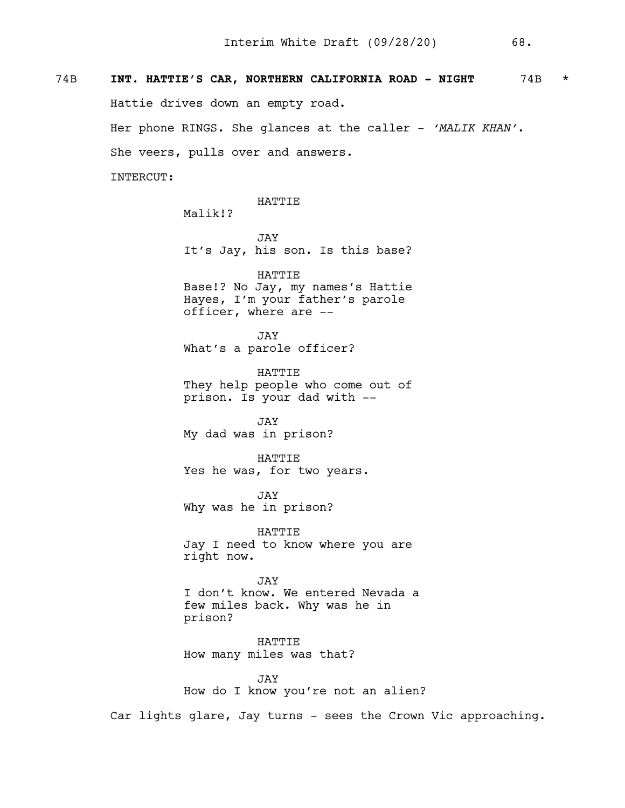# 74B **INT. HATTIE'S CAR, NORTHERN CALIFORNIA ROAD - NIGHT** 74B \* Hattie drives down an empty road. Her phone RINGS. She glances at the caller - *'MALIK KHAN'*. She veers, pulls over and answers. INTERCUT:

HATTIE

Malik!?

JAY It's Jay, his son. Is this base?

HATTIE Base!? No Jay, my names's Hattie Hayes, I'm your father's parole officer, where are --

JAY What's a parole officer?

HATTIE They help people who come out of prison. Is your dad with --

JAY My dad was in prison?

HATTIE Yes he was, for two years.

JAY Why was he in prison?

HATTIE Jay I need to know where you are right now.

JAY I don't know. We entered Nevada a few miles back. Why was he in prison?

HATTIE How many miles was that?

JAY How do I know you're not an alien?

Car lights glare, Jay turns - sees the Crown Vic approaching.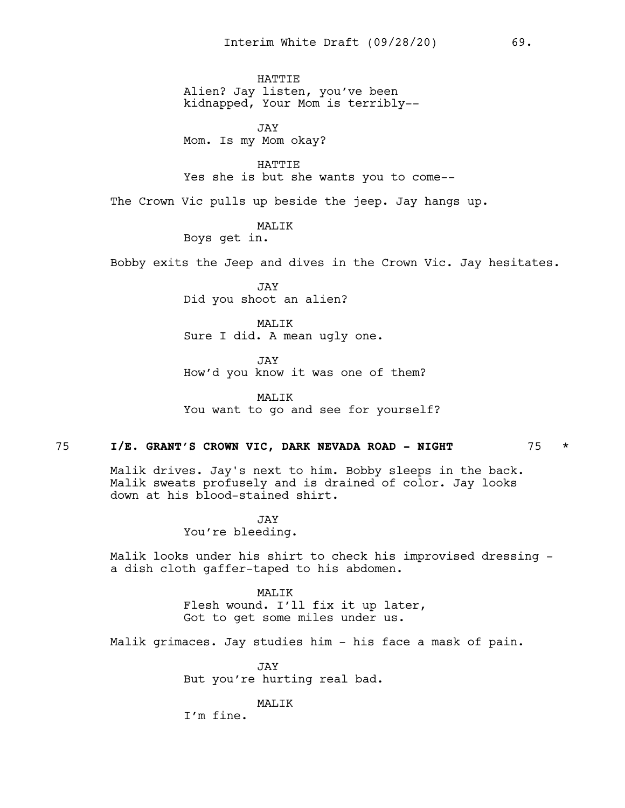**HATTIE** Alien? Jay listen, you've been kidnapped, Your Mom is terribly--

JAY Mom. Is my Mom okay?

HATTIE Yes she is but she wants you to come--

The Crown Vic pulls up beside the jeep. Jay hangs up.

MALIK

Boys get in.

Bobby exits the Jeep and dives in the Crown Vic. Jay hesitates.

JAY Did you shoot an alien?

MAT.TK Sure I did. A mean ugly one.

JAY How'd you know it was one of them?

MALIK You want to go and see for yourself?

## 75 **I/E. GRANT'S CROWN VIC, DARK NEVADA ROAD - NIGHT** 75 \*

Malik drives. Jay's next to him. Bobby sleeps in the back. Malik sweats profusely and is drained of color. Jay looks down at his blood-stained shirt.

> JAY You're bleeding.

Malik looks under his shirt to check his improvised dressing a dish cloth gaffer-taped to his abdomen.

> MALIK Flesh wound. I'll fix it up later, Got to get some miles under us.

Malik grimaces. Jay studies him - his face a mask of pain.

JAY But you're hurting real bad.

#### MALIK

I'm fine.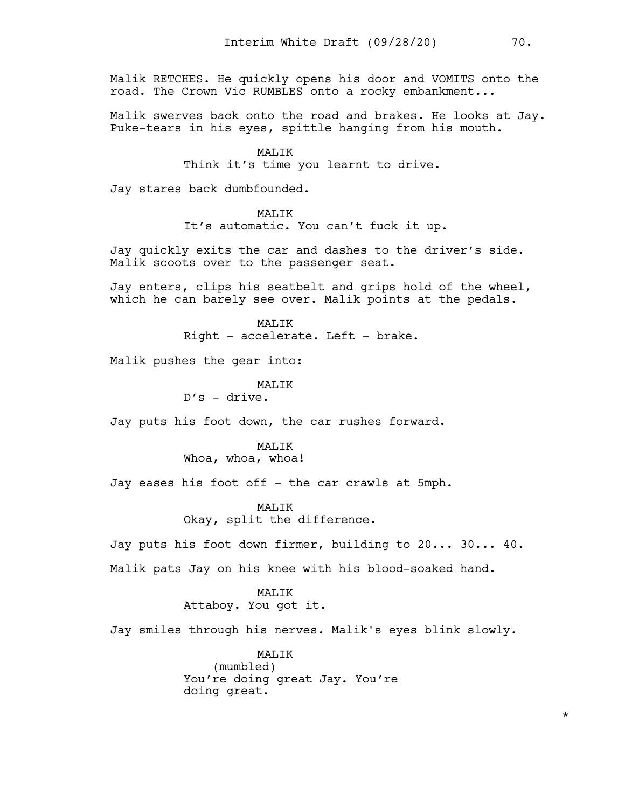Malik RETCHES. He quickly opens his door and VOMITS onto the road. The Crown Vic RUMBLES onto a rocky embankment...

Malik swerves back onto the road and brakes. He looks at Jay. Puke-tears in his eyes, spittle hanging from his mouth.

> MALIK Think it's time you learnt to drive.

Jay stares back dumbfounded.

# MALIK

It's automatic. You can't fuck it up.

Jay quickly exits the car and dashes to the driver's side. Malik scoots over to the passenger seat.

Jay enters, clips his seatbelt and grips hold of the wheel, which he can barely see over. Malik points at the pedals.

> MAT.TK Right - accelerate. Left - brake.

Malik pushes the gear into:

MAT<sub>I</sub>TK D's - drive.

Jay puts his foot down, the car rushes forward.

MALIK Whoa, whoa, whoa!

Jay eases his foot off - the car crawls at 5mph.

# MAT.TK

Okay, split the difference.

Jay puts his foot down firmer, building to 20... 30... 40.

Malik pats Jay on his knee with his blood-soaked hand.

# MAT.TK

Attaboy. You got it.

Jay smiles through his nerves. Malik's eyes blink slowly.

MALIK (mumbled) You're doing great Jay. You're doing great.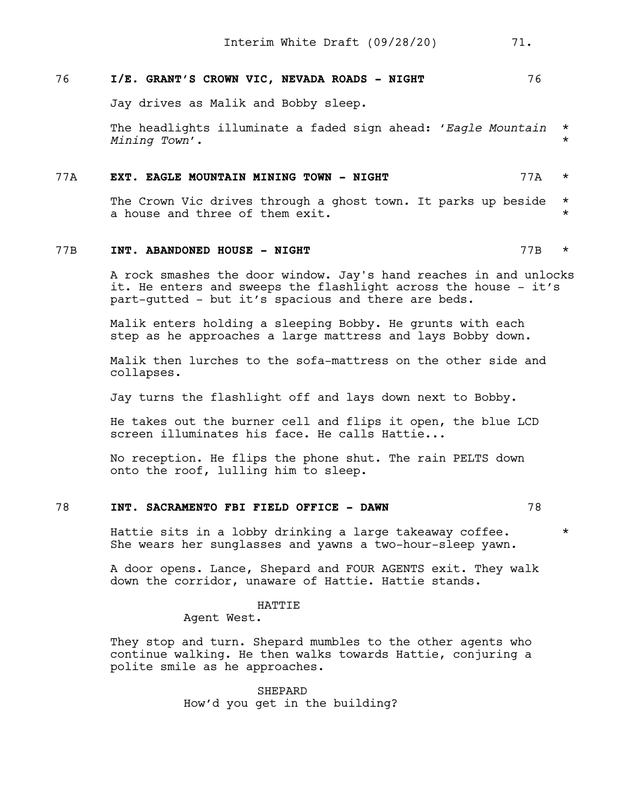# 76 **I/E. GRANT'S CROWN VIC, NEVADA ROADS - NIGHT** 76

Jay drives as Malik and Bobby sleep.

The headlights illuminate a faded sign ahead: '*Eagle Mountain* \* *Mining Town*'. \*

## 77A **EXT. EAGLE MOUNTAIN MINING TOWN - NIGHT** 77A \*

The Crown Vic drives through a ghost town. It parks up beside \* a house and three of them exit.  $\star$ 

# 77B **INT. ABANDONED HOUSE - NIGHT** 77B \*

A rock smashes the door window. Jay's hand reaches in and unlocks it. He enters and sweeps the flashlight across the house - it's part-gutted - but it's spacious and there are beds.

Malik enters holding a sleeping Bobby. He grunts with each step as he approaches a large mattress and lays Bobby down.

Malik then lurches to the sofa-mattress on the other side and collapses.

Jay turns the flashlight off and lays down next to Bobby.

He takes out the burner cell and flips it open, the blue LCD screen illuminates his face. He calls Hattie...

No reception. He flips the phone shut. The rain PELTS down onto the roof, lulling him to sleep.

# 78 **INT. SACRAMENTO FBI FIELD OFFICE - DAWN** 78

Hattie sits in a lobby drinking a large takeaway coffee.  $*$ She wears her sunglasses and yawns a two-hour-sleep yawn.

A door opens. Lance, Shepard and FOUR AGENTS exit. They walk down the corridor, unaware of Hattie. Hattie stands.

#### HATTIE

Agent West.

They stop and turn. Shepard mumbles to the other agents who continue walking. He then walks towards Hattie, conjuring a polite smile as he approaches.

> SHEPARD How'd you get in the building?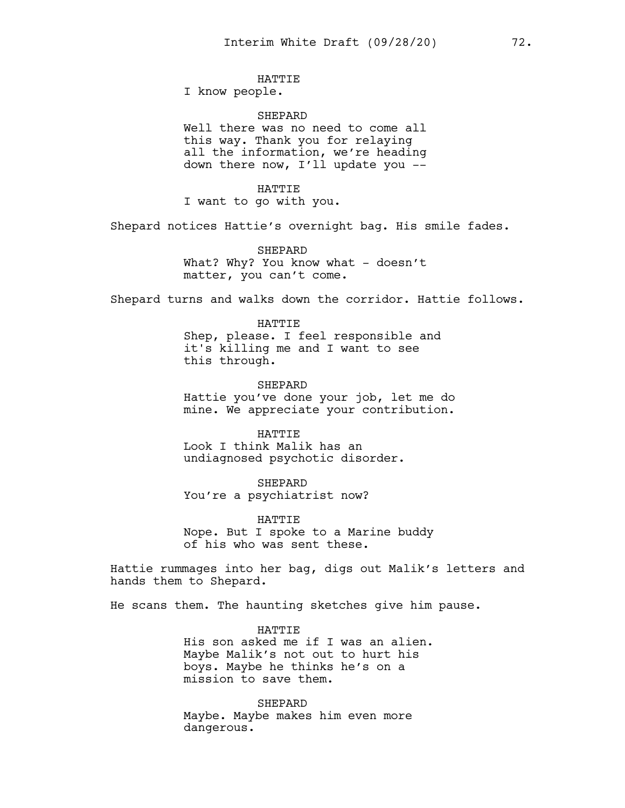# **HATTIE**

I know people.

#### **SHEPARD**

Well there was no need to come all this way. Thank you for relaying all the information, we're heading down there now, I'll update you --

HATTIE

I want to go with you.

Shepard notices Hattie's overnight bag. His smile fades.

SHEPARD What? Why? You know what - doesn't matter, you can't come.

Shepard turns and walks down the corridor. Hattie follows.

HATTIE Shep, please. I feel responsible and it's killing me and I want to see this through.

SHEPARD Hattie you've done your job, let me do mine. We appreciate your contribution.

HATTIE Look I think Malik has an undiagnosed psychotic disorder.

SHEPARD You're a psychiatrist now?

HATTIE Nope. But I spoke to a Marine buddy of his who was sent these.

Hattie rummages into her bag, digs out Malik's letters and hands them to Shepard.

He scans them. The haunting sketches give him pause.

HATTIE His son asked me if I was an alien. Maybe Malik's not out to hurt his boys. Maybe he thinks he's on a mission to save them.

**SHEPARD** Maybe. Maybe makes him even more dangerous.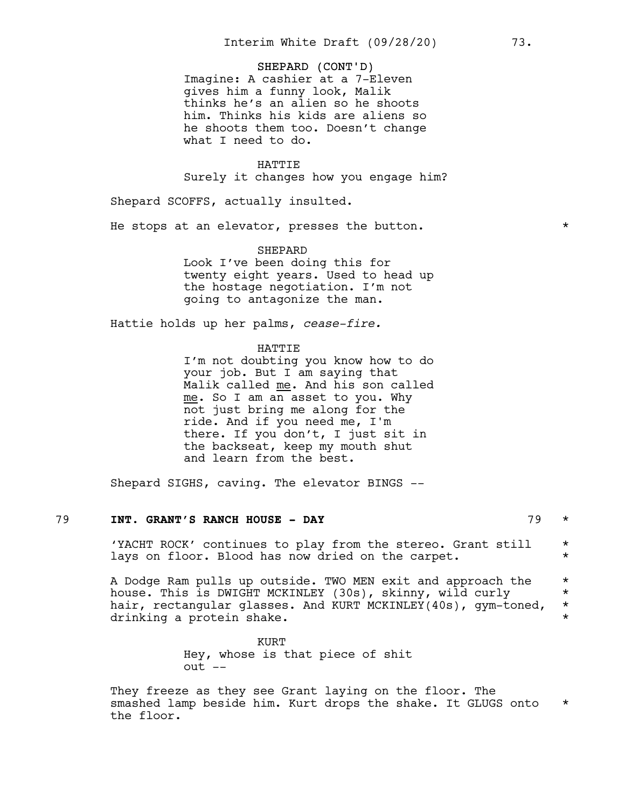#### SHEPARD (CONT'D)

Imagine: A cashier at a 7-Eleven gives him a funny look, Malik thinks he's an alien so he shoots him. Thinks his kids are aliens so he shoots them too. Doesn't change what I need to do.

#### HATTIE

Surely it changes how you engage him?

Shepard SCOFFS, actually insulted.

He stops at an elevator, presses the button.  $*$ 

#### SHEPARD

Look I've been doing this for twenty eight years. Used to head up the hostage negotiation. I'm not going to antagonize the man.

Hattie holds up her palms, *cease-fire.*

#### HATTIE

I'm not doubting you know how to do your job. But I am saying that Malik called me. And his son called me. So I am an asset to you. Why not just bring me along for the ride. And if you need me, I'm there. If you don't, I just sit in the backseat, keep my mouth shut and learn from the best.

Shepard SIGHS, caving. The elevator BINGS --

# 79 **INT. GRANT'S RANCH HOUSE - DAY** 79 \*

'YACHT ROCK' continues to play from the stereo. Grant still \* lays on floor. Blood has now dried on the carpet.  $*$ 

A Dodge Ram pulls up outside. TWO MEN exit and approach the \* house. This is DWIGHT MCKINLEY (30s), skinny, wild curly  $*$ hair, rectangular glasses. And KURT MCKINLEY(40s), gym-toned, \* drinking a protein shake.  $\star$ 

> KURT Hey, whose is that piece of shit out --

They freeze as they see Grant laying on the floor. The smashed lamp beside him. Kurt drops the shake. It GLUGS onto  $*$ the floor.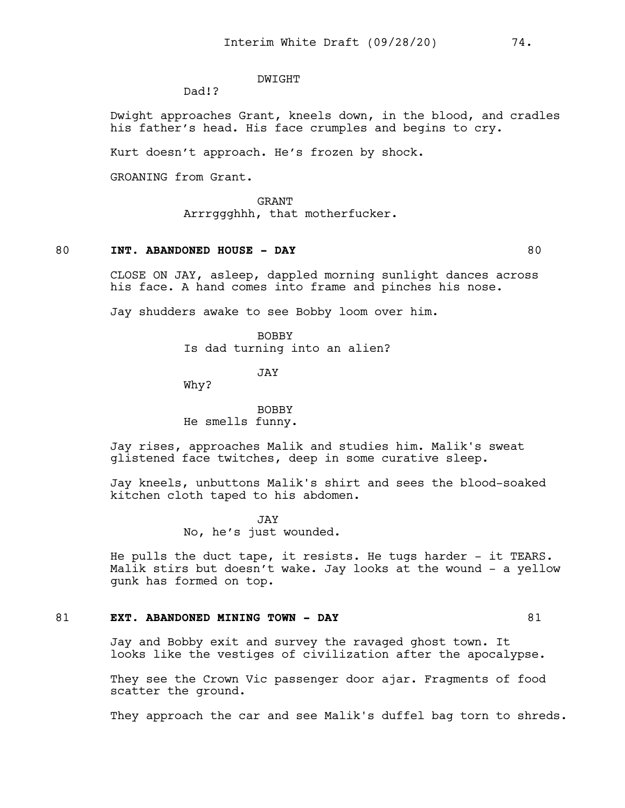#### DWIGHT

Dad!?

Dwight approaches Grant, kneels down, in the blood, and cradles his father's head. His face crumples and begins to cry.

Kurt doesn't approach. He's frozen by shock.

GROANING from Grant.

GRANT Arrrggghhh, that motherfucker.

# 80 **INT. ABANDONED HOUSE - DAY** 80

CLOSE ON JAY, asleep, dappled morning sunlight dances across his face. A hand comes into frame and pinches his nose.

Jay shudders awake to see Bobby loom over him.

BOBBY Is dad turning into an alien?

**JAY** 

Why?

BOBBY He smells funny.

Jay rises, approaches Malik and studies him. Malik's sweat glistened face twitches, deep in some curative sleep.

Jay kneels, unbuttons Malik's shirt and sees the blood-soaked kitchen cloth taped to his abdomen.

> JAY No, he's just wounded.

He pulls the duct tape, it resists. He tugs harder - it TEARS. Malik stirs but doesn't wake. Jay looks at the wound - a yellow gunk has formed on top.

# 81 **EXT. ABANDONED MINING TOWN - DAY** 81

Jay and Bobby exit and survey the ravaged ghost town. It looks like the vestiges of civilization after the apocalypse.

They see the Crown Vic passenger door ajar. Fragments of food scatter the ground.

They approach the car and see Malik's duffel bag torn to shreds.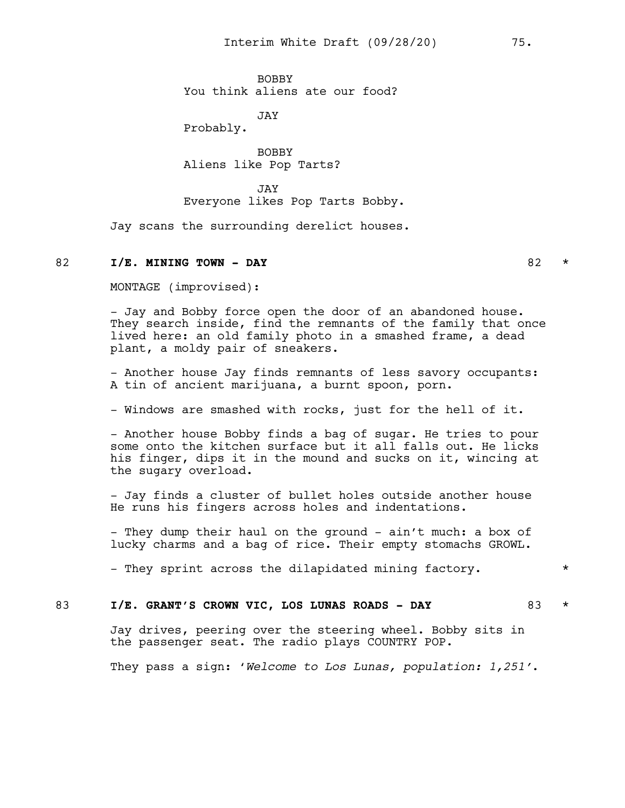BOBBY You think aliens ate our food?

JAY

Probably.

BOBBY Aliens like Pop Tarts?

JAY Everyone likes Pop Tarts Bobby.

Jay scans the surrounding derelict houses.

#### 82 **I/E. MINING TOWN - DAY** 82 \*

MONTAGE (improvised):

- Jay and Bobby force open the door of an abandoned house. They search inside, find the remnants of the family that once lived here: an old family photo in a smashed frame, a dead plant, a moldy pair of sneakers.

- Another house Jay finds remnants of less savory occupants: A tin of ancient marijuana, a burnt spoon, porn.

- Windows are smashed with rocks, just for the hell of it.

- Another house Bobby finds a bag of sugar. He tries to pour some onto the kitchen surface but it all falls out. He licks his finger, dips it in the mound and sucks on it, wincing at the sugary overload.

- Jay finds a cluster of bullet holes outside another house He runs his fingers across holes and indentations.

- They dump their haul on the ground - ain't much: a box of lucky charms and a bag of rice. Their empty stomachs GROWL.

- They sprint across the dilapidated mining factory.  $*$ 

# 83 **I/E. GRANT'S CROWN VIC, LOS LUNAS ROADS - DAY** 83 \*

Jay drives, peering over the steering wheel. Bobby sits in the passenger seat. The radio plays COUNTRY POP.

They pass a sign: '*Welcome to Los Lunas, population: 1,251'*.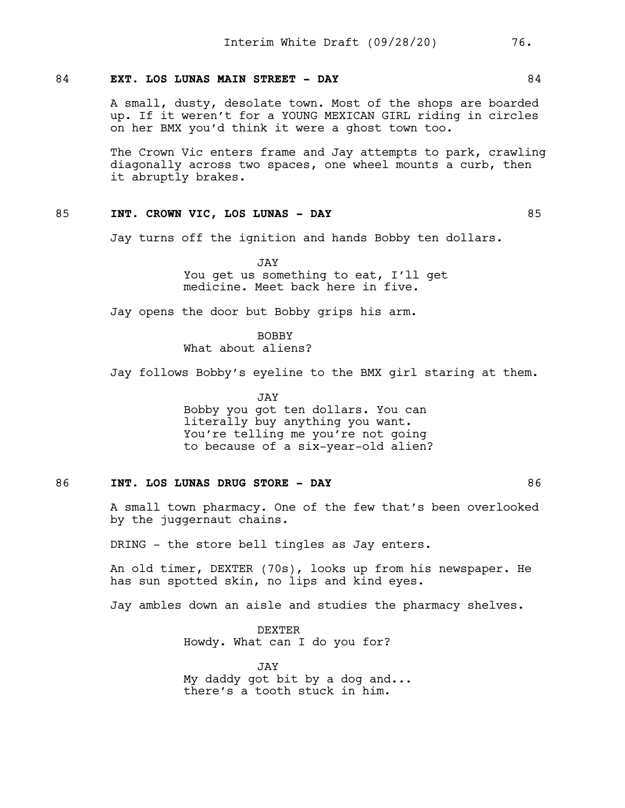# 84 **EXT. LOS LUNAS MAIN STREET - DAY** 84

A small, dusty, desolate town. Most of the shops are boarded up. If it weren't for a YOUNG MEXICAN GIRL riding in circles on her BMX you'd think it were a ghost town too.

The Crown Vic enters frame and Jay attempts to park, crawling diagonally across two spaces, one wheel mounts a curb, then it abruptly brakes.

#### 85 **INT. CROWN VIC, LOS LUNAS - DAY** 85

Jay turns off the ignition and hands Bobby ten dollars.

JAY You get us something to eat, I'll get medicine. Meet back here in five.

Jay opens the door but Bobby grips his arm.

BOBBY What about aliens?

Jay follows Bobby's eyeline to the BMX girl staring at them.

JAY Bobby you got ten dollars. You can literally buy anything you want. You're telling me you're not going to because of a six-year-old alien?

#### 86 **INT. LOS LUNAS DRUG STORE - DAY** 86

A small town pharmacy. One of the few that's been overlooked by the juggernaut chains.

DRING - the store bell tingles as Jay enters.

An old timer, DEXTER (70s), looks up from his newspaper. He has sun spotted skin, no lips and kind eyes.

Jay ambles down an aisle and studies the pharmacy shelves.

DEXTER Howdy. What can I do you for?

JAY My daddy got bit by a dog and... there's a tooth stuck in him.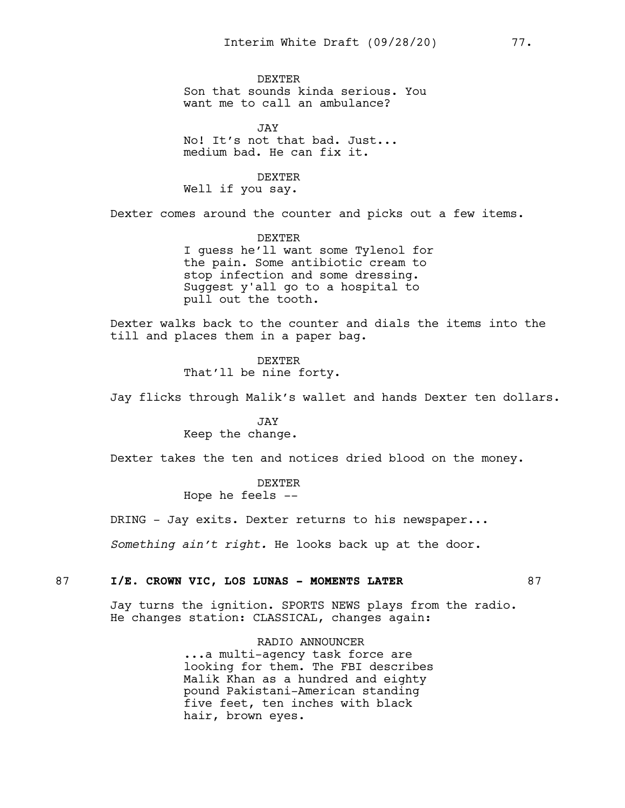DEXTER Son that sounds kinda serious. You want me to call an ambulance?

JAY No! It's not that bad. Just... medium bad. He can fix it.

DEXTER

Well if you say.

Dexter comes around the counter and picks out a few items.

DEXTER I guess he'll want some Tylenol for the pain. Some antibiotic cream to stop infection and some dressing. Suggest y'all go to a hospital to pull out the tooth.

Dexter walks back to the counter and dials the items into the till and places them in a paper bag.

> DEXTER That'll be nine forty.

Jay flicks through Malik's wallet and hands Dexter ten dollars.

JAY Keep the change.

Dexter takes the ten and notices dried blood on the money.

DEXTER

Hope he feels --

DRING - Jay exits. Dexter returns to his newspaper...

*Something ain't right.* He looks back up at the door.

# 87 **I/E. CROWN VIC, LOS LUNAS - MOMENTS LATER** 87

Jay turns the ignition. SPORTS NEWS plays from the radio. He changes station: CLASSICAL, changes again:

> RADIO ANNOUNCER ...a multi-agency task force are looking for them. The FBI describes Malik Khan as a hundred and eighty pound Pakistani-American standing five feet, ten inches with black hair, brown eyes.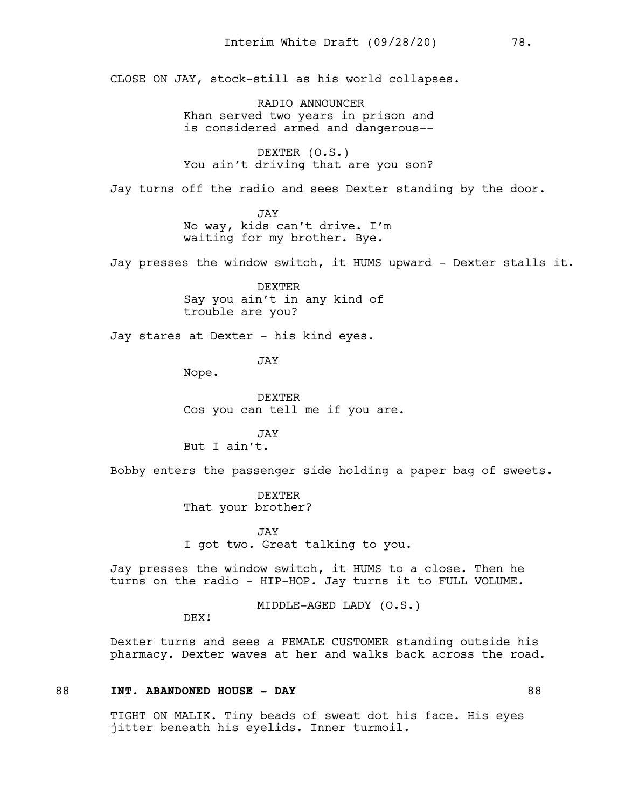CLOSE ON JAY, stock-still as his world collapses.

RADIO ANNOUNCER Khan served two years in prison and is considered armed and dangerous--

DEXTER (O.S.) You ain't driving that are you son?

Jay turns off the radio and sees Dexter standing by the door.

JAY No way, kids can't drive. I'm waiting for my brother. Bye.

Jay presses the window switch, it HUMS upward - Dexter stalls it.

DEXTER Say you ain't in any kind of trouble are you?

Jay stares at Dexter - his kind eyes.

JAY

Nope.

DEXTER Cos you can tell me if you are.

JAY But I ain't.

Bobby enters the passenger side holding a paper bag of sweets.

DEXTER That your brother?

JAY I got two. Great talking to you.

Jay presses the window switch, it HUMS to a close. Then he turns on the radio - HIP-HOP. Jay turns it to FULL VOLUME.

MIDDLE-AGED LADY (O.S.)

DEX!

Dexter turns and sees a FEMALE CUSTOMER standing outside his pharmacy. Dexter waves at her and walks back across the road.

# 88 **INT. ABANDONED HOUSE - DAY** 88

TIGHT ON MALIK. Tiny beads of sweat dot his face. His eyes jitter beneath his eyelids. Inner turmoil.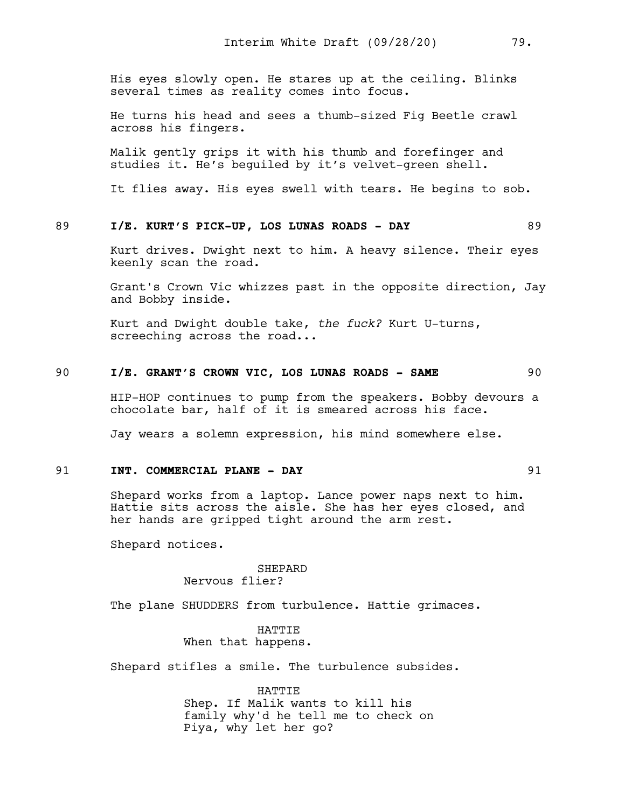His eyes slowly open. He stares up at the ceiling. Blinks several times as reality comes into focus.

He turns his head and sees a thumb-sized Fig Beetle crawl across his fingers.

Malik gently grips it with his thumb and forefinger and studies it. He's beguiled by it's velvet-green shell.

It flies away. His eyes swell with tears. He begins to sob.

#### 89 **I/E. KURT'S PICK-UP, LOS LUNAS ROADS - DAY** 89

Kurt drives. Dwight next to him. A heavy silence. Their eyes keenly scan the road.

Grant's Crown Vic whizzes past in the opposite direction, Jay and Bobby inside.

Kurt and Dwight double take, *the fuck?* Kurt U-turns, screeching across the road...

# 90 **I/E. GRANT'S CROWN VIC, LOS LUNAS ROADS - SAME** 90

HIP-HOP continues to pump from the speakers. Bobby devours a chocolate bar, half of it is smeared across his face.

Jay wears a solemn expression, his mind somewhere else.

# 91 **INT. COMMERCIAL PLANE - DAY** 91

Shepard works from a laptop. Lance power naps next to him. Hattie sits across the aisle. She has her eyes closed, and her hands are gripped tight around the arm rest.

Shepard notices.

#### SHEPARD Nervous flier?

The plane SHUDDERS from turbulence. Hattie grimaces.

HATTIE When that happens.

Shepard stifles a smile. The turbulence subsides.

HATTIE Shep. If Malik wants to kill his family why'd he tell me to check on Piya, why let her go?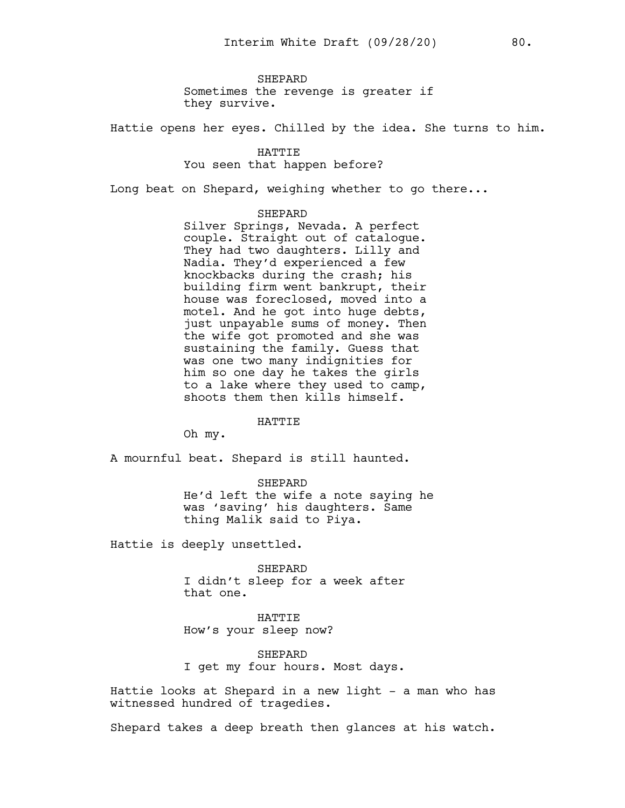**SHEPARD** Sometimes the revenge is greater if they survive.

Hattie opens her eyes. Chilled by the idea. She turns to him.

HATTIE You seen that happen before?

Long beat on Shepard, weighing whether to go there...

#### SHEPARD

Silver Springs, Nevada. A perfect couple. Straight out of catalogue. They had two daughters. Lilly and Nadia. They'd experienced a few knockbacks during the crash; his building firm went bankrupt, their house was foreclosed, moved into a motel. And he got into huge debts, just unpayable sums of money. Then the wife got promoted and she was sustaining the family. Guess that was one two many indignities for him so one day he takes the girls to a lake where they used to camp, shoots them then kills himself.

#### HATTIE

Oh my.

A mournful beat. Shepard is still haunted.

SHEPARD He'd left the wife a note saying he was 'saving' his daughters. Same thing Malik said to Piya.

Hattie is deeply unsettled.

SHEPARD I didn't sleep for a week after that one.

HATTIE How's your sleep now?

SHEPARD I get my four hours. Most days.

Hattie looks at Shepard in a new light - a man who has witnessed hundred of tragedies.

Shepard takes a deep breath then glances at his watch.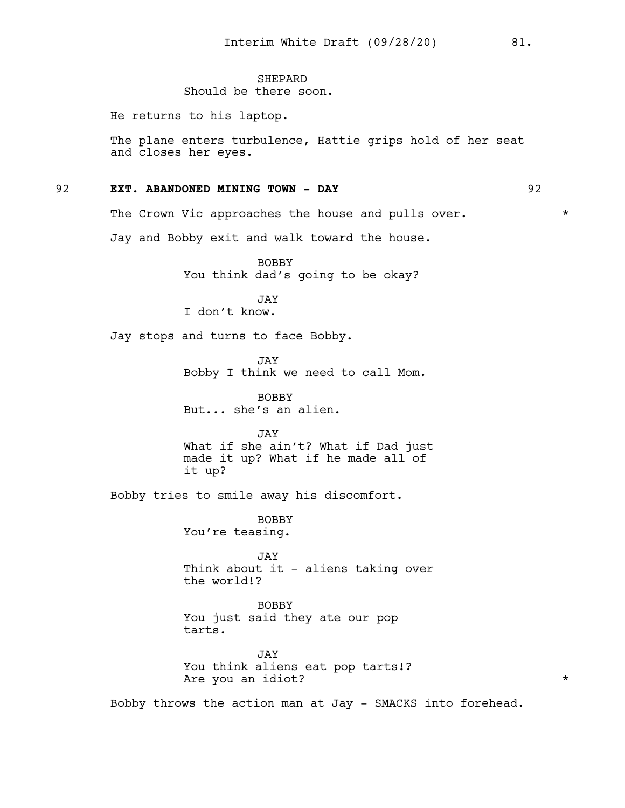#### **SHEPARD** Should be there soon.

He returns to his laptop.

The plane enters turbulence, Hattie grips hold of her seat and closes her eyes.

#### 92 **EXT. ABANDONED MINING TOWN - DAY** 92

The Crown Vic approaches the house and pulls over.  $*$ 

Jay and Bobby exit and walk toward the house.

BOBBY You think dad's going to be okay?

JAY I don't know.

Jay stops and turns to face Bobby.

JAY Bobby I think we need to call Mom.

BOBBY But... she's an alien.

JAY What if she ain't? What if Dad just made it up? What if he made all of it up?

Bobby tries to smile away his discomfort.

BOBBY You're teasing.

JAY Think about it - aliens taking over the world!?

BOBBY You just said they ate our pop tarts.

JAY You think aliens eat pop tarts!? Are you an idiot?  $*$ 

Bobby throws the action man at Jay - SMACKS into forehead.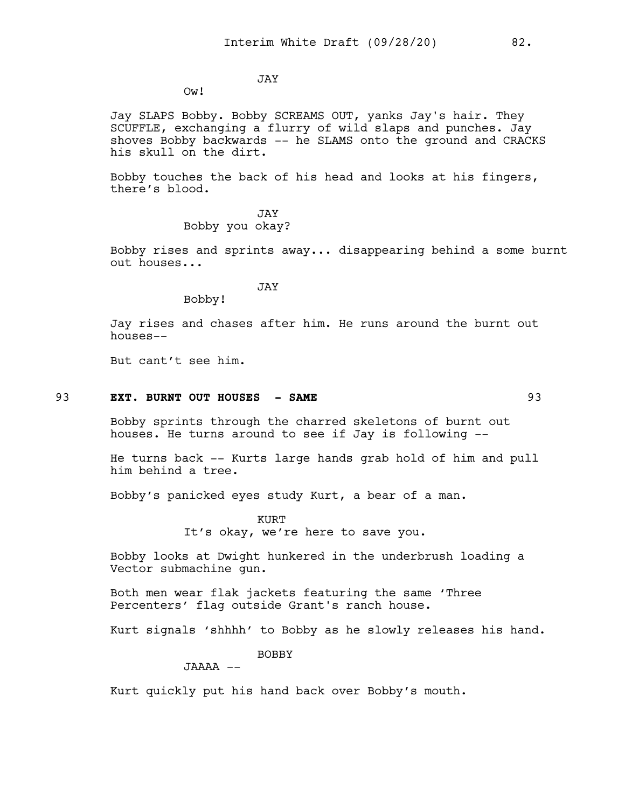JAY

Ow!

Jay SLAPS Bobby. Bobby SCREAMS OUT, yanks Jay's hair. They SCUFFLE, exchanging a flurry of wild slaps and punches. Jay shoves Bobby backwards -- he SLAMS onto the ground and CRACKS his skull on the dirt.

Bobby touches the back of his head and looks at his fingers, there's blood.

> JAY Bobby you okay?

Bobby rises and sprints away... disappearing behind a some burnt out houses...

JAY

Bobby!

Jay rises and chases after him. He runs around the burnt out houses--

But cant't see him.

# 93 **EXT. BURNT OUT HOUSES - SAME** 93

Bobby sprints through the charred skeletons of burnt out houses. He turns around to see if Jay is following --

He turns back -- Kurts large hands grab hold of him and pull him behind a tree.

Bobby's panicked eyes study Kurt, a bear of a man.

KURT It's okay, we're here to save you.

Bobby looks at Dwight hunkered in the underbrush loading a Vector submachine gun.

Both men wear flak jackets featuring the same 'Three Percenters' flag outside Grant's ranch house.

Kurt signals 'shhhh' to Bobby as he slowly releases his hand.

BOBBY

JAAAA --

Kurt quickly put his hand back over Bobby's mouth.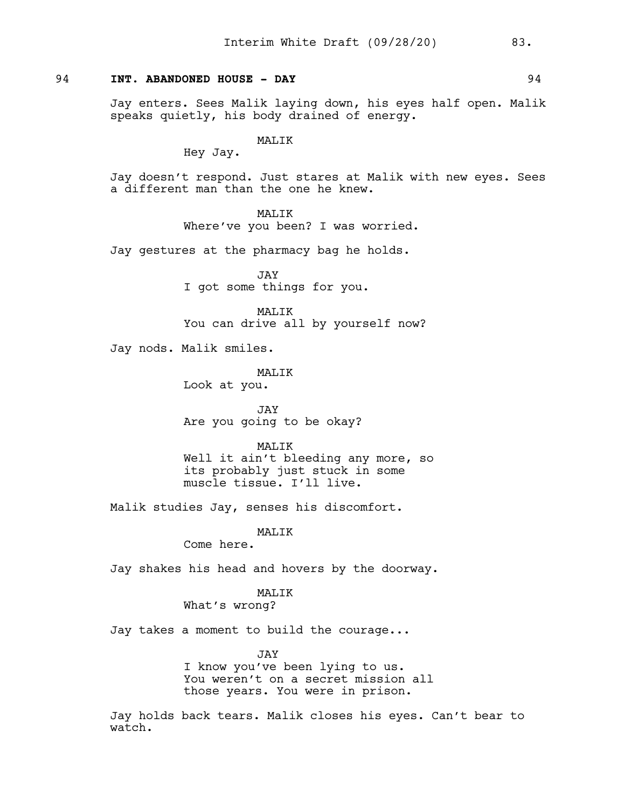# 94 **INT. ABANDONED HOUSE - DAY** 94

Jay enters. Sees Malik laying down, his eyes half open. Malik speaks quietly, his body drained of energy.

#### MALIK

Hey Jay.

Jay doesn't respond. Just stares at Malik with new eyes. Sees a different man than the one he knew.

# MALIK

Where've you been? I was worried.

Jay gestures at the pharmacy bag he holds.

JAY I got some things for you.

MALIK You can drive all by yourself now?

Jay nods. Malik smiles.

MAT.TK

Look at you.

JAY Are you going to be okay?

#### MALIK

Well it ain't bleeding any more, so its probably just stuck in some muscle tissue. I'll live.

Malik studies Jay, senses his discomfort.

MALIK

Come here.

Jay shakes his head and hovers by the doorway.

#### MALIK

What's wrong?

Jay takes a moment to build the courage...

JAY

I know you've been lying to us. You weren't on a secret mission all those years. You were in prison.

Jay holds back tears. Malik closes his eyes. Can't bear to watch.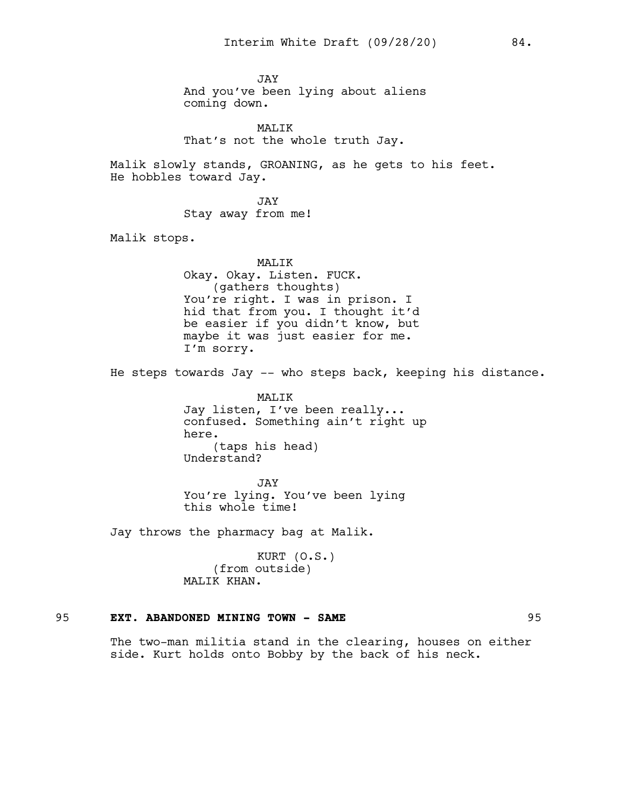JAY And you've been lying about aliens coming down.

MALIK That's not the whole truth Jay.

Malik slowly stands, GROANING, as he gets to his feet. He hobbles toward Jay.

> JAY Stay away from me!

Malik stops.

MALIK Okay. Okay. Listen. FUCK. (gathers thoughts) You're right. I was in prison. I hid that from you. I thought it'd be easier if you didn't know, but maybe it was just easier for me. I'm sorry.

He steps towards Jay -- who steps back, keeping his distance.

MALIK Jay listen, I've been really... confused. Something ain't right up here. (taps his head) Understand?

JAY You're lying. You've been lying this whole time!

Jay throws the pharmacy bag at Malik.

KURT (O.S.) (from outside) MALIK KHAN.

#### 95 **EXT. ABANDONED MINING TOWN - SAME** 95

The two-man militia stand in the clearing, houses on either side. Kurt holds onto Bobby by the back of his neck.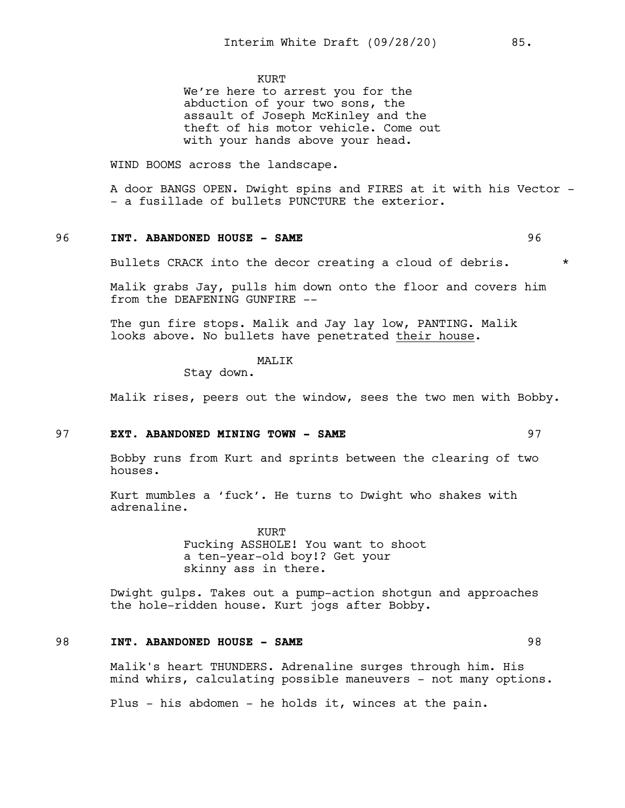KURT

We're here to arrest you for the abduction of your two sons, the assault of Joseph McKinley and the theft of his motor vehicle. Come out with your hands above your head.

WIND BOOMS across the landscape.

A door BANGS OPEN. Dwight spins and FIRES at it with his Vector - - a fusillade of bullets PUNCTURE the exterior.

# 96 **INT. ABANDONED HOUSE - SAME** 96

Bullets CRACK into the decor creating a cloud of debris.  $*$ 

Malik grabs Jay, pulls him down onto the floor and covers him from the DEAFENING GUNFIRE --

The gun fire stops. Malik and Jay lay low, PANTING. Malik looks above. No bullets have penetrated their house.

MALIK

Stay down.

Malik rises, peers out the window, sees the two men with Bobby.

#### 97 **EXT. ABANDONED MINING TOWN - SAME** 97

Bobby runs from Kurt and sprints between the clearing of two houses.

Kurt mumbles a 'fuck'. He turns to Dwight who shakes with adrenaline.

> KURT Fucking ASSHOLE! You want to shoot a ten-year-old boy!? Get your skinny ass in there.

Dwight gulps. Takes out a pump-action shotgun and approaches the hole-ridden house. Kurt jogs after Bobby.

# 98 **INT. ABANDONED HOUSE - SAME** 98

Malik's heart THUNDERS. Adrenaline surges through him. His mind whirs, calculating possible maneuvers - not many options.

Plus - his abdomen - he holds it, winces at the pain.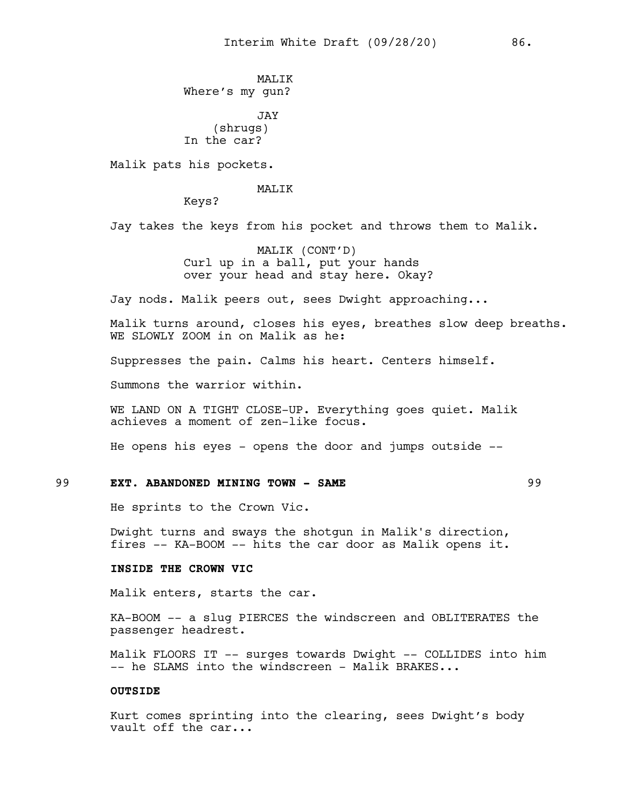**MALIK** Where's my gun?

JAY (shrugs) In the car?

Malik pats his pockets.

#### MALIK

Keys?

Jay takes the keys from his pocket and throws them to Malik.

MALIK (CONT'D) Curl up in a ball, put your hands over your head and stay here. Okay?

Jay nods. Malik peers out, sees Dwight approaching...

Malik turns around, closes his eyes, breathes slow deep breaths. WE SLOWLY ZOOM in on Malik as he:

Suppresses the pain. Calms his heart. Centers himself.

Summons the warrior within.

WE LAND ON A TIGHT CLOSE-UP. Everything goes quiet. Malik achieves a moment of zen-like focus.

He opens his eyes - opens the door and jumps outside --

#### 99 **EXT. ABANDONED MINING TOWN - SAME** 99

He sprints to the Crown Vic.

Dwight turns and sways the shotgun in Malik's direction, fires -- KA-BOOM -- hits the car door as Malik opens it.

#### **INSIDE THE CROWN VIC**

Malik enters, starts the car.

KA-BOOM -- a slug PIERCES the windscreen and OBLITERATES the passenger headrest.

Malik FLOORS IT -- surges towards Dwight -- COLLIDES into him -- he SLAMS into the windscreen - Malik BRAKES...

## **OUTSIDE**

Kurt comes sprinting into the clearing, sees Dwight's body vault off the car...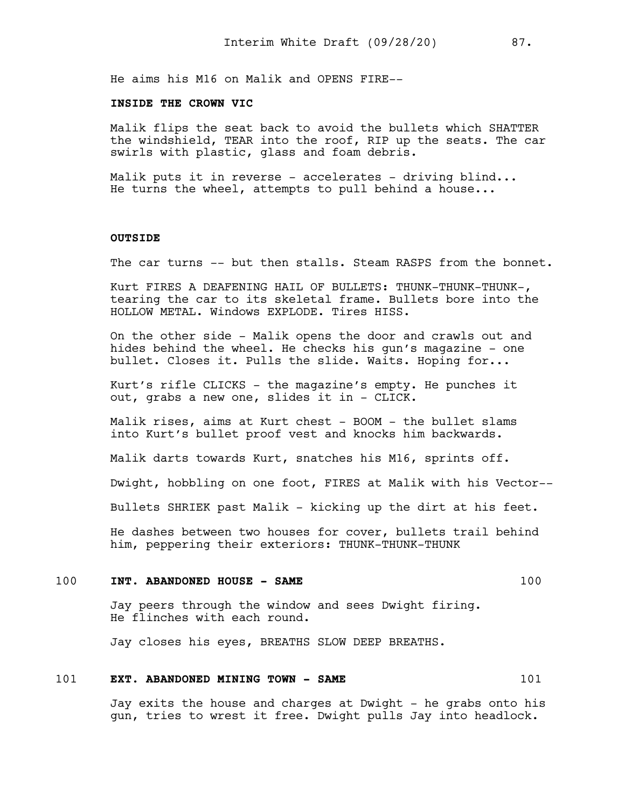He aims his M16 on Malik and OPENS FIRE--

# **INSIDE THE CROWN VIC**

Malik flips the seat back to avoid the bullets which SHATTER the windshield, TEAR into the roof, RIP up the seats. The car swirls with plastic, glass and foam debris.

Malik puts it in reverse - accelerates - driving blind... He turns the wheel, attempts to pull behind a house...

#### **OUTSIDE**

The car turns -- but then stalls. Steam RASPS from the bonnet.

Kurt FIRES A DEAFENING HAIL OF BULLETS: THUNK-THUNK-THUNK-, tearing the car to its skeletal frame. Bullets bore into the HOLLOW METAL. Windows EXPLODE. Tires HISS.

On the other side - Malik opens the door and crawls out and hides behind the wheel. He checks his gun's magazine - one bullet. Closes it. Pulls the slide. Waits. Hoping for...

Kurt's rifle CLICKS - the magazine's empty. He punches it out, grabs a new one, slides it in - CLICK.

Malik rises, aims at Kurt chest - BOOM - the bullet slams into Kurt's bullet proof vest and knocks him backwards.

Malik darts towards Kurt, snatches his M16, sprints off.

Dwight, hobbling on one foot, FIRES at Malik with his Vector--

Bullets SHRIEK past Malik - kicking up the dirt at his feet.

He dashes between two houses for cover, bullets trail behind him, peppering their exteriors: THUNK-THUNK-THUNK

#### 100 **INT. ABANDONED HOUSE - SAME** 100

Jay peers through the window and sees Dwight firing. He flinches with each round.

Jay closes his eyes, BREATHS SLOW DEEP BREATHS.

#### 101 **EXT. ABANDONED MINING TOWN - SAME** 101

Jay exits the house and charges at Dwight - he grabs onto his gun, tries to wrest it free. Dwight pulls Jay into headlock.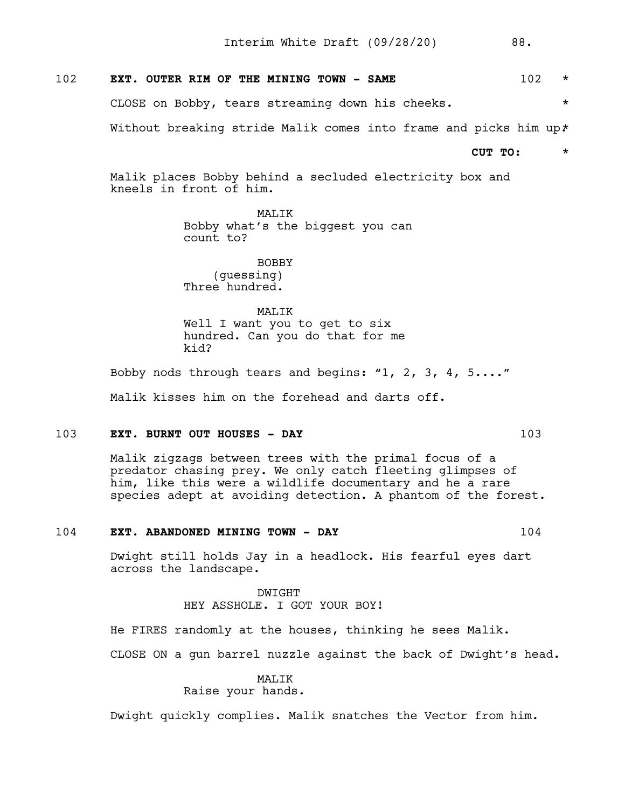| 102<br>EXT. OUTER RIM OF THE MINING TOWN - SAME |  |
|-------------------------------------------------|--|
|-------------------------------------------------|--|

CLOSE on Bobby, tears streaming down his cheeks. \*

Without breaking stride Malik comes into frame and picks him up\*

**CUT TO:** \*

Malik places Bobby behind a secluded electricity box and kneels in front of him.

> MALIK Bobby what's the biggest you can count to?

BOBBY (guessing) Three hundred.

MAT<sub>I</sub>TK Well I want you to get to six hundred. Can you do that for me kid?

Bobby nods through tears and begins: "1, 2, 3, 4, 5...." Malik kisses him on the forehead and darts off.

#### 103 **EXT. BURNT OUT HOUSES - DAY** 103

Malik zigzags between trees with the primal focus of a predator chasing prey. We only catch fleeting glimpses of him, like this were a wildlife documentary and he a rare species adept at avoiding detection. A phantom of the forest.

#### 104 **EXT. ABANDONED MINING TOWN - DAY** 104

Dwight still holds Jay in a headlock. His fearful eyes dart across the landscape.

> DWIGHT HEY ASSHOLE. I GOT YOUR BOY!

He FIRES randomly at the houses, thinking he sees Malik.

CLOSE ON a gun barrel nuzzle against the back of Dwight's head.

MALIK

Raise your hands.

Dwight quickly complies. Malik snatches the Vector from him.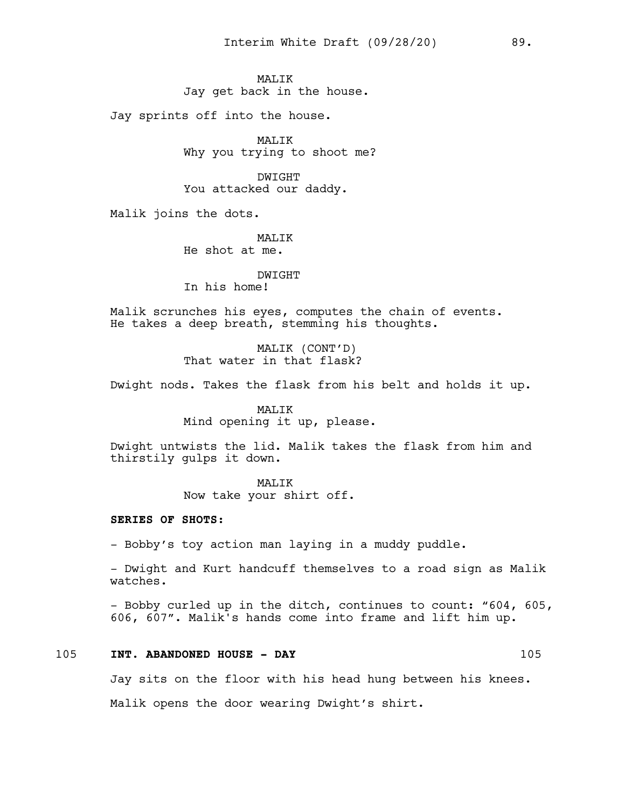# **MALIK** Jay get back in the house.

Jay sprints off into the house.

MALIK Why you trying to shoot me?

DWIGHT You attacked our daddy.

Malik joins the dots.

# MAT.TK

He shot at me.

## DWIGHT

In his home!

Malik scrunches his eyes, computes the chain of events. He takes a deep breath, stemming his thoughts.

> MALIK (CONT'D) That water in that flask?

Dwight nods. Takes the flask from his belt and holds it up.

# MALIK

Mind opening it up, please.

Dwight untwists the lid. Malik takes the flask from him and thirstily gulps it down.

# MALIK

Now take your shirt off.

#### **SERIES OF SHOTS:**

- Bobby's toy action man laying in a muddy puddle.

- Dwight and Kurt handcuff themselves to a road sign as Malik watches.

- Bobby curled up in the ditch, continues to count: "604, 605, 606, 607". Malik's hands come into frame and lift him up.

#### 105 **INT. ABANDONED HOUSE - DAY** 105

Jay sits on the floor with his head hung between his knees.

Malik opens the door wearing Dwight's shirt.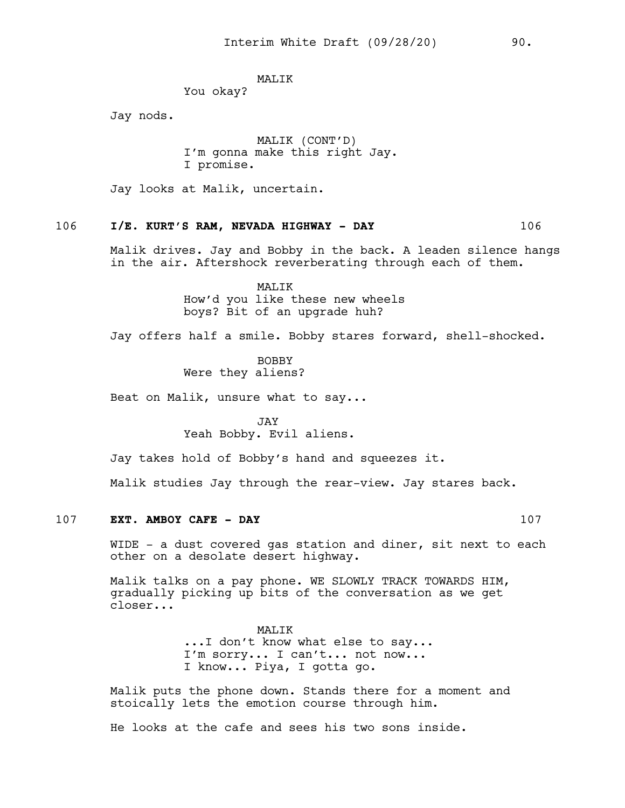#### MALIK

You okay?

Jay nods.

MALIK (CONT'D) I'm gonna make this right Jay. I promise.

Jay looks at Malik, uncertain.

# 106 **I/E. KURT'S RAM, NEVADA HIGHWAY - DAY** 106

Malik drives. Jay and Bobby in the back. A leaden silence hangs in the air. Aftershock reverberating through each of them.

> MALIK How'd you like these new wheels boys? Bit of an upgrade huh?

Jay offers half a smile. Bobby stares forward, shell-shocked.

BOBBY Were they aliens?

Beat on Malik, unsure what to say...

JAY Yeah Bobby. Evil aliens.

Jay takes hold of Bobby's hand and squeezes it.

Malik studies Jay through the rear-view. Jay stares back.

#### 107 **EXT. AMBOY CAFE - DAY** 107

WIDE - a dust covered gas station and diner, sit next to each other on a desolate desert highway.

Malik talks on a pay phone. WE SLOWLY TRACK TOWARDS HIM, gradually picking up bits of the conversation as we get closer...

> MALIK ... I don't know what else to say... I'm sorry... I can't... not now... I know... Piya, I gotta go.

Malik puts the phone down. Stands there for a moment and stoically lets the emotion course through him.

He looks at the cafe and sees his two sons inside.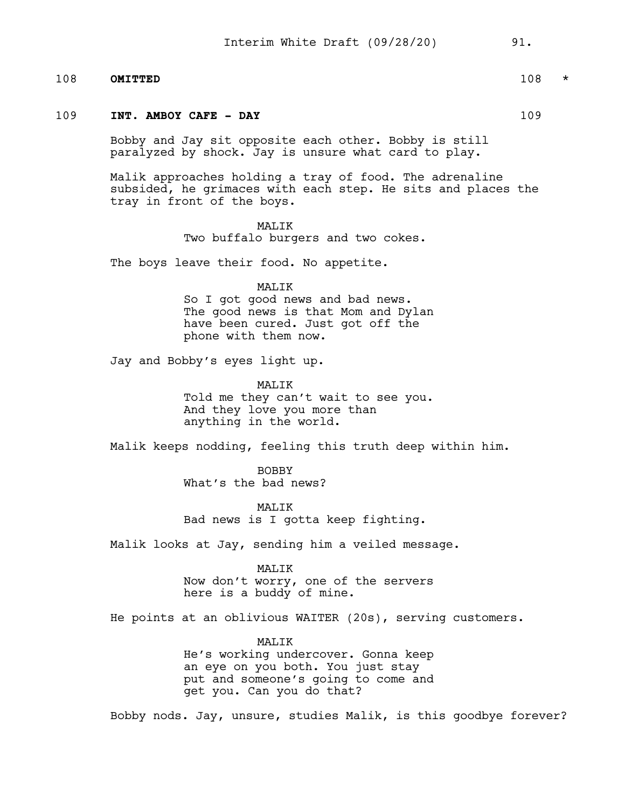#### 108 **OMITTED** 108 \*

#### 109 **INT. AMBOY CAFE - DAY** 109

Bobby and Jay sit opposite each other. Bobby is still paralyzed by shock. Jay is unsure what card to play.

Malik approaches holding a tray of food. The adrenaline subsided, he grimaces with each step. He sits and places the tray in front of the boys.

#### MALIK

Two buffalo burgers and two cokes.

The boys leave their food. No appetite.

#### MALIK

So I got good news and bad news. The good news is that Mom and Dylan have been cured. Just got off the phone with them now.

Jay and Bobby's eyes light up.

#### MALIK

Told me they can't wait to see you. And they love you more than anything in the world.

Malik keeps nodding, feeling this truth deep within him.

BOBBY What's the bad news?

MAT<sub>I</sub>TK Bad news is I gotta keep fighting.

Malik looks at Jay, sending him a veiled message.

#### MALIK

Now don't worry, one of the servers here is a buddy of mine.

He points at an oblivious WAITER (20s), serving customers.

# MALIK

He's working undercover. Gonna keep an eye on you both. You just stay put and someone's going to come and get you. Can you do that?

Bobby nods. Jay, unsure, studies Malik, is this goodbye forever?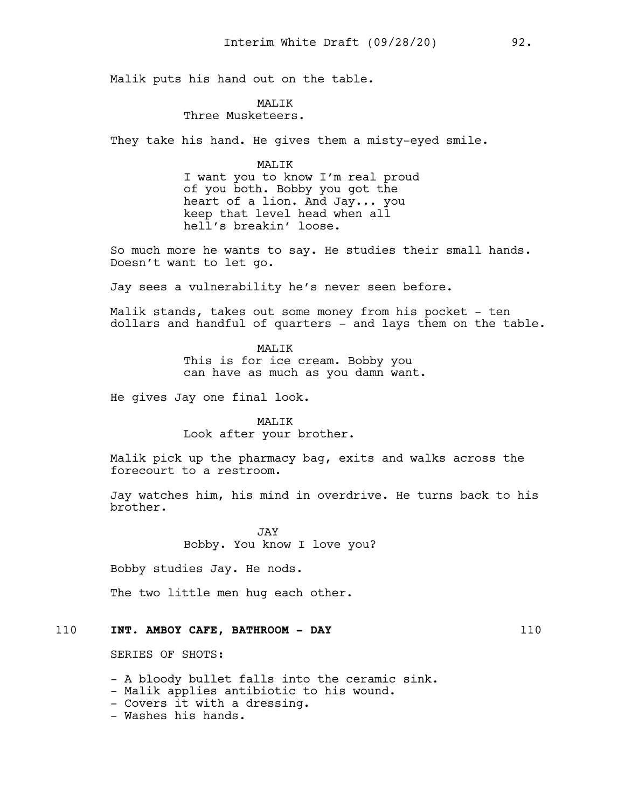Malik puts his hand out on the table.

# MAT.TK

#### Three Musketeers.

They take his hand. He gives them a misty-eyed smile.

#### MALIK

I want you to know I'm real proud of you both. Bobby you got the heart of a lion. And Jay... you keep that level head when all hell's breakin' loose.

So much more he wants to say. He studies their small hands. Doesn't want to let go.

Jay sees a vulnerability he's never seen before.

Malik stands, takes out some money from his pocket - ten dollars and handful of quarters - and lays them on the table.

> MAT<sub>I</sub>TK This is for ice cream. Bobby you can have as much as you damn want.

He gives Jay one final look.

# MALIK Look after your brother.

Malik pick up the pharmacy bag, exits and walks across the forecourt to a restroom.

Jay watches him, his mind in overdrive. He turns back to his brother.

> **JAY** Bobby. You know I love you?

Bobby studies Jay. He nods.

The two little men hug each other.

# 110 **INT. AMBOY CAFE, BATHROOM - DAY** 110

SERIES OF SHOTS:

- A bloody bullet falls into the ceramic sink.

- Malik applies antibiotic to his wound.

- Covers it with a dressing.
- Washes his hands.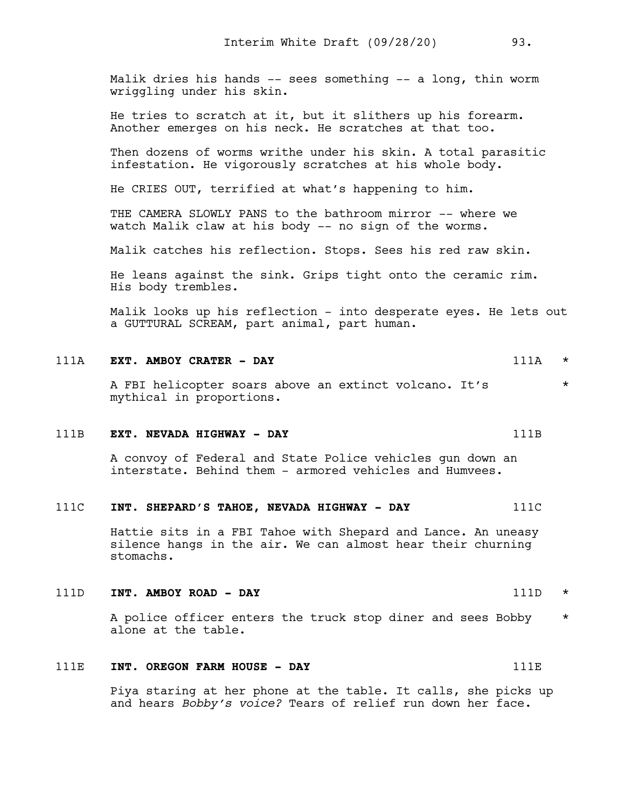Malik dries his hands -- sees something -- a long, thin worm wriggling under his skin.

He tries to scratch at it, but it slithers up his forearm. Another emerges on his neck. He scratches at that too.

Then dozens of worms writhe under his skin. A total parasitic infestation. He vigorously scratches at his whole body.

He CRIES OUT, terrified at what's happening to him.

THE CAMERA SLOWLY PANS to the bathroom mirror -- where we watch Malik claw at his body -- no sign of the worms.

Malik catches his reflection. Stops. Sees his red raw skin.

He leans against the sink. Grips tight onto the ceramic rim. His body trembles.

Malik looks up his reflection - into desperate eyes. He lets out a GUTTURAL SCREAM, part animal, part human.

# 111A **EXT. AMBOY CRATER - DAY** 111A \*

A FBI helicopter soars above an extinct volcano. It's  $*$ mythical in proportions.

#### 111B **EXT. NEVADA HIGHWAY - DAY** 111B

A convoy of Federal and State Police vehicles gun down an interstate. Behind them - armored vehicles and Humvees.

# 111C **INT. SHEPARD'S TAHOE, NEVADA HIGHWAY - DAY** 111C

Hattie sits in a FBI Tahoe with Shepard and Lance. An uneasy silence hangs in the air. We can almost hear their churning stomachs.

#### 111D **INT. AMBOY ROAD - DAY** 111D \*

A police officer enters the truck stop diner and sees Bobby \* alone at the table.

# 111E **INT. OREGON FARM HOUSE - DAY** 111E

Piya staring at her phone at the table. It calls, she picks up and hears *Bobby's voice?* Tears of relief run down her face.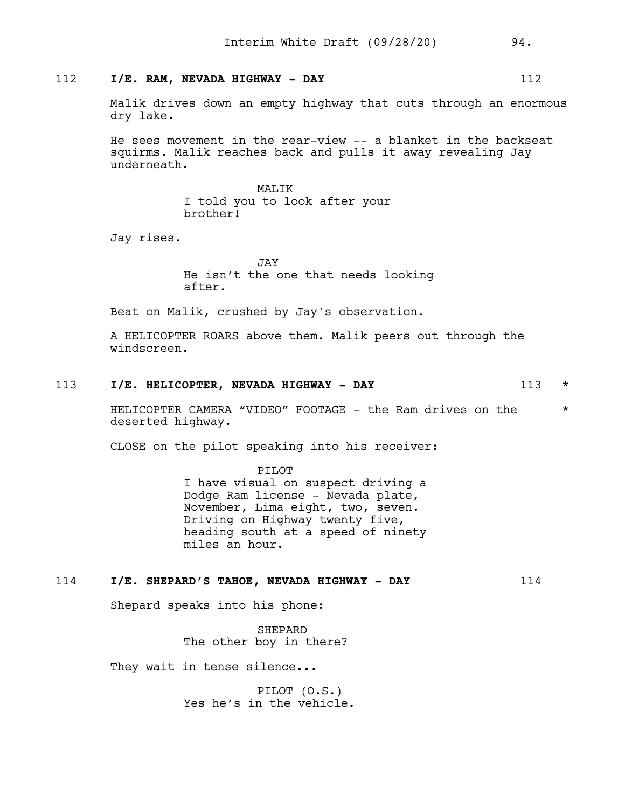# 112 **I/E. RAM, NEVADA HIGHWAY - DAY** 112

Malik drives down an empty highway that cuts through an enormous dry lake.

He sees movement in the rear-view -- a blanket in the backseat squirms. Malik reaches back and pulls it away revealing Jay underneath.

> MALIK I told you to look after your brother!

Jay rises.

JAY He isn't the one that needs looking after.

Beat on Malik, crushed by Jay's observation.

A HELICOPTER ROARS above them. Malik peers out through the windscreen.

# 113 **I/E. HELICOPTER, NEVADA HIGHWAY - DAY** 113 \*

HELICOPTER CAMERA "VIDEO" FOOTAGE - the Ram drives on the  $*$ deserted highway.

CLOSE on the pilot speaking into his receiver:

PILOT

I have visual on suspect driving a Dodge Ram license - Nevada plate, November, Lima eight, two, seven. Driving on Highway twenty five, heading south at a speed of ninety miles an hour.

# 114 **I/E. SHEPARD'S TAHOE, NEVADA HIGHWAY - DAY** 114

Shepard speaks into his phone:

SHEPARD The other boy in there?

They wait in tense silence...

PILOT (O.S.) Yes he's in the vehicle.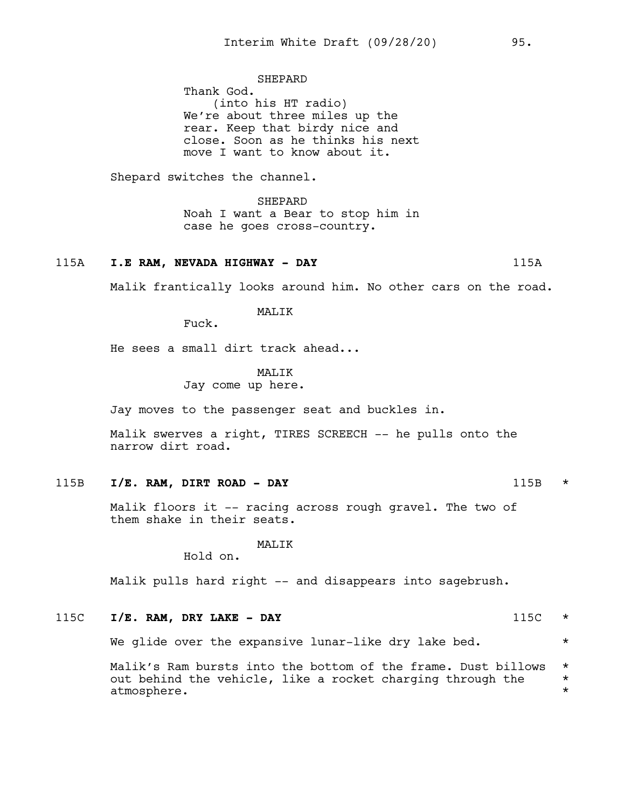SHEPARD Thank God. (into his HT radio) We're about three miles up the rear. Keep that birdy nice and close. Soon as he thinks his next move I want to know about it.

Shepard switches the channel.

SHEPARD Noah I want a Bear to stop him in case he goes cross-country.

#### 115A **I.E RAM, NEVADA HIGHWAY - DAY** 115A

Malik frantically looks around him. No other cars on the road.

MALIK

Fuck.

He sees a small dirt track ahead...

#### MAT<sub>I</sub>TK

Jay come up here.

Jay moves to the passenger seat and buckles in.

Malik swerves a right, TIRES SCREECH -- he pulls onto the narrow dirt road.

115B **I/E. RAM, DIRT ROAD - DAY** 115B \*

Malik floors it -- racing across rough gravel. The two of them shake in their seats.

#### MALIK

Hold on.

Malik pulls hard right -- and disappears into sagebrush.

115C **I/E. RAM, DRY LAKE - DAY** 115C \*

We glide over the expansive lunar-like dry lake bed.  $*$ 

Malik's Ram bursts into the bottom of the frame. Dust billows  $*$ out behind the vehicle, like a rocket charging through the  $*$ <br>atmosphere. atmosphere. \*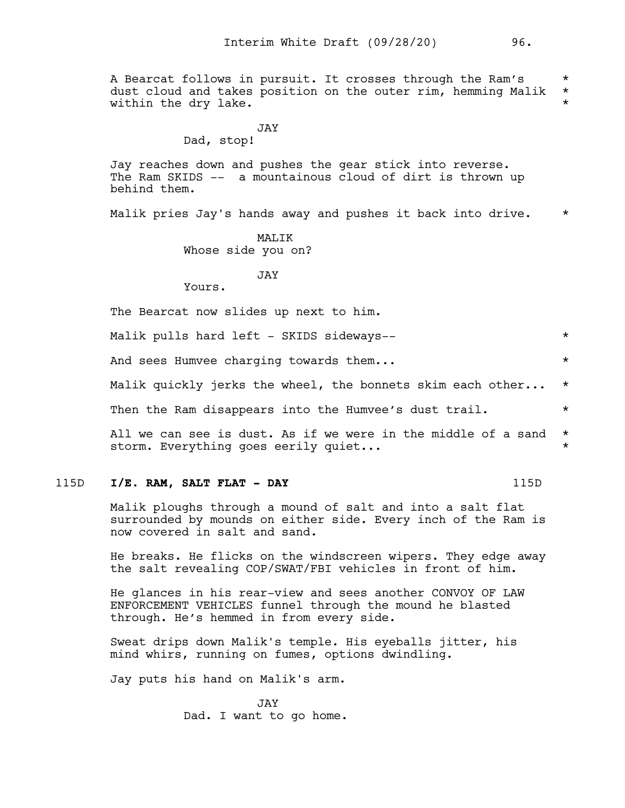A Bearcat follows in pursuit. It crosses through the Ram's \* \*<br>dust cloud and takes position on the outer rim, hemming Malik \* dust cloud and takes position on the outer rim, hemming Malik \* within the dry lake.

#### JAY Dad, stop!

Jay reaches down and pushes the gear stick into reverse. The Ram SKIDS -- a mountainous cloud of dirt is thrown up behind them.

Malik pries Jay's hands away and pushes it back into drive. \*

MAT<sub>I</sub>TK Whose side you on?

## JAY

Yours.

The Bearcat now slides up next to him.

Malik pulls hard left - SKIDS sideways--  $*$ 

And sees Humvee charging towards them...  $\star$ 

Malik quickly jerks the wheel, the bonnets skim each other...  $*$ 

Then the Ram disappears into the Humvee's dust trail.  $*$ 

All we can see is dust. As if we were in the middle of a sand  $*$ storm. Everything goes eerily quiet...

115D **I/E. RAM, SALT FLAT - DAY** 115D

Malik ploughs through a mound of salt and into a salt flat surrounded by mounds on either side. Every inch of the Ram is now covered in salt and sand.

He breaks. He flicks on the windscreen wipers. They edge away the salt revealing COP/SWAT/FBI vehicles in front of him.

He glances in his rear-view and sees another CONVOY OF LAW ENFORCEMENT VEHICLES funnel through the mound he blasted through. He's hemmed in from every side.

Sweat drips down Malik's temple. His eyeballs jitter, his mind whirs, running on fumes, options dwindling.

Jay puts his hand on Malik's arm.

JAY Dad. I want to go home.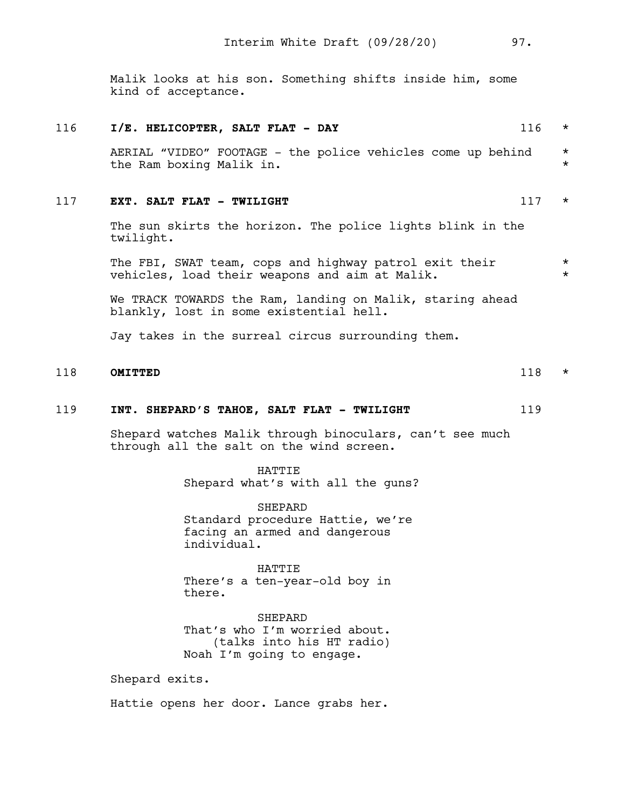Malik looks at his son. Something shifts inside him, some kind of acceptance.

# 116 **I/E. HELICOPTER, SALT FLAT - DAY** 116 \* AERIAL "VIDEO" FOOTAGE - the police vehicles come up behind \* the Ram boxing Malik in. \* 117 **EXT. SALT FLAT - TWILIGHT** 117 \* The sun skirts the horizon. The police lights blink in the twilight. The FBI, SWAT team, cops and highway patrol exit their  $*$ vehicles, load their weapons and aim at Malik.  $*$ We TRACK TOWARDS the Ram, landing on Malik, staring ahead blankly, lost in some existential hell. Jay takes in the surreal circus surrounding them. 118 **OMITTED** 118 \*

# 119 **INT. SHEPARD'S TAHOE, SALT FLAT - TWILIGHT** 119

Shepard watches Malik through binoculars, can't see much through all the salt on the wind screen.

> HATTIE Shepard what's with all the guns?

SHEPARD Standard procedure Hattie, we're facing an armed and dangerous individual.

HATTIE There's a ten-year-old boy in there.

**SHEPARD** That's who I'm worried about. (talks into his HT radio) Noah I'm going to engage.

Shepard exits.

Hattie opens her door. Lance grabs her.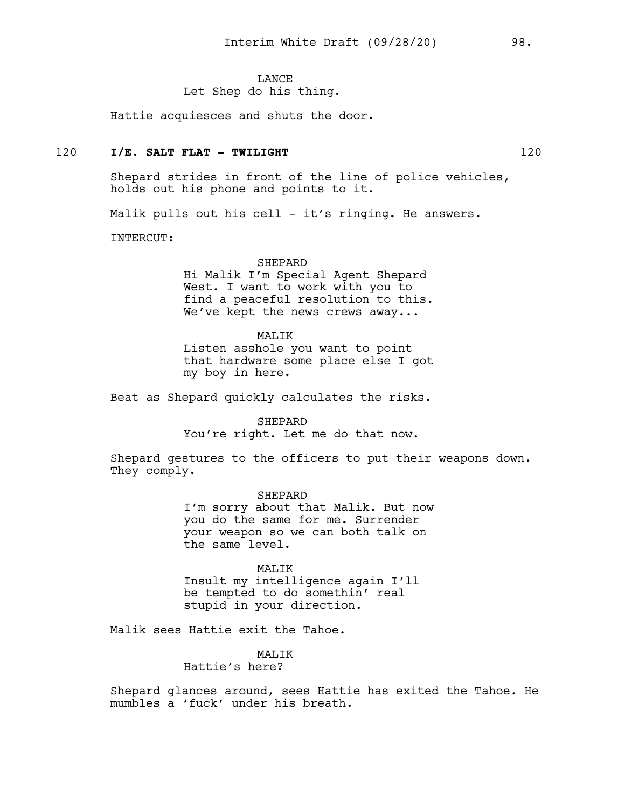#### **LANCE**

# Let Shep do his thing.

Hattie acquiesces and shuts the door.

# 120 **I/E. SALT FLAT - TWILIGHT** 120

Shepard strides in front of the line of police vehicles, holds out his phone and points to it.

Malik pulls out his cell - it's ringing. He answers.

INTERCUT:

#### SHEPARD

Hi Malik I'm Special Agent Shepard West. I want to work with you to find a peaceful resolution to this. We've kept the news crews away...

#### MALIK

Listen asshole you want to point that hardware some place else I got my boy in here.

Beat as Shepard quickly calculates the risks.

SHEPARD You're right. Let me do that now.

Shepard gestures to the officers to put their weapons down. They comply.

> SHEPARD I'm sorry about that Malik. But now you do the same for me. Surrender your weapon so we can both talk on the same level.

MALIK Insult my intelligence again I'll

be tempted to do somethin' real stupid in your direction.

Malik sees Hattie exit the Tahoe.

MAT<sub>I</sub>TK Hattie's here?

Shepard glances around, sees Hattie has exited the Tahoe. He mumbles a 'fuck' under his breath.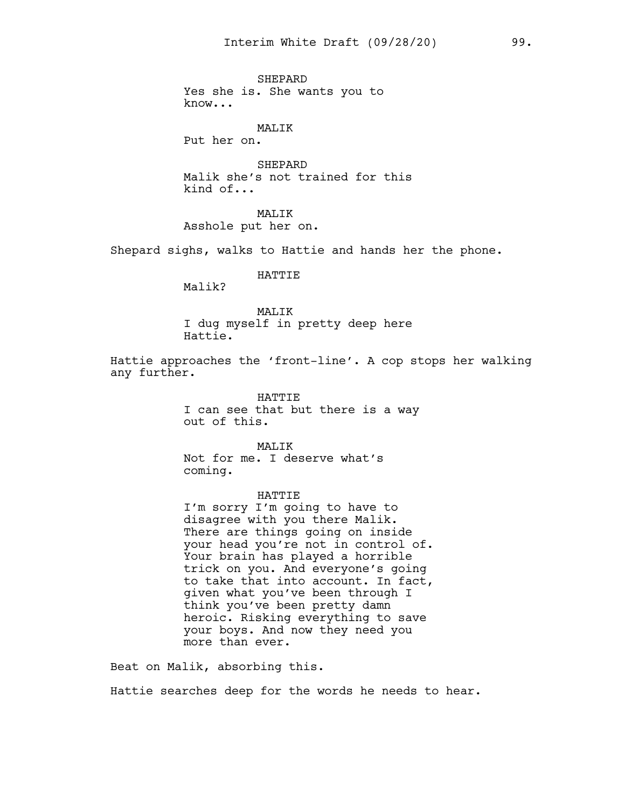SHEPARD Yes she is. She wants you to know...

#### MALIK

Put her on.

SHEPARD Malik she's not trained for this kind of...

MALIK

Asshole put her on.

Shepard sighs, walks to Hattie and hands her the phone.

## HATTIE

Malik?

#### MALIK I dug myself in pretty deep here Hattie.

Hattie approaches the 'front-line'. A cop stops her walking any further.

> HATTIE I can see that but there is a way out of this.

MAT<sub>I</sub>TK Not for me. I deserve what's coming.

#### HATTIE

I'm sorry I'm going to have to disagree with you there Malik. There are things going on inside your head you're not in control of. Your brain has played a horrible trick on you. And everyone's going to take that into account. In fact, given what you've been through I think you've been pretty damn heroic. Risking everything to save your boys. And now they need you more than ever.

Beat on Malik, absorbing this.

Hattie searches deep for the words he needs to hear.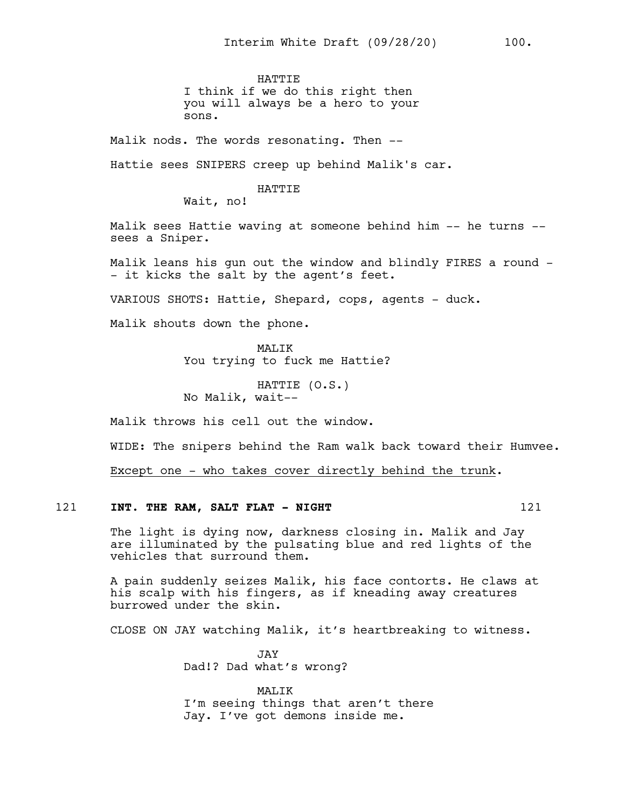**HATTIE** I think if we do this right then you will always be a hero to your sons.

Malik nods. The words resonating. Then --

Hattie sees SNIPERS creep up behind Malik's car.

#### HATTIE

Wait, no!

Malik sees Hattie waving at someone behind him -- he turns - sees a Sniper.

Malik leans his gun out the window and blindly FIRES a round - - it kicks the salt by the agent's feet.

VARIOUS SHOTS: Hattie, Shepard, cops, agents - duck.

Malik shouts down the phone.

MAT.TK You trying to fuck me Hattie?

HATTIE (O.S.) No Malik, wait--

Malik throws his cell out the window.

WIDE: The snipers behind the Ram walk back toward their Humvee.

Except one - who takes cover directly behind the trunk.

# 121 **INT. THE RAM, SALT FLAT - NIGHT** 121

The light is dying now, darkness closing in. Malik and Jay are illuminated by the pulsating blue and red lights of the vehicles that surround them.

A pain suddenly seizes Malik, his face contorts. He claws at his scalp with his fingers, as if kneading away creatures burrowed under the skin.

CLOSE ON JAY watching Malik, it's heartbreaking to witness.

JAY Dad!? Dad what's wrong?

MALIK I'm seeing things that aren't there Jay. I've got demons inside me.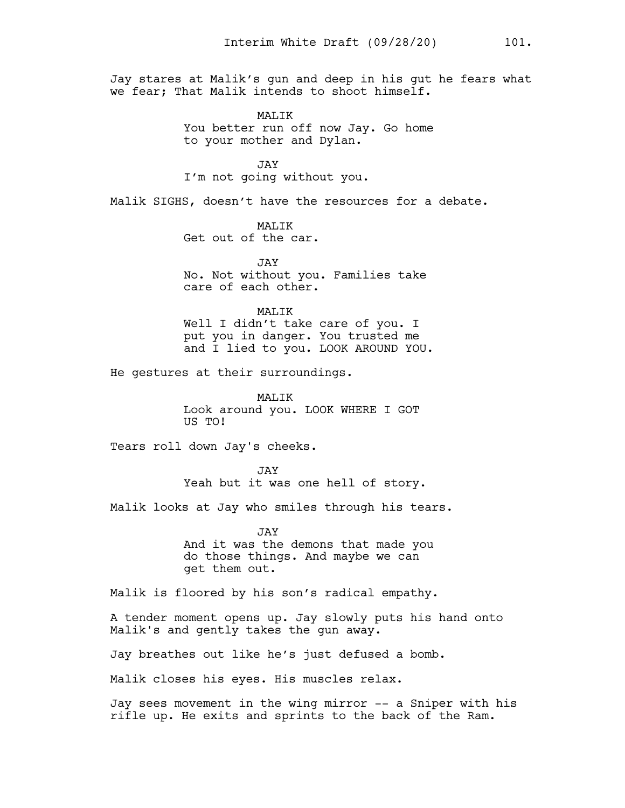Jay stares at Malik's gun and deep in his gut he fears what we fear; That Malik intends to shoot himself.

> MAT<sub>I</sub>TK You better run off now Jay. Go home to your mother and Dylan.

JAY I'm not going without you.

Malik SIGHS, doesn't have the resources for a debate.

MALIK Get out of the car.

JAY No. Not without you. Families take care of each other.

#### MALIK

Well I didn't take care of you. I put you in danger. You trusted me and I lied to you. LOOK AROUND YOU.

He gestures at their surroundings.

MALIK Look around you. LOOK WHERE I GOT US TO!

Tears roll down Jay's cheeks.

JAY Yeah but it was one hell of story.

Malik looks at Jay who smiles through his tears.

JAY And it was the demons that made you do those things. And maybe we can get them out.

Malik is floored by his son's radical empathy.

A tender moment opens up. Jay slowly puts his hand onto Malik's and gently takes the gun away.

Jay breathes out like he's just defused a bomb.

Malik closes his eyes. His muscles relax.

Jay sees movement in the wing mirror -- a Sniper with his rifle up. He exits and sprints to the back of the Ram.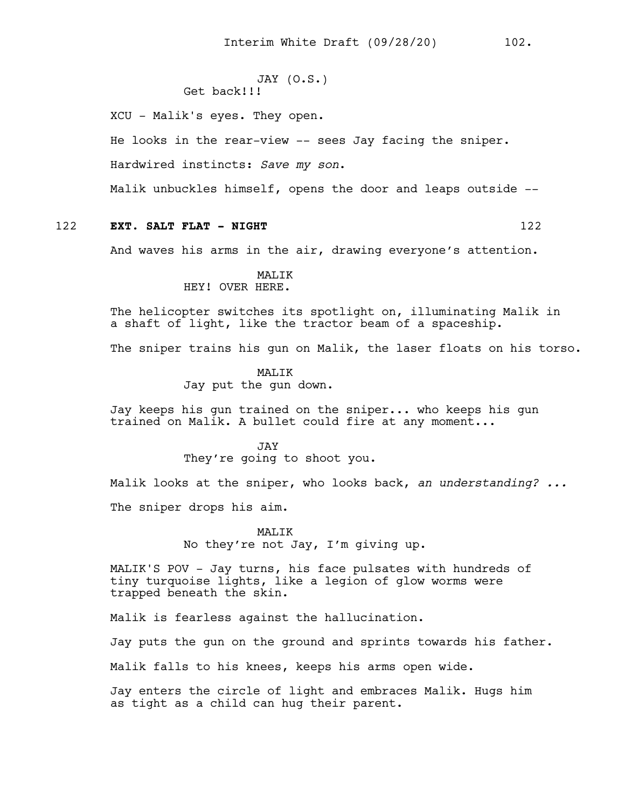```
JAY (O.S.)
Get back!!!
```
XCU - Malik's eyes. They open.

He looks in the rear-view -- sees Jay facing the sniper.

Hardwired instincts: *Save my son*.

Malik unbuckles himself, opens the door and leaps outside --

# 122 **EXT. SALT FLAT - NIGHT** 122

And waves his arms in the air, drawing everyone's attention.

#### MALIK HEY! OVER HERE.

The helicopter switches its spotlight on, illuminating Malik in a shaft of light, like the tractor beam of a spaceship.

The sniper trains his gun on Malik, the laser floats on his torso.

**MALIK** Jay put the gun down.

Jay keeps his gun trained on the sniper... who keeps his gun trained on Malik. A bullet could fire at any moment...

#### JAY

They're going to shoot you.

Malik looks at the sniper, who looks back, *an understanding? ...* The sniper drops his aim.

> MALIK No they're not Jay, I'm giving up.

MALIK'S POV - Jay turns, his face pulsates with hundreds of tiny turquoise lights, like a legion of glow worms were trapped beneath the skin.

Malik is fearless against the hallucination.

Jay puts the gun on the ground and sprints towards his father.

Malik falls to his knees, keeps his arms open wide.

Jay enters the circle of light and embraces Malik. Hugs him as tight as a child can hug their parent.